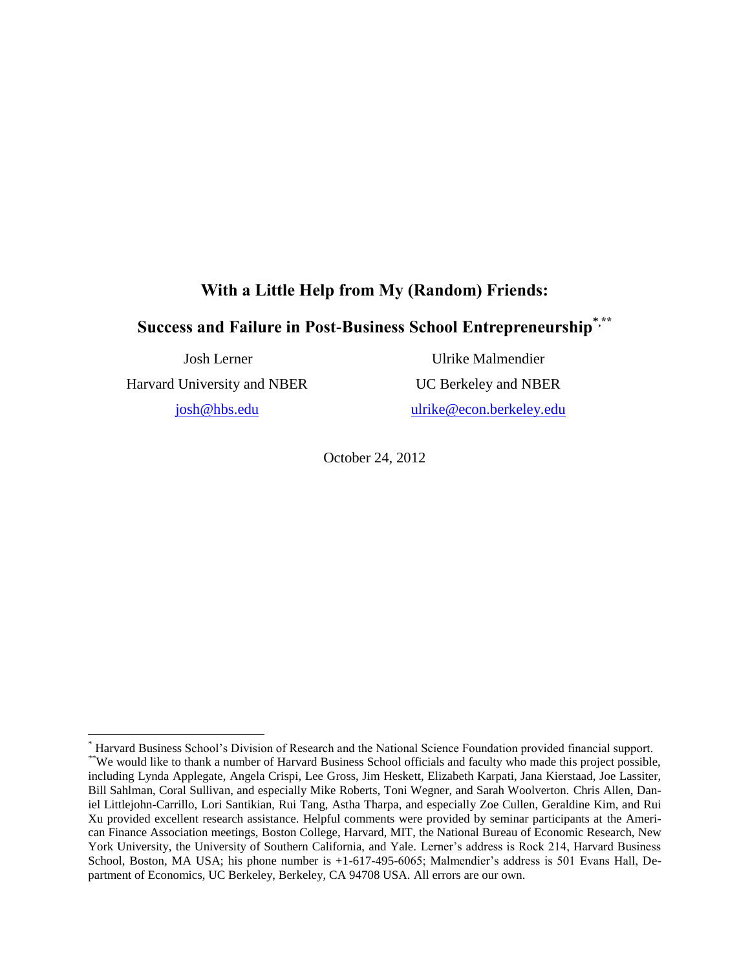## **With a Little Help from My (Random) Friends:**

# **Success and Failure in Post-Business School Entrepreneurship\*,\*\***

Josh Lerner

Harvard University and NBER

[josh@hbs.edu](mailto:josh@hbs.edu)

 $\overline{a}$ 

Ulrike Malmendier UC Berkeley and NBER

[ulrike@econ.berkeley.edu](mailto:ulrike@econ.berkeley.edu)

October 24, 2012

<sup>\*</sup> Harvard Business School's Division of Research and the National Science Foundation provided financial support.

<sup>\*\*</sup>We would like to thank a number of Harvard Business School officials and faculty who made this project possible, including Lynda Applegate, Angela Crispi, Lee Gross, Jim Heskett, Elizabeth Karpati, Jana Kierstaad, Joe Lassiter, Bill Sahlman, Coral Sullivan, and especially Mike Roberts, Toni Wegner, and Sarah Woolverton. Chris Allen, Daniel Littlejohn-Carrillo, Lori Santikian, Rui Tang, Astha Tharpa, and especially Zoe Cullen, Geraldine Kim, and Rui Xu provided excellent research assistance. Helpful comments were provided by seminar participants at the American Finance Association meetings, Boston College, Harvard, MIT, the National Bureau of Economic Research, New York University, the University of Southern California, and Yale. Lerner's address is Rock 214, Harvard Business School, Boston, MA USA; his phone number is +1-617-495-6065; Malmendier's address is 501 Evans Hall, Department of Economics, UC Berkeley, Berkeley, CA 94708 USA. All errors are our own.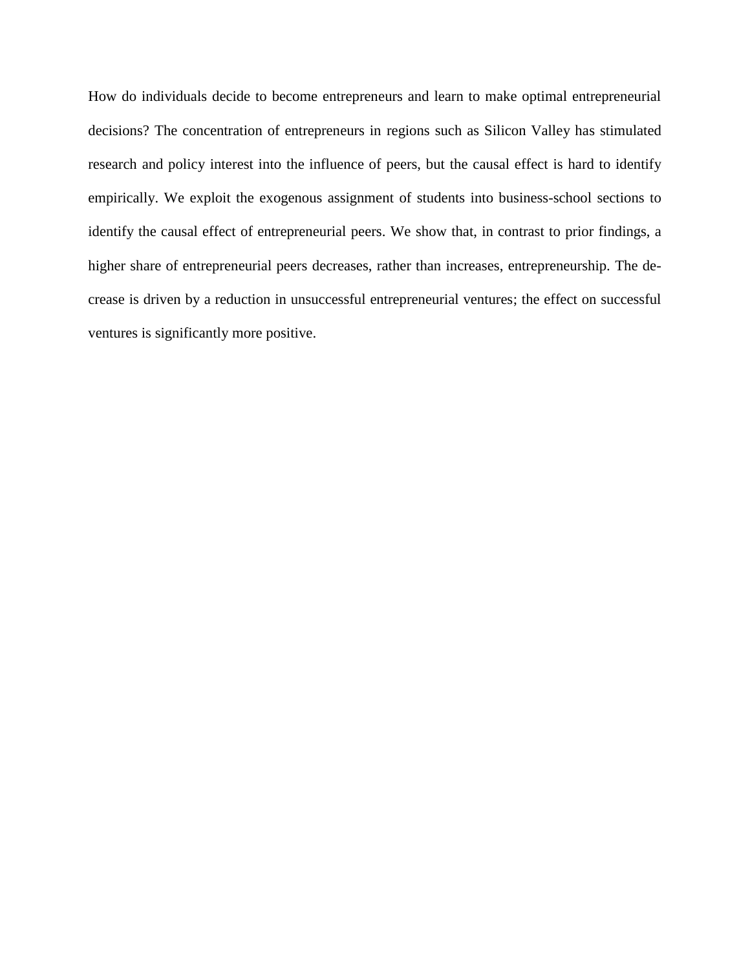How do individuals decide to become entrepreneurs and learn to make optimal entrepreneurial decisions? The concentration of entrepreneurs in regions such as Silicon Valley has stimulated research and policy interest into the influence of peers, but the causal effect is hard to identify empirically. We exploit the exogenous assignment of students into business-school sections to identify the causal effect of entrepreneurial peers. We show that, in contrast to prior findings, a higher share of entrepreneurial peers decreases, rather than increases, entrepreneurship. The decrease is driven by a reduction in unsuccessful entrepreneurial ventures; the effect on successful ventures is significantly more positive.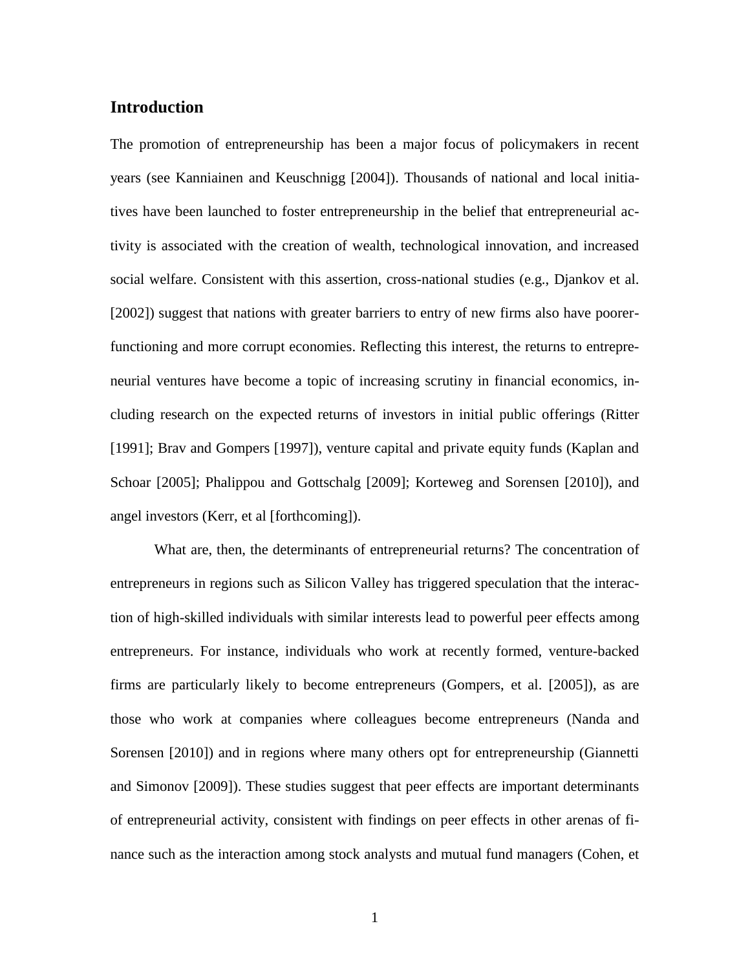### **Introduction**

The promotion of entrepreneurship has been a major focus of policymakers in recent years (see Kanniainen and Keuschnigg [2004]). Thousands of national and local initiatives have been launched to foster entrepreneurship in the belief that entrepreneurial activity is associated with the creation of wealth, technological innovation, and increased social welfare. Consistent with this assertion, cross-national studies (e.g., Djankov et al. [2002]) suggest that nations with greater barriers to entry of new firms also have poorerfunctioning and more corrupt economies. Reflecting this interest, the returns to entrepreneurial ventures have become a topic of increasing scrutiny in financial economics, including research on the expected returns of investors in initial public offerings (Ritter [1991]; Brav and Gompers [1997]), venture capital and private equity funds (Kaplan and Schoar [2005]; Phalippou and Gottschalg [2009]; Korteweg and Sorensen [2010]), and angel investors (Kerr, et al [forthcoming]).

What are, then, the determinants of entrepreneurial returns? The concentration of entrepreneurs in regions such as Silicon Valley has triggered speculation that the interaction of high-skilled individuals with similar interests lead to powerful peer effects among entrepreneurs. For instance, individuals who work at recently formed, venture-backed firms are particularly likely to become entrepreneurs (Gompers, et al. [2005]), as are those who work at companies where colleagues become entrepreneurs (Nanda and Sorensen [2010]) and in regions where many others opt for entrepreneurship (Giannetti and Simonov [2009]). These studies suggest that peer effects are important determinants of entrepreneurial activity, consistent with findings on peer effects in other arenas of finance such as the interaction among stock analysts and mutual fund managers (Cohen, et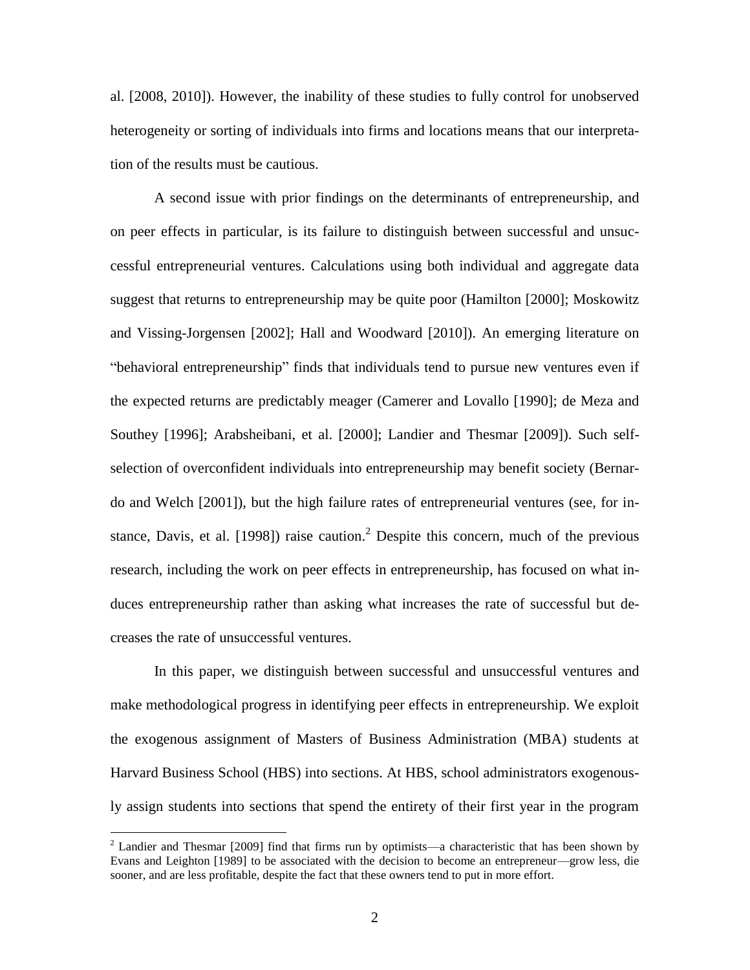al. [2008, 2010]). However, the inability of these studies to fully control for unobserved heterogeneity or sorting of individuals into firms and locations means that our interpretation of the results must be cautious.

A second issue with prior findings on the determinants of entrepreneurship, and on peer effects in particular, is its failure to distinguish between successful and unsuccessful entrepreneurial ventures. Calculations using both individual and aggregate data suggest that returns to entrepreneurship may be quite poor (Hamilton [2000]; Moskowitz and Vissing-Jorgensen [2002]; Hall and Woodward [2010]). An emerging literature on ―behavioral entrepreneurship‖ finds that individuals tend to pursue new ventures even if the expected returns are predictably meager (Camerer and Lovallo [1990]; de Meza and Southey [1996]; Arabsheibani, et al. [2000]; Landier and Thesmar [2009]). Such selfselection of overconfident individuals into entrepreneurship may benefit society (Bernardo and Welch [2001]), but the high failure rates of entrepreneurial ventures (see, for instance, Davis, et al. [1998]) raise caution.<sup>2</sup> Despite this concern, much of the previous research, including the work on peer effects in entrepreneurship, has focused on what induces entrepreneurship rather than asking what increases the rate of successful but decreases the rate of unsuccessful ventures.

In this paper, we distinguish between successful and unsuccessful ventures and make methodological progress in identifying peer effects in entrepreneurship. We exploit the exogenous assignment of Masters of Business Administration (MBA) students at Harvard Business School (HBS) into sections. At HBS, school administrators exogenously assign students into sections that spend the entirety of their first year in the program

<sup>&</sup>lt;sup>2</sup> Landier and Thesmar [2009] find that firms run by optimists—a characteristic that has been shown by Evans and Leighton [1989] to be associated with the decision to become an entrepreneur—grow less, die sooner, and are less profitable, despite the fact that these owners tend to put in more effort.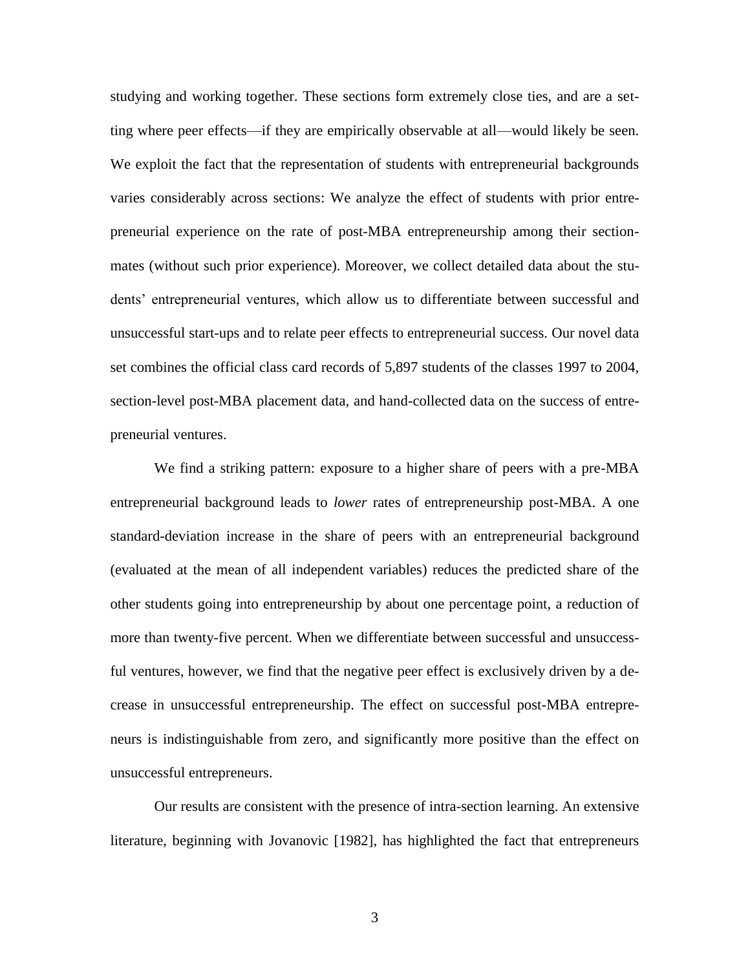studying and working together. These sections form extremely close ties, and are a setting where peer effects—if they are empirically observable at all—would likely be seen. We exploit the fact that the representation of students with entrepreneurial backgrounds varies considerably across sections: We analyze the effect of students with prior entrepreneurial experience on the rate of post-MBA entrepreneurship among their sectionmates (without such prior experience). Moreover, we collect detailed data about the students' entrepreneurial ventures, which allow us to differentiate between successful and unsuccessful start-ups and to relate peer effects to entrepreneurial success. Our novel data set combines the official class card records of 5,897 students of the classes 1997 to 2004, section-level post-MBA placement data, and hand-collected data on the success of entrepreneurial ventures.

We find a striking pattern: exposure to a higher share of peers with a pre-MBA entrepreneurial background leads to *lower* rates of entrepreneurship post-MBA. A one standard-deviation increase in the share of peers with an entrepreneurial background (evaluated at the mean of all independent variables) reduces the predicted share of the other students going into entrepreneurship by about one percentage point, a reduction of more than twenty-five percent. When we differentiate between successful and unsuccessful ventures, however, we find that the negative peer effect is exclusively driven by a decrease in unsuccessful entrepreneurship. The effect on successful post-MBA entrepreneurs is indistinguishable from zero, and significantly more positive than the effect on unsuccessful entrepreneurs.

Our results are consistent with the presence of intra-section learning. An extensive literature, beginning with Jovanovic [1982], has highlighted the fact that entrepreneurs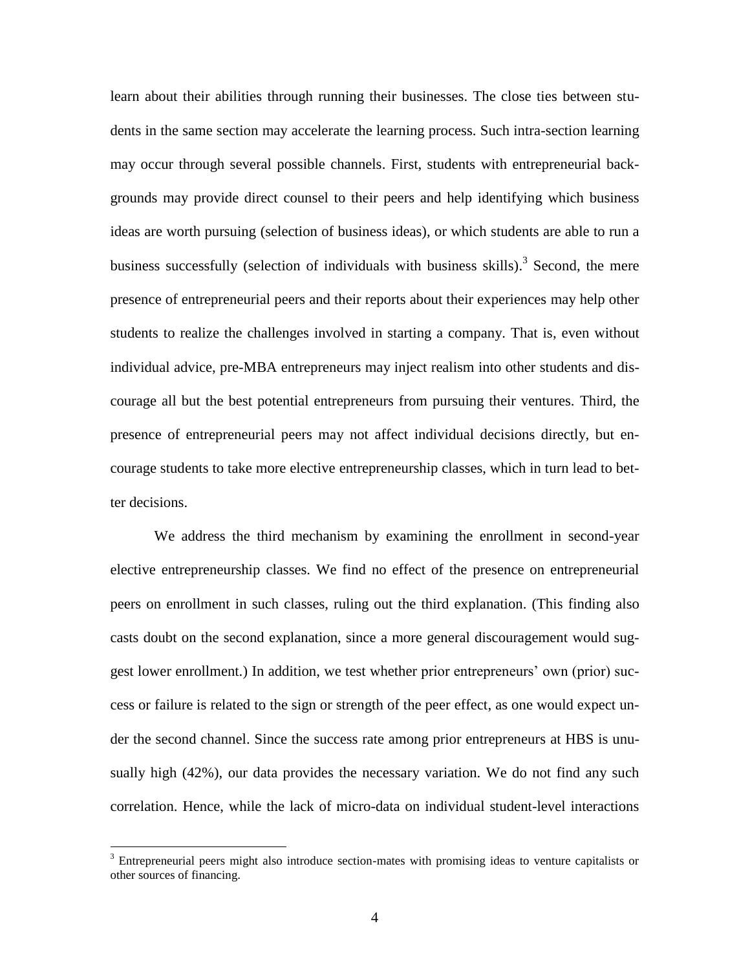learn about their abilities through running their businesses. The close ties between students in the same section may accelerate the learning process. Such intra-section learning may occur through several possible channels. First, students with entrepreneurial backgrounds may provide direct counsel to their peers and help identifying which business ideas are worth pursuing (selection of business ideas), or which students are able to run a business successfully (selection of individuals with business skills).<sup>3</sup> Second, the mere presence of entrepreneurial peers and their reports about their experiences may help other students to realize the challenges involved in starting a company. That is, even without individual advice, pre-MBA entrepreneurs may inject realism into other students and discourage all but the best potential entrepreneurs from pursuing their ventures. Third, the presence of entrepreneurial peers may not affect individual decisions directly, but encourage students to take more elective entrepreneurship classes, which in turn lead to better decisions.

We address the third mechanism by examining the enrollment in second-year elective entrepreneurship classes. We find no effect of the presence on entrepreneurial peers on enrollment in such classes, ruling out the third explanation. (This finding also casts doubt on the second explanation, since a more general discouragement would suggest lower enrollment.) In addition, we test whether prior entrepreneurs' own (prior) success or failure is related to the sign or strength of the peer effect, as one would expect under the second channel. Since the success rate among prior entrepreneurs at HBS is unusually high (42%), our data provides the necessary variation. We do not find any such correlation. Hence, while the lack of micro-data on individual student-level interactions

<sup>&</sup>lt;sup>3</sup> Entrepreneurial peers might also introduce section-mates with promising ideas to venture capitalists or other sources of financing.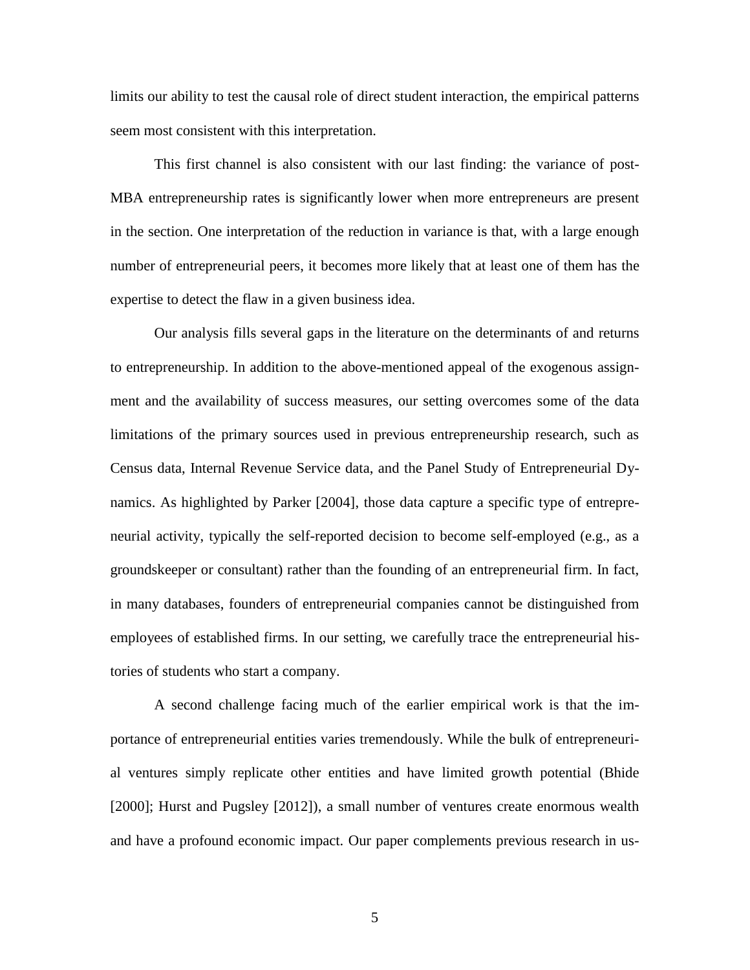limits our ability to test the causal role of direct student interaction, the empirical patterns seem most consistent with this interpretation.

This first channel is also consistent with our last finding: the variance of post-MBA entrepreneurship rates is significantly lower when more entrepreneurs are present in the section. One interpretation of the reduction in variance is that, with a large enough number of entrepreneurial peers, it becomes more likely that at least one of them has the expertise to detect the flaw in a given business idea.

Our analysis fills several gaps in the literature on the determinants of and returns to entrepreneurship. In addition to the above-mentioned appeal of the exogenous assignment and the availability of success measures, our setting overcomes some of the data limitations of the primary sources used in previous entrepreneurship research, such as Census data, Internal Revenue Service data, and the Panel Study of Entrepreneurial Dynamics. As highlighted by Parker [2004], those data capture a specific type of entrepreneurial activity, typically the self-reported decision to become self-employed (e.g., as a groundskeeper or consultant) rather than the founding of an entrepreneurial firm. In fact, in many databases, founders of entrepreneurial companies cannot be distinguished from employees of established firms. In our setting, we carefully trace the entrepreneurial histories of students who start a company.

A second challenge facing much of the earlier empirical work is that the importance of entrepreneurial entities varies tremendously. While the bulk of entrepreneurial ventures simply replicate other entities and have limited growth potential (Bhide [2000]; Hurst and Pugsley [2012]), a small number of ventures create enormous wealth and have a profound economic impact. Our paper complements previous research in us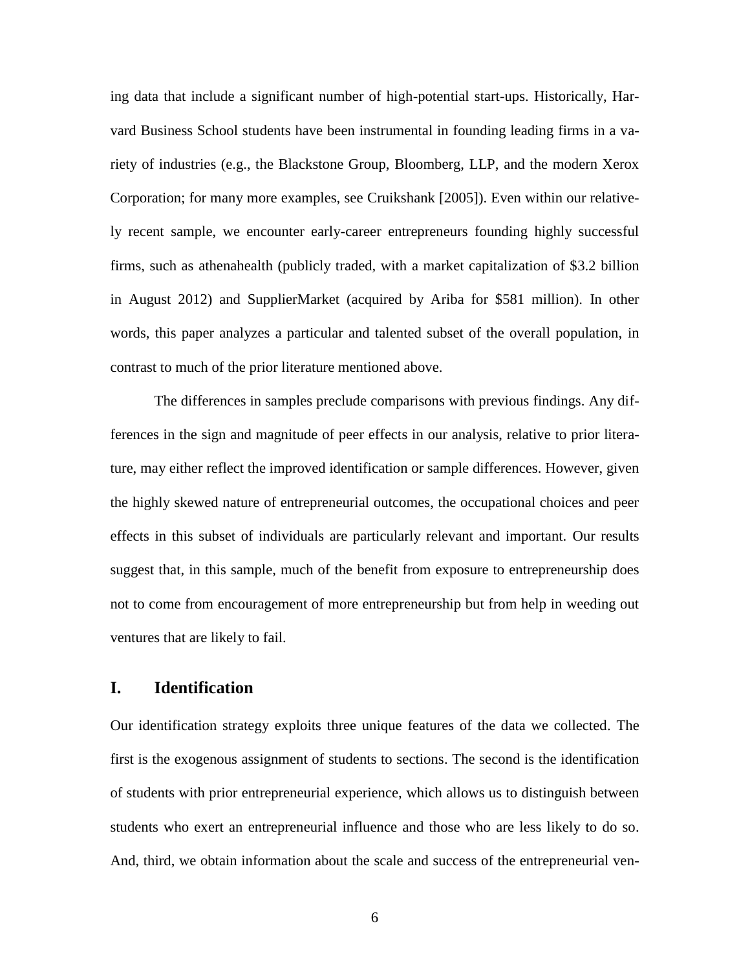ing data that include a significant number of high-potential start-ups. Historically, Harvard Business School students have been instrumental in founding leading firms in a variety of industries (e.g., the Blackstone Group, Bloomberg, LLP, and the modern Xerox Corporation; for many more examples, see Cruikshank [2005]). Even within our relatively recent sample, we encounter early-career entrepreneurs founding highly successful firms, such as athenahealth (publicly traded, with a market capitalization of \$3.2 billion in August 2012) and SupplierMarket (acquired by Ariba for \$581 million). In other words, this paper analyzes a particular and talented subset of the overall population, in contrast to much of the prior literature mentioned above.

The differences in samples preclude comparisons with previous findings. Any differences in the sign and magnitude of peer effects in our analysis, relative to prior literature, may either reflect the improved identification or sample differences. However, given the highly skewed nature of entrepreneurial outcomes, the occupational choices and peer effects in this subset of individuals are particularly relevant and important. Our results suggest that, in this sample, much of the benefit from exposure to entrepreneurship does not to come from encouragement of more entrepreneurship but from help in weeding out ventures that are likely to fail.

### **I. Identification**

Our identification strategy exploits three unique features of the data we collected. The first is the exogenous assignment of students to sections. The second is the identification of students with prior entrepreneurial experience, which allows us to distinguish between students who exert an entrepreneurial influence and those who are less likely to do so. And, third, we obtain information about the scale and success of the entrepreneurial ven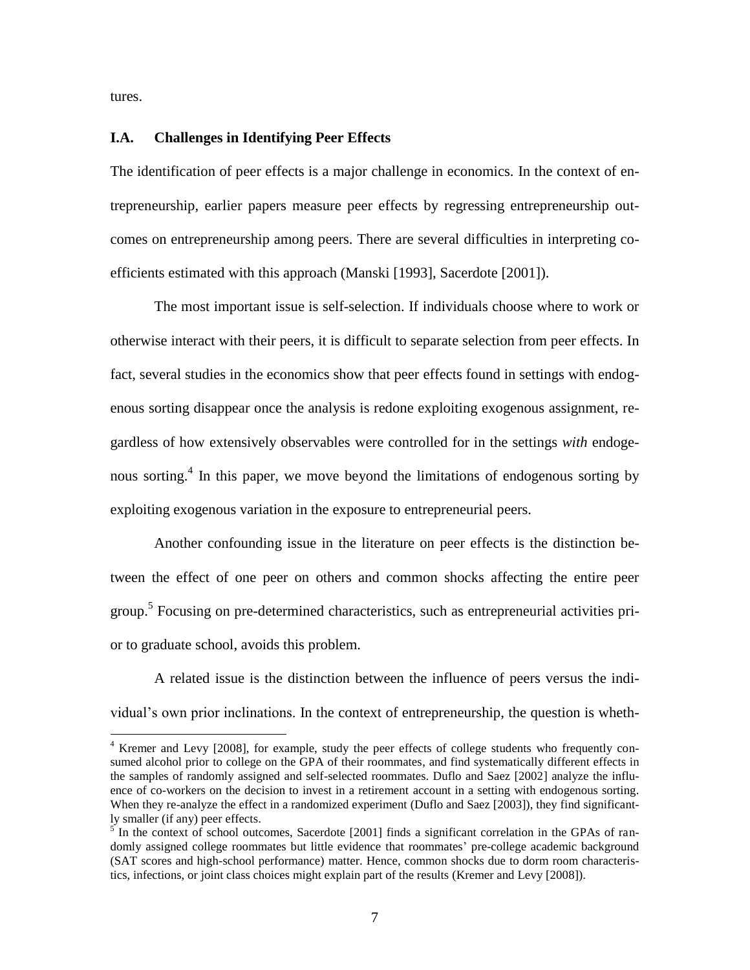tures.

 $\overline{a}$ 

#### **I.A. Challenges in Identifying Peer Effects**

The identification of peer effects is a major challenge in economics. In the context of entrepreneurship, earlier papers measure peer effects by regressing entrepreneurship outcomes on entrepreneurship among peers. There are several difficulties in interpreting coefficients estimated with this approach (Manski [1993], Sacerdote [2001]).

The most important issue is self-selection. If individuals choose where to work or otherwise interact with their peers, it is difficult to separate selection from peer effects. In fact, several studies in the economics show that peer effects found in settings with endogenous sorting disappear once the analysis is redone exploiting exogenous assignment, regardless of how extensively observables were controlled for in the settings *with* endogenous sorting.<sup>4</sup> In this paper, we move beyond the limitations of endogenous sorting by exploiting exogenous variation in the exposure to entrepreneurial peers.

Another confounding issue in the literature on peer effects is the distinction between the effect of one peer on others and common shocks affecting the entire peer group.<sup>5</sup> Focusing on pre-determined characteristics, such as entrepreneurial activities prior to graduate school, avoids this problem.

A related issue is the distinction between the influence of peers versus the individual's own prior inclinations. In the context of entrepreneurship, the question is wheth-

<sup>&</sup>lt;sup>4</sup> Kremer and Levy [2008], for example, study the peer effects of college students who frequently consumed alcohol prior to college on the GPA of their roommates, and find systematically different effects in the samples of randomly assigned and self-selected roommates. Duflo and Saez [2002] analyze the influence of co-workers on the decision to invest in a retirement account in a setting with endogenous sorting. When they re-analyze the effect in a randomized experiment (Duflo and Saez [2003]), they find significantly smaller (if any) peer effects.

 $5$  In the context of school outcomes, Sacerdote [2001] finds a significant correlation in the GPAs of randomly assigned college roommates but little evidence that roommates' pre-college academic background (SAT scores and high-school performance) matter. Hence, common shocks due to dorm room characteristics, infections, or joint class choices might explain part of the results (Kremer and Levy [2008]).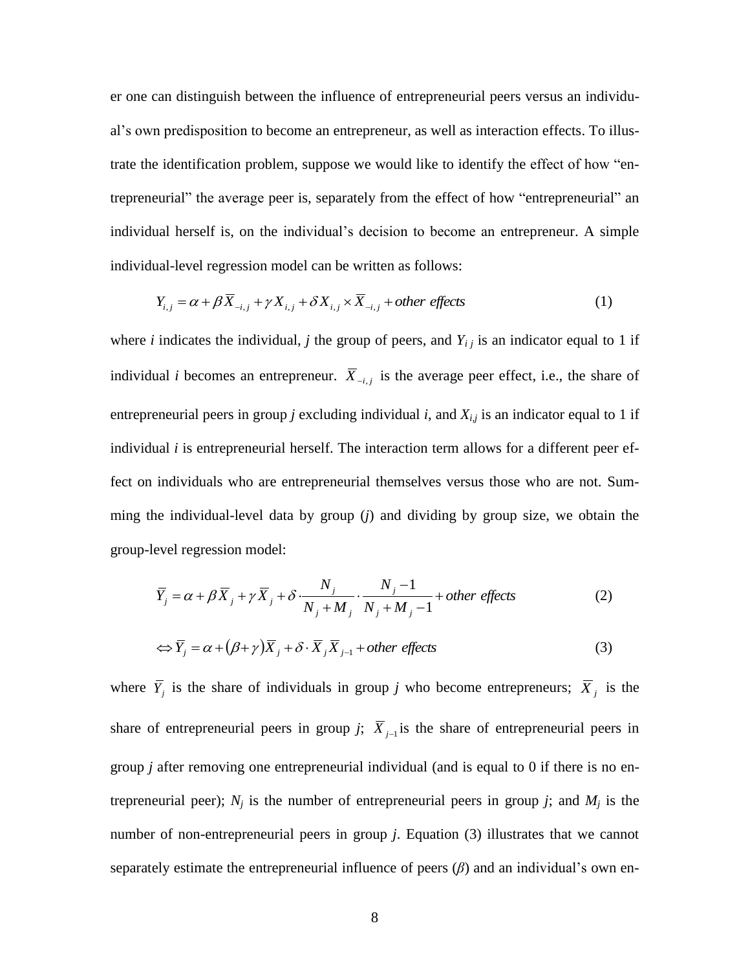er one can distinguish between the influence of entrepreneurial peers versus an individual's own predisposition to become an entrepreneur, as well as interaction effects. To illustrate the identification problem, suppose we would like to identify the effect of how "entrepreneurial" the average peer is, separately from the effect of how "entrepreneurial" an individual herself is, on the individual's decision to become an entrepreneur. A simple individual-level regression model can be written as follows:

$$
Y_{i,j} = \alpha + \beta \overline{X}_{-i,j} + \gamma X_{i,j} + \delta X_{i,j} \times \overline{X}_{-i,j} + \text{other effects}
$$
 (1)

where *i* indicates the individual, *j* the group of peers, and  $Y_i$  is an indicator equal to 1 if individual *i* becomes an entrepreneur.  $\overline{X}_{i,j}$  is the average peer effect, i.e., the share of entrepreneurial peers in group *j* excluding individual *i*, and  $X_{i,j}$  is an indicator equal to 1 if individual *i* is entrepreneurial herself. The interaction term allows for a different peer effect on individuals who are entrepreneurial themselves versus those who are not. Summing the individual-level data by group (*j*) and dividing by group size, we obtain the group-level regression model:

$$
\overline{Y}_j = \alpha + \beta \overline{X}_j + \gamma \overline{X}_j + \delta \cdot \frac{N_j}{N_j + M_j} \cdot \frac{N_j - 1}{N_j + M_j - 1} + \text{other effects}
$$
\n(2)

$$
\Leftrightarrow \overline{Y}_j = \alpha + (\beta + \gamma)\overline{X}_j + \delta \cdot \overline{X}_j \overline{X}_{j-1} + \text{other effects}
$$
\n(3)

where  $\overline{Y}_j$  is the share of individuals in group *j* who become entrepreneurs;  $\overline{X}_j$  is the share of entrepreneurial peers in group *j*;  $\overline{X}_{j-1}$  is the share of entrepreneurial peers in group *j* after removing one entrepreneurial individual (and is equal to 0 if there is no entrepreneurial peer);  $N_i$  is the number of entrepreneurial peers in group *j*; and  $M_i$  is the number of non-entrepreneurial peers in group *j*. Equation (3) illustrates that we cannot separately estimate the entrepreneurial influence of peers  $(\beta)$  and an individual's own en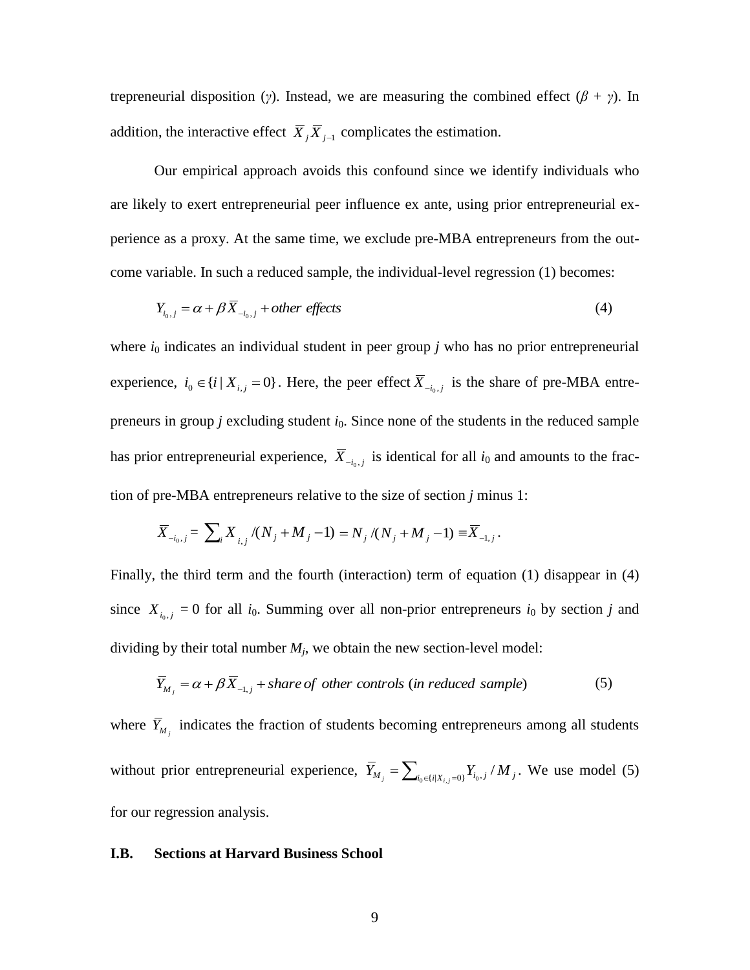trepreneurial disposition (*γ*). Instead, we are measuring the combined effect ( $\beta + \gamma$ ). In addition, the interactive effect  $\overline{X}_j \overline{X}_{j-1}$  complicates the estimation.

Our empirical approach avoids this confound since we identify individuals who are likely to exert entrepreneurial peer influence ex ante, using prior entrepreneurial experience as a proxy. At the same time, we exclude pre-MBA entrepreneurs from the outcome variable. In such a reduced sample, the individual-level regression (1) becomes:

$$
Y_{i_0,j} = \alpha + \beta \overline{X}_{-i_0,j} + \text{other effects}
$$
 (4)

where  $i_0$  indicates an individual student in peer group  $j$  who has no prior entrepreneurial experience,  $i_0 \in \{i \mid X_{i,j} = 0\}$ . Here, the peer effect  $\overline{X}_{-i_0,j}$  is the share of pre-MBA entrepreneurs in group *j* excluding student *i*<sub>0</sub>. Since none of the students in the reduced sample has prior entrepreneurial experience,  $\overline{X}_{-i_0,j}$  is identical for all  $i_0$  and amounts to the fraction of pre-MBA entrepreneurs relative to the size of section *j* minus 1:

$$
\overline{X}_{-i_0,j} = \sum_i X_{i,j} / (N_j + M_j - 1) = N_j / (N_j + M_j - 1) \equiv \overline{X}_{-1,j}.
$$

Finally, the third term and the fourth (interaction) term of equation (1) disappear in (4) since  $X_{i_0,j} = 0$  for all  $i_0$ . Summing over all non-prior entrepreneurs  $i_0$  by section *j* and dividing by their total number  $M_j$ , we obtain the new section-level model:

$$
\overline{Y}_{M_j} = \alpha + \beta \overline{X}_{-1,j} + share\ of\ other\ controls\ (in\ reduced\ sample)
$$
 (5)

where  $\overline{Y}_{M_j}$  indicates the fraction of students becoming entrepreneurs among all students without prior entrepreneurial experience,  $\overline{Y}_{M_j} = \sum_{i_0 \in \{i | X_{i,j} = 0\}} Y_{i_0, j} / M_j$ . We use model (5) for our regression analysis.

#### **I.B. Sections at Harvard Business School**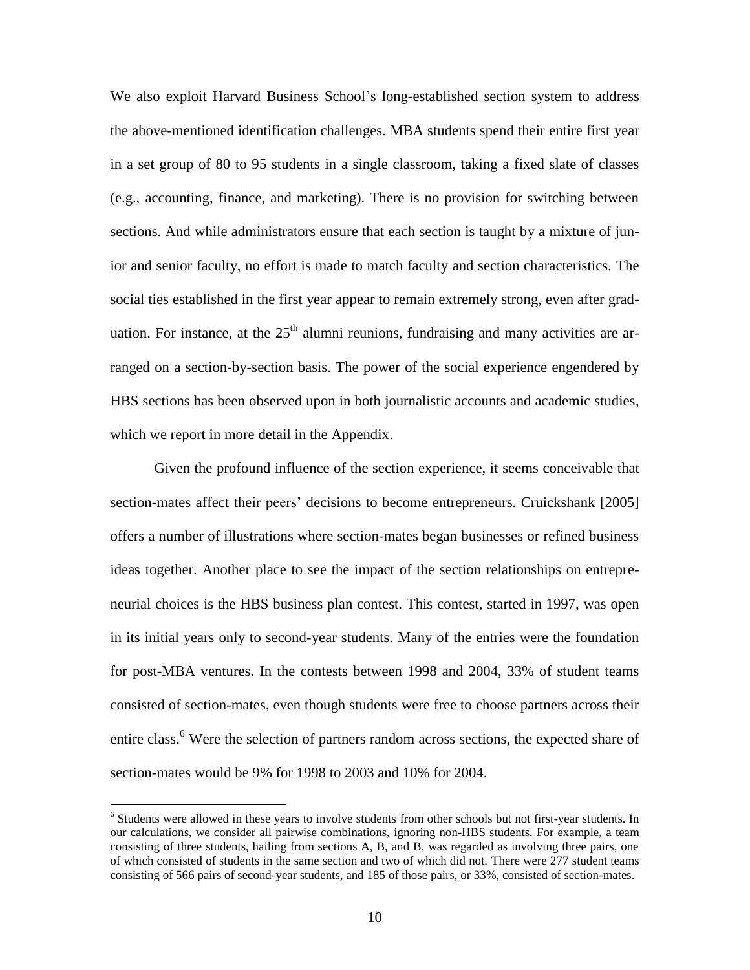We also exploit Harvard Business School's long-established section system to address the above-mentioned identification challenges. MBA students spend their entire first year in a set group of 80 to 95 students in a single classroom, taking a fixed slate of classes (e.g., accounting, finance, and marketing). There is no provision for switching between sections. And while administrators ensure that each section is taught by a mixture of junior and senior faculty, no effort is made to match faculty and section characteristics. The social ties established in the first year appear to remain extremely strong, even after graduation. For instance, at the  $25<sup>th</sup>$  alumni reunions, fundraising and many activities are arranged on a section-by-section basis. The power of the social experience engendered by HBS sections has been observed upon in both journalistic accounts and academic studies, which we report in more detail in the Appendix.

Given the profound influence of the section experience, it seems conceivable that section-mates affect their peers' decisions to become entrepreneurs. Cruickshank [2005] offers a number of illustrations where section-mates began businesses or refined business ideas together. Another place to see the impact of the section relationships on entrepreneurial choices is the HBS business plan contest. This contest, started in 1997, was open in its initial years only to second-year students. Many of the entries were the foundation for post-MBA ventures. In the contests between 1998 and 2004, 33% of student teams consisted of section-mates, even though students were free to choose partners across their entire class.<sup>6</sup> Were the selection of partners random across sections, the expected share of section-mates would be 9% for 1998 to 2003 and 10% for 2004.

<sup>&</sup>lt;sup>6</sup> Students were allowed in these years to involve students from other schools but not first-year students. In our calculations, we consider all pairwise combinations, ignoring non-HBS students. For example, a team consisting of three students, hailing from sections A, B, and B, was regarded as involving three pairs, one of which consisted of students in the same section and two of which did not. There were 277 student teams consisting of 566 pairs of second-year students, and 185 of those pairs, or 33%, consisted of section-mates.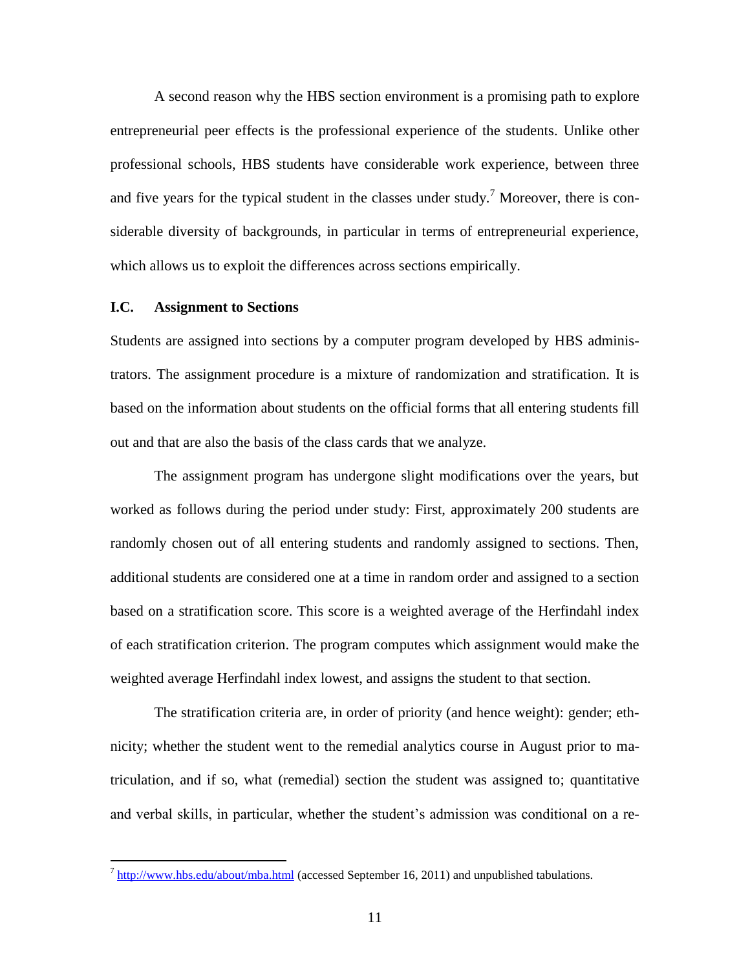A second reason why the HBS section environment is a promising path to explore entrepreneurial peer effects is the professional experience of the students. Unlike other professional schools, HBS students have considerable work experience, between three and five years for the typical student in the classes under study.<sup>7</sup> Moreover, there is considerable diversity of backgrounds, in particular in terms of entrepreneurial experience, which allows us to exploit the differences across sections empirically.

#### **I.C. Assignment to Sections**

Students are assigned into sections by a computer program developed by HBS administrators. The assignment procedure is a mixture of randomization and stratification. It is based on the information about students on the official forms that all entering students fill out and that are also the basis of the class cards that we analyze.

The assignment program has undergone slight modifications over the years, but worked as follows during the period under study: First, approximately 200 students are randomly chosen out of all entering students and randomly assigned to sections. Then, additional students are considered one at a time in random order and assigned to a section based on a stratification score. This score is a weighted average of the Herfindahl index of each stratification criterion. The program computes which assignment would make the weighted average Herfindahl index lowest, and assigns the student to that section.

The stratification criteria are, in order of priority (and hence weight): gender; ethnicity; whether the student went to the remedial analytics course in August prior to matriculation, and if so, what (remedial) section the student was assigned to; quantitative and verbal skills, in particular, whether the student's admission was conditional on a re-

<sup>&</sup>lt;sup>7</sup> <http://www.hbs.edu/about/mba.html> (accessed September 16, 2011) and unpublished tabulations.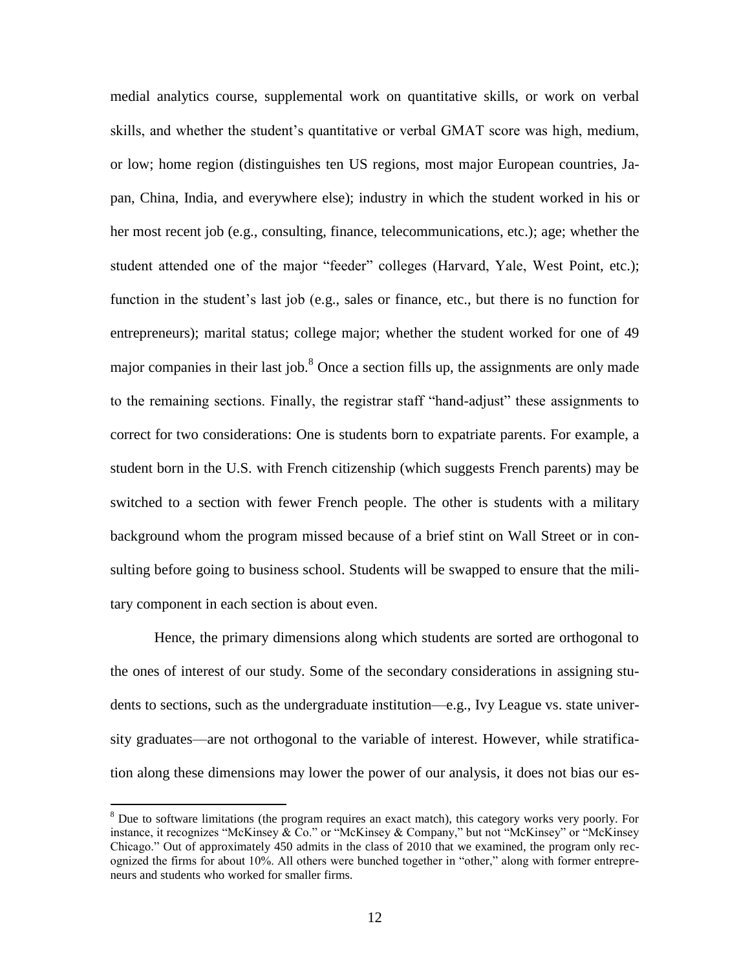medial analytics course, supplemental work on quantitative skills, or work on verbal skills, and whether the student's quantitative or verbal GMAT score was high, medium, or low; home region (distinguishes ten US regions, most major European countries, Japan, China, India, and everywhere else); industry in which the student worked in his or her most recent job (e.g., consulting, finance, telecommunications, etc.); age; whether the student attended one of the major "feeder" colleges (Harvard, Yale, West Point, etc.); function in the student's last job (e.g., sales or finance, etc., but there is no function for entrepreneurs); marital status; college major; whether the student worked for one of 49 major companies in their last job. $8$  Once a section fills up, the assignments are only made to the remaining sections. Finally, the registrar staff "hand-adjust" these assignments to correct for two considerations: One is students born to expatriate parents. For example, a student born in the U.S. with French citizenship (which suggests French parents) may be switched to a section with fewer French people. The other is students with a military background whom the program missed because of a brief stint on Wall Street or in consulting before going to business school. Students will be swapped to ensure that the military component in each section is about even.

Hence, the primary dimensions along which students are sorted are orthogonal to the ones of interest of our study. Some of the secondary considerations in assigning students to sections, such as the undergraduate institution—e.g., Ivy League vs. state university graduates—are not orthogonal to the variable of interest. However, while stratification along these dimensions may lower the power of our analysis, it does not bias our es-

 $8$  Due to software limitations (the program requires an exact match), this category works very poorly. For instance, it recognizes "McKinsey & Co." or "McKinsey & Company," but not "McKinsey" or "McKinsey" Chicago." Out of approximately 450 admits in the class of 2010 that we examined, the program only recognized the firms for about 10%. All others were bunched together in "other," along with former entrepreneurs and students who worked for smaller firms.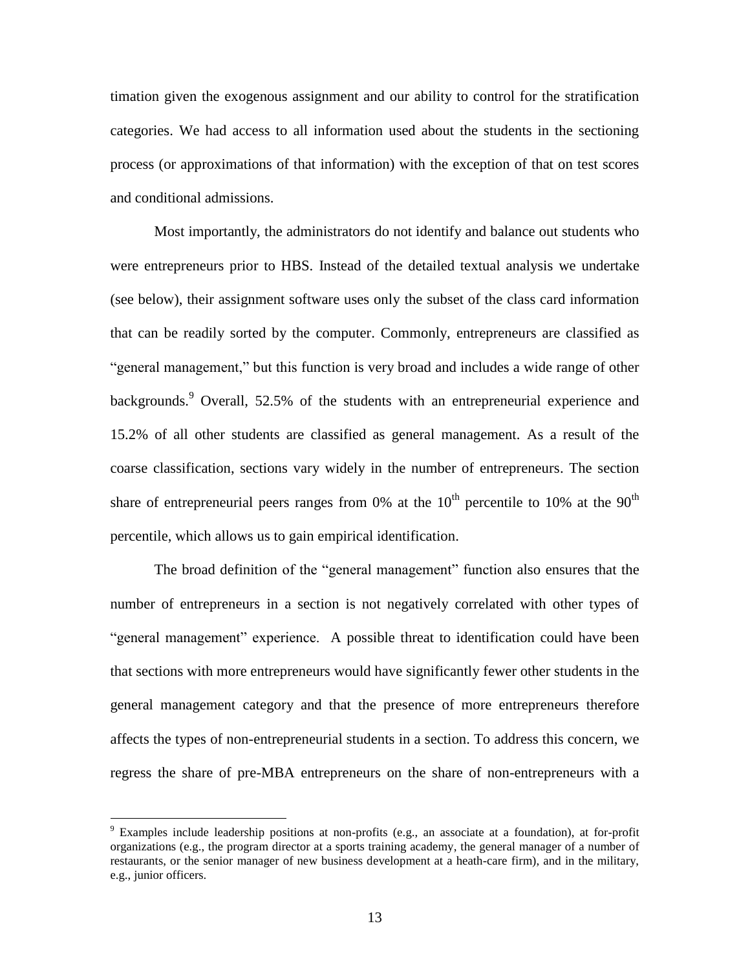timation given the exogenous assignment and our ability to control for the stratification categories. We had access to all information used about the students in the sectioning process (or approximations of that information) with the exception of that on test scores and conditional admissions.

Most importantly, the administrators do not identify and balance out students who were entrepreneurs prior to HBS. Instead of the detailed textual analysis we undertake (see below), their assignment software uses only the subset of the class card information that can be readily sorted by the computer. Commonly, entrepreneurs are classified as "general management," but this function is very broad and includes a wide range of other backgrounds.<sup>9</sup> Overall, 52.5% of the students with an entrepreneurial experience and 15.2% of all other students are classified as general management. As a result of the coarse classification, sections vary widely in the number of entrepreneurs. The section share of entrepreneurial peers ranges from 0% at the  $10<sup>th</sup>$  percentile to 10% at the 90<sup>th</sup> percentile, which allows us to gain empirical identification.

The broad definition of the "general management" function also ensures that the number of entrepreneurs in a section is not negatively correlated with other types of ―general management‖ experience. A possible threat to identification could have been that sections with more entrepreneurs would have significantly fewer other students in the general management category and that the presence of more entrepreneurs therefore affects the types of non-entrepreneurial students in a section. To address this concern, we regress the share of pre-MBA entrepreneurs on the share of non-entrepreneurs with a

<sup>9</sup> Examples include leadership positions at non-profits (e.g., an associate at a foundation), at for-profit organizations (e.g., the program director at a sports training academy, the general manager of a number of restaurants, or the senior manager of new business development at a heath-care firm), and in the military, e.g., junior officers.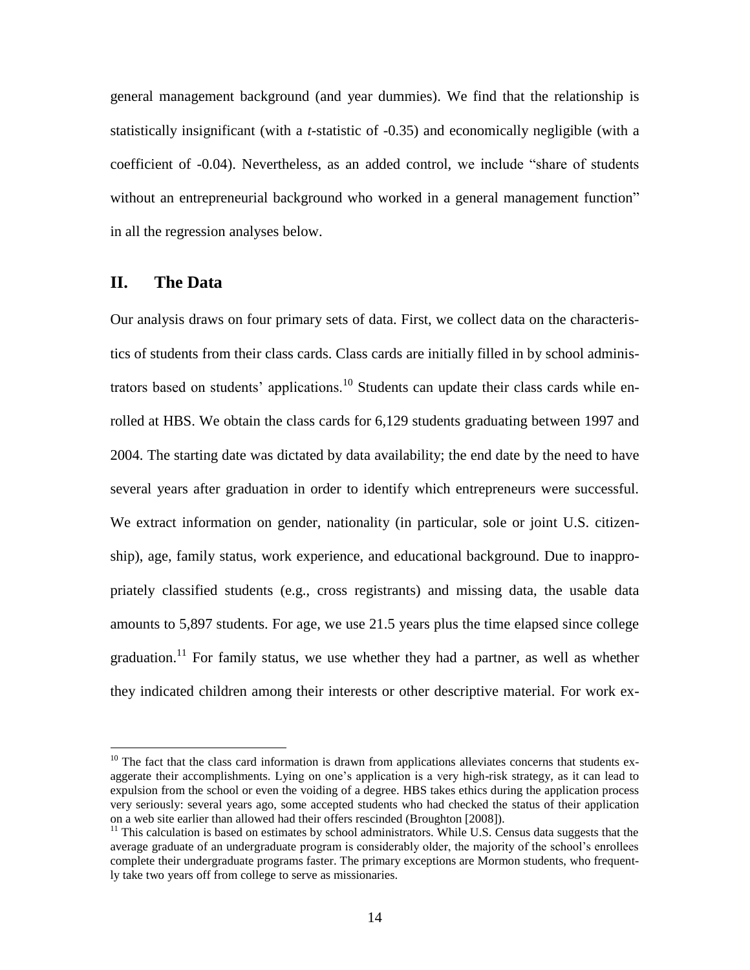general management background (and year dummies). We find that the relationship is statistically insignificant (with a *t*-statistic of -0.35) and economically negligible (with a coefficient of -0.04). Nevertheless, as an added control, we include "share of students" without an entrepreneurial background who worked in a general management function" in all the regression analyses below.

### **II. The Data**

 $\overline{a}$ 

Our analysis draws on four primary sets of data. First, we collect data on the characteristics of students from their class cards. Class cards are initially filled in by school administrators based on students' applications.<sup>10</sup> Students can update their class cards while enrolled at HBS. We obtain the class cards for 6,129 students graduating between 1997 and 2004. The starting date was dictated by data availability; the end date by the need to have several years after graduation in order to identify which entrepreneurs were successful. We extract information on gender, nationality (in particular, sole or joint U.S. citizenship), age, family status, work experience, and educational background. Due to inappropriately classified students (e.g., cross registrants) and missing data, the usable data amounts to 5,897 students. For age, we use 21.5 years plus the time elapsed since college graduation.<sup>11</sup> For family status, we use whether they had a partner, as well as whether they indicated children among their interests or other descriptive material. For work ex-

 $10$  The fact that the class card information is drawn from applications alleviates concerns that students exaggerate their accomplishments. Lying on one's application is a very high-risk strategy, as it can lead to expulsion from the school or even the voiding of a degree. HBS takes ethics during the application process very seriously: several years ago, some accepted students who had checked the status of their application on a web site earlier than allowed had their offers rescinded (Broughton [2008]).

 $11$  This calculation is based on estimates by school administrators. While U.S. Census data suggests that the average graduate of an undergraduate program is considerably older, the majority of the school's enrollees complete their undergraduate programs faster. The primary exceptions are Mormon students, who frequently take two years off from college to serve as missionaries.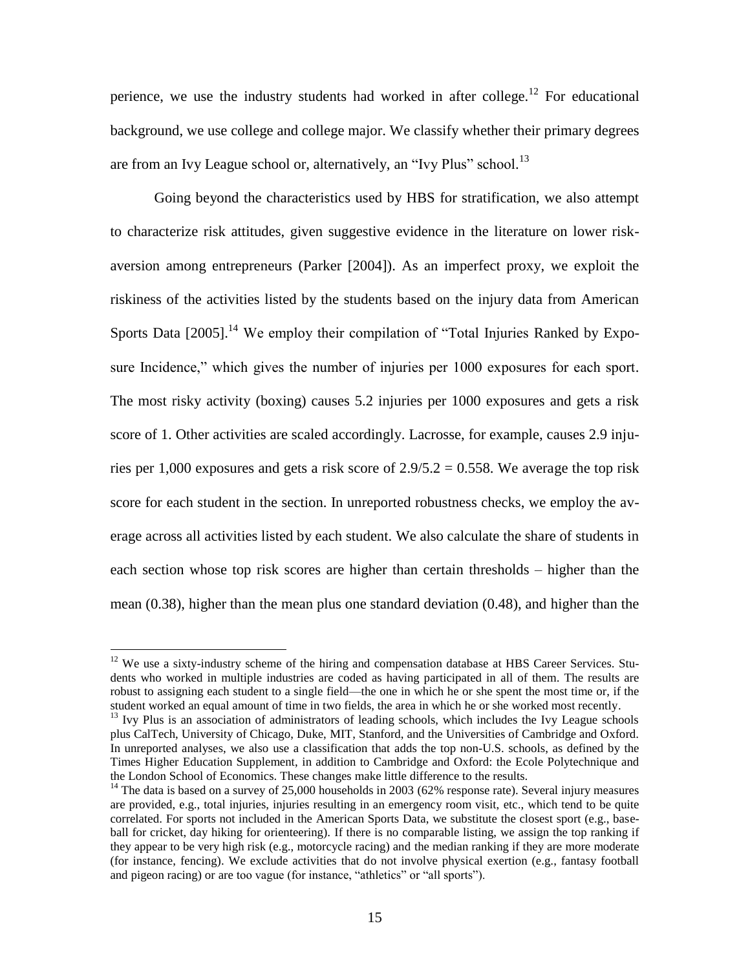perience, we use the industry students had worked in after college.<sup>12</sup> For educational background, we use college and college major. We classify whether their primary degrees are from an Ivy League school or, alternatively, an "Ivy Plus" school.<sup>13</sup>

Going beyond the characteristics used by HBS for stratification, we also attempt to characterize risk attitudes, given suggestive evidence in the literature on lower riskaversion among entrepreneurs (Parker [2004]). As an imperfect proxy, we exploit the riskiness of the activities listed by the students based on the injury data from American Sports Data  $[2005]$ .<sup>14</sup> We employ their compilation of "Total Injuries Ranked by Exposure Incidence," which gives the number of injuries per 1000 exposures for each sport. The most risky activity (boxing) causes 5.2 injuries per 1000 exposures and gets a risk score of 1. Other activities are scaled accordingly. Lacrosse, for example, causes 2.9 injuries per 1,000 exposures and gets a risk score of  $2.9/5.2 = 0.558$ . We average the top risk score for each student in the section. In unreported robustness checks, we employ the average across all activities listed by each student. We also calculate the share of students in each section whose top risk scores are higher than certain thresholds – higher than the mean (0.38), higher than the mean plus one standard deviation (0.48), and higher than the

 $12$  We use a sixty-industry scheme of the hiring and compensation database at HBS Career Services. Students who worked in multiple industries are coded as having participated in all of them. The results are robust to assigning each student to a single field—the one in which he or she spent the most time or, if the student worked an equal amount of time in two fields, the area in which he or she worked most recently.

<sup>&</sup>lt;sup>13</sup> Ivy Plus is an association of administrators of leading schools, which includes the Ivy League schools plus CalTech, University of Chicago, Duke, MIT, Stanford, and the Universities of Cambridge and Oxford. In unreported analyses, we also use a classification that adds the top non-U.S. schools, as defined by the Times Higher Education Supplement, in addition to Cambridge and Oxford: the Ecole Polytechnique and the London School of Economics. These changes make little difference to the results.

<sup>&</sup>lt;sup>14</sup> The data is based on a survey of 25,000 households in 2003 (62% response rate). Several injury measures are provided, e.g., total injuries, injuries resulting in an emergency room visit, etc., which tend to be quite correlated. For sports not included in the American Sports Data, we substitute the closest sport (e.g., baseball for cricket, day hiking for orienteering). If there is no comparable listing, we assign the top ranking if they appear to be very high risk (e.g., motorcycle racing) and the median ranking if they are more moderate (for instance, fencing). We exclude activities that do not involve physical exertion (e.g., fantasy football and pigeon racing) or are too vague (for instance, "athletics" or "all sports").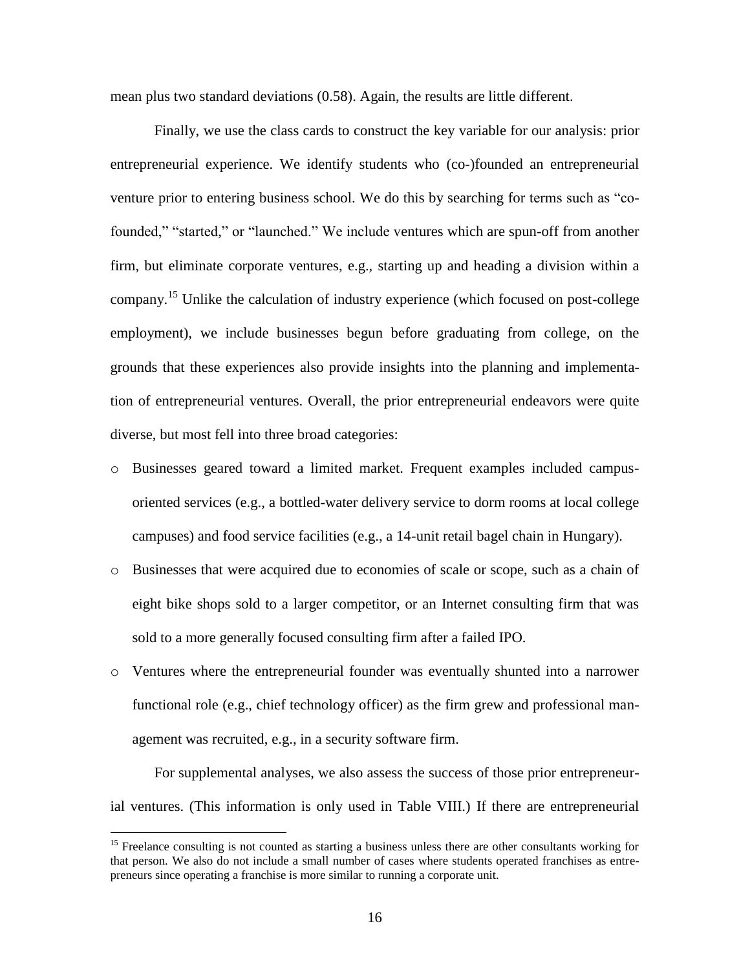mean plus two standard deviations (0.58). Again, the results are little different.

Finally, we use the class cards to construct the key variable for our analysis: prior entrepreneurial experience. We identify students who (co-)founded an entrepreneurial venture prior to entering business school. We do this by searching for terms such as "co-founded," "started," or "launched." We include ventures which are spun-off from another firm, but eliminate corporate ventures, e.g., starting up and heading a division within a company.<sup>15</sup> Unlike the calculation of industry experience (which focused on post-college employment), we include businesses begun before graduating from college, on the grounds that these experiences also provide insights into the planning and implementation of entrepreneurial ventures. Overall, the prior entrepreneurial endeavors were quite diverse, but most fell into three broad categories:

- o Businesses geared toward a limited market. Frequent examples included campusoriented services (e.g., a bottled-water delivery service to dorm rooms at local college campuses) and food service facilities (e.g., a 14-unit retail bagel chain in Hungary).
- o Businesses that were acquired due to economies of scale or scope, such as a chain of eight bike shops sold to a larger competitor, or an Internet consulting firm that was sold to a more generally focused consulting firm after a failed IPO.
- o Ventures where the entrepreneurial founder was eventually shunted into a narrower functional role (e.g., chief technology officer) as the firm grew and professional management was recruited, e.g., in a security software firm.

For supplemental analyses, we also assess the success of those prior entrepreneurial ventures. (This information is only used in Table VIII.) If there are entrepreneurial

<sup>&</sup>lt;sup>15</sup> Freelance consulting is not counted as starting a business unless there are other consultants working for that person. We also do not include a small number of cases where students operated franchises as entrepreneurs since operating a franchise is more similar to running a corporate unit.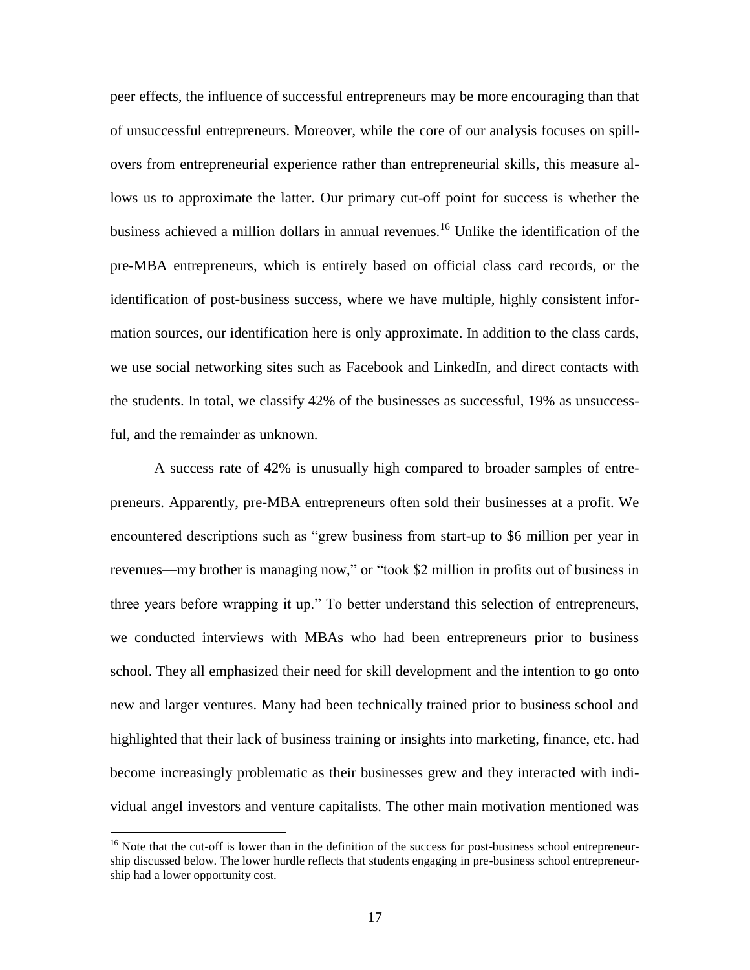peer effects, the influence of successful entrepreneurs may be more encouraging than that of unsuccessful entrepreneurs. Moreover, while the core of our analysis focuses on spillovers from entrepreneurial experience rather than entrepreneurial skills, this measure allows us to approximate the latter. Our primary cut-off point for success is whether the business achieved a million dollars in annual revenues.<sup>16</sup> Unlike the identification of the pre-MBA entrepreneurs, which is entirely based on official class card records, or the identification of post-business success, where we have multiple, highly consistent information sources, our identification here is only approximate. In addition to the class cards, we use social networking sites such as Facebook and LinkedIn, and direct contacts with the students. In total, we classify 42% of the businesses as successful, 19% as unsuccessful, and the remainder as unknown.

A success rate of 42% is unusually high compared to broader samples of entrepreneurs. Apparently, pre-MBA entrepreneurs often sold their businesses at a profit. We encountered descriptions such as "grew business from start-up to \$6 million per year in revenues—my brother is managing now," or "took \$2 million in profits out of business in three years before wrapping it up." To better understand this selection of entrepreneurs, we conducted interviews with MBAs who had been entrepreneurs prior to business school. They all emphasized their need for skill development and the intention to go onto new and larger ventures. Many had been technically trained prior to business school and highlighted that their lack of business training or insights into marketing, finance, etc. had become increasingly problematic as their businesses grew and they interacted with individual angel investors and venture capitalists. The other main motivation mentioned was

<sup>&</sup>lt;sup>16</sup> Note that the cut-off is lower than in the definition of the success for post-business school entrepreneurship discussed below. The lower hurdle reflects that students engaging in pre-business school entrepreneurship had a lower opportunity cost.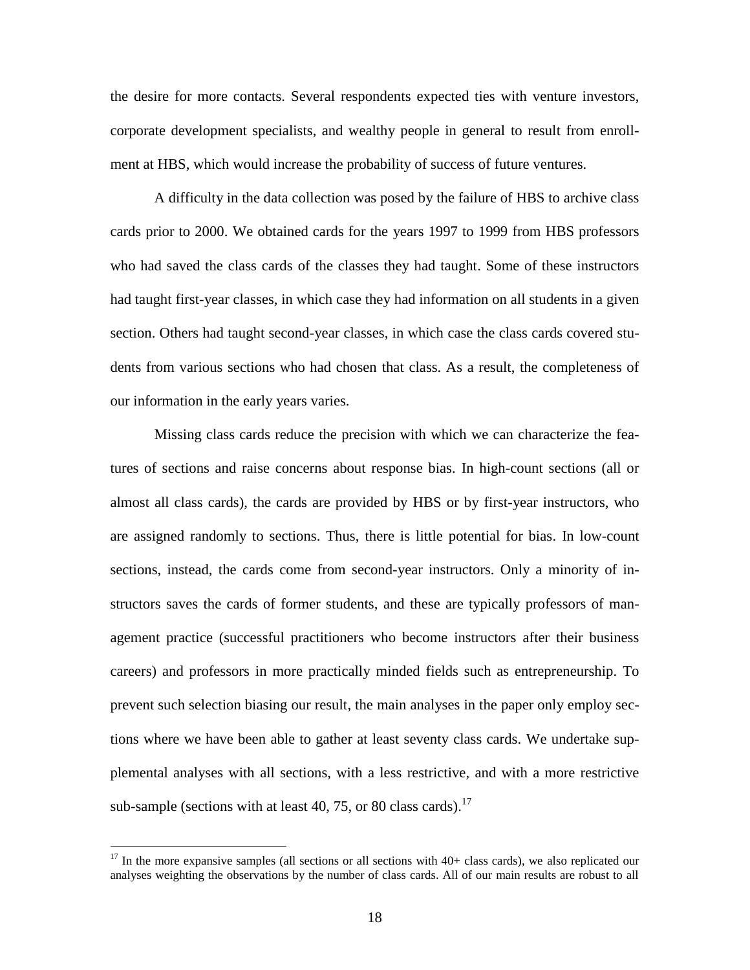the desire for more contacts. Several respondents expected ties with venture investors, corporate development specialists, and wealthy people in general to result from enrollment at HBS, which would increase the probability of success of future ventures.

A difficulty in the data collection was posed by the failure of HBS to archive class cards prior to 2000. We obtained cards for the years 1997 to 1999 from HBS professors who had saved the class cards of the classes they had taught. Some of these instructors had taught first-year classes, in which case they had information on all students in a given section. Others had taught second-year classes, in which case the class cards covered students from various sections who had chosen that class. As a result, the completeness of our information in the early years varies.

Missing class cards reduce the precision with which we can characterize the features of sections and raise concerns about response bias. In high-count sections (all or almost all class cards), the cards are provided by HBS or by first-year instructors, who are assigned randomly to sections. Thus, there is little potential for bias. In low-count sections, instead, the cards come from second-year instructors. Only a minority of instructors saves the cards of former students, and these are typically professors of management practice (successful practitioners who become instructors after their business careers) and professors in more practically minded fields such as entrepreneurship. To prevent such selection biasing our result, the main analyses in the paper only employ sections where we have been able to gather at least seventy class cards. We undertake supplemental analyses with all sections, with a less restrictive, and with a more restrictive sub-sample (sections with at least 40, 75, or 80 class cards).<sup>17</sup>

 $17$  In the more expansive samples (all sections or all sections with  $40+$  class cards), we also replicated our analyses weighting the observations by the number of class cards. All of our main results are robust to all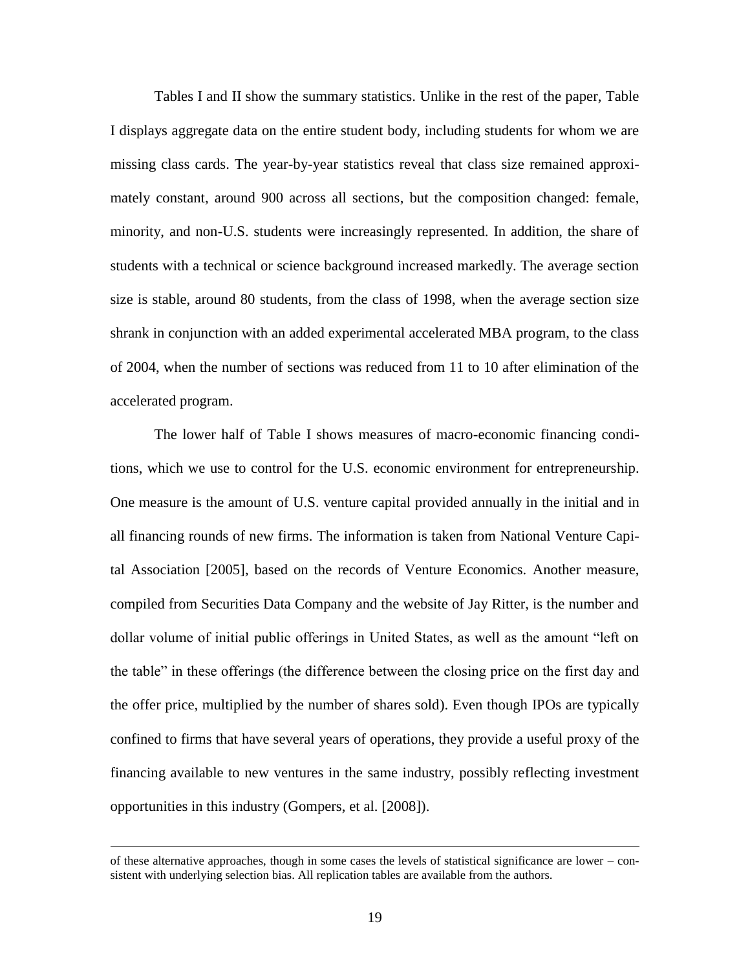Tables I and II show the summary statistics. Unlike in the rest of the paper, Table I displays aggregate data on the entire student body, including students for whom we are missing class cards. The year-by-year statistics reveal that class size remained approximately constant, around 900 across all sections, but the composition changed: female, minority, and non-U.S. students were increasingly represented. In addition, the share of students with a technical or science background increased markedly. The average section size is stable, around 80 students, from the class of 1998, when the average section size shrank in conjunction with an added experimental accelerated MBA program, to the class of 2004, when the number of sections was reduced from 11 to 10 after elimination of the accelerated program.

The lower half of Table I shows measures of macro-economic financing conditions, which we use to control for the U.S. economic environment for entrepreneurship. One measure is the amount of U.S. venture capital provided annually in the initial and in all financing rounds of new firms. The information is taken from National Venture Capital Association [2005], based on the records of Venture Economics. Another measure, compiled from Securities Data Company and the website of Jay Ritter, is the number and dollar volume of initial public offerings in United States, as well as the amount "left on the table" in these offerings (the difference between the closing price on the first day and the offer price, multiplied by the number of shares sold). Even though IPOs are typically confined to firms that have several years of operations, they provide a useful proxy of the financing available to new ventures in the same industry, possibly reflecting investment opportunities in this industry (Gompers, et al. [2008]).

of these alternative approaches, though in some cases the levels of statistical significance are lower – consistent with underlying selection bias. All replication tables are available from the authors.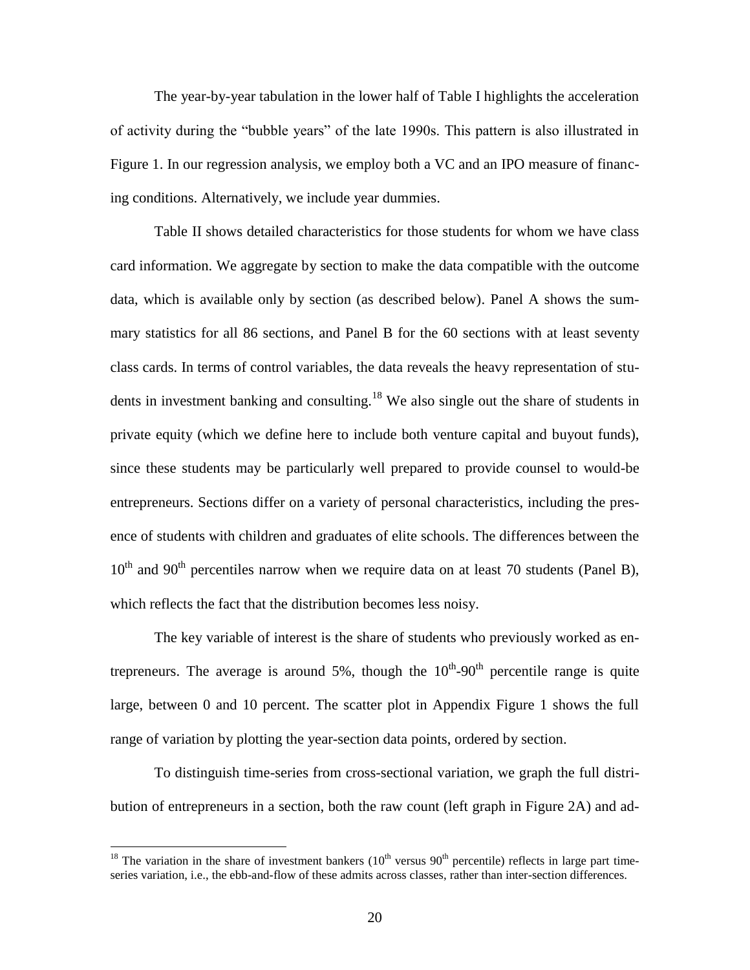The year-by-year tabulation in the lower half of Table I highlights the acceleration of activity during the "bubble years" of the late 1990s. This pattern is also illustrated in Figure 1. In our regression analysis, we employ both a VC and an IPO measure of financing conditions. Alternatively, we include year dummies.

Table II shows detailed characteristics for those students for whom we have class card information. We aggregate by section to make the data compatible with the outcome data, which is available only by section (as described below). Panel A shows the summary statistics for all 86 sections, and Panel B for the 60 sections with at least seventy class cards. In terms of control variables, the data reveals the heavy representation of students in investment banking and consulting.<sup>18</sup> We also single out the share of students in private equity (which we define here to include both venture capital and buyout funds), since these students may be particularly well prepared to provide counsel to would-be entrepreneurs. Sections differ on a variety of personal characteristics, including the presence of students with children and graduates of elite schools. The differences between the  $10<sup>th</sup>$  and 90<sup>th</sup> percentiles narrow when we require data on at least 70 students (Panel B), which reflects the fact that the distribution becomes less noisy.

The key variable of interest is the share of students who previously worked as entrepreneurs. The average is around 5%, though the  $10^{th}$ -90<sup>th</sup> percentile range is quite large, between 0 and 10 percent. The scatter plot in Appendix Figure 1 shows the full range of variation by plotting the year-section data points, ordered by section.

To distinguish time-series from cross-sectional variation, we graph the full distribution of entrepreneurs in a section, both the raw count (left graph in Figure 2A) and ad-

<sup>&</sup>lt;sup>18</sup> The variation in the share of investment bankers  $(10<sup>th</sup>$  versus 90<sup>th</sup> percentile) reflects in large part timeseries variation, i.e., the ebb-and-flow of these admits across classes, rather than inter-section differences.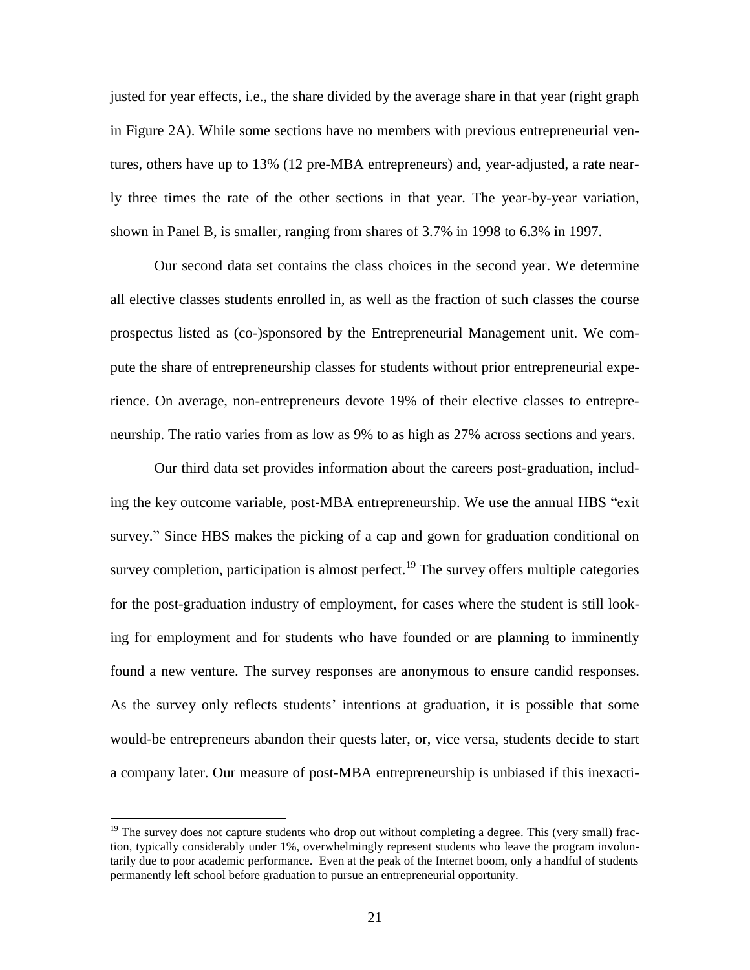justed for year effects, i.e., the share divided by the average share in that year (right graph in Figure 2A). While some sections have no members with previous entrepreneurial ventures, others have up to 13% (12 pre-MBA entrepreneurs) and, year-adjusted, a rate nearly three times the rate of the other sections in that year. The year-by-year variation, shown in Panel B, is smaller, ranging from shares of 3.7% in 1998 to 6.3% in 1997.

Our second data set contains the class choices in the second year. We determine all elective classes students enrolled in, as well as the fraction of such classes the course prospectus listed as (co-)sponsored by the Entrepreneurial Management unit. We compute the share of entrepreneurship classes for students without prior entrepreneurial experience. On average, non-entrepreneurs devote 19% of their elective classes to entrepreneurship. The ratio varies from as low as 9% to as high as 27% across sections and years.

Our third data set provides information about the careers post-graduation, including the key outcome variable, post-MBA entrepreneurship. We use the annual HBS "exit" survey." Since HBS makes the picking of a cap and gown for graduation conditional on survey completion, participation is almost perfect.<sup>19</sup> The survey offers multiple categories for the post-graduation industry of employment, for cases where the student is still looking for employment and for students who have founded or are planning to imminently found a new venture. The survey responses are anonymous to ensure candid responses. As the survey only reflects students' intentions at graduation, it is possible that some would-be entrepreneurs abandon their quests later, or, vice versa, students decide to start a company later. Our measure of post-MBA entrepreneurship is unbiased if this inexacti-

 $19$  The survey does not capture students who drop out without completing a degree. This (very small) fraction, typically considerably under 1%, overwhelmingly represent students who leave the program involuntarily due to poor academic performance. Even at the peak of the Internet boom, only a handful of students permanently left school before graduation to pursue an entrepreneurial opportunity.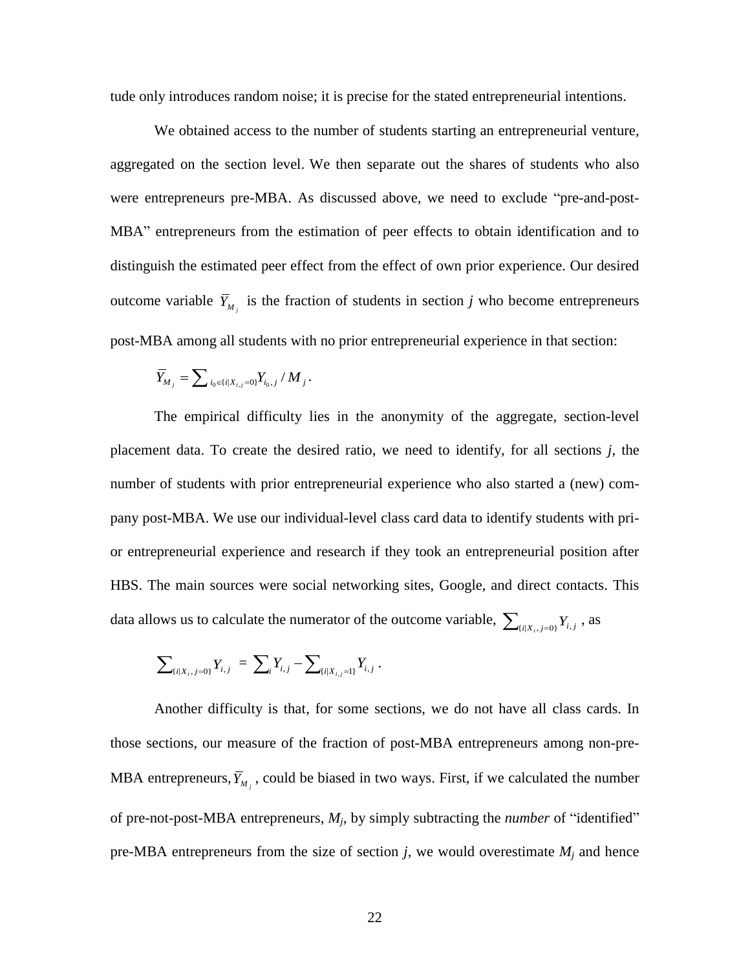tude only introduces random noise; it is precise for the stated entrepreneurial intentions.

We obtained access to the number of students starting an entrepreneurial venture, aggregated on the section level. We then separate out the shares of students who also were entrepreneurs pre-MBA. As discussed above, we need to exclude "pre-and-post-MBA" entrepreneurs from the estimation of peer effects to obtain identification and to distinguish the estimated peer effect from the effect of own prior experience. Our desired outcome variable  $\overline{Y}_{M_j}$  is the fraction of students in section *j* who become entrepreneurs post-MBA among all students with no prior entrepreneurial experience in that section:

$$
\overline{Y}_{M_j} = \sum_{i_0 \in \{i | X_{i,j} = 0\}} Y_{i_0,j} / M_j.
$$

The empirical difficulty lies in the anonymity of the aggregate, section-level placement data. To create the desired ratio, we need to identify, for all sections *j*, the number of students with prior entrepreneurial experience who also started a (new) company post-MBA. We use our individual-level class card data to identify students with prior entrepreneurial experience and research if they took an entrepreneurial position after HBS. The main sources were social networking sites, Google, and direct contacts. This data allows us to calculate the numerator of the outcome variable,  $\sum_{(i|X_i,j=0)} Y_{i,j}$ , as

$$
\sum\nolimits_{\{i|X_i,j=0\}} Y_{i,j} \ = \ \sum\nolimits_i Y_{i,j} - \sum\nolimits_{\{i|X_{i,j}=1\}} Y_{i,j} \ .
$$

Another difficulty is that, for some sections, we do not have all class cards. In those sections, our measure of the fraction of post-MBA entrepreneurs among non-pre-MBA entrepreneurs,  $\overline{Y}_{M_j}$ , could be biased in two ways. First, if we calculated the number of pre-not-post-MBA entrepreneurs,  $M_j$ , by simply subtracting the *number* of "identified" pre-MBA entrepreneurs from the size of section  $j$ , we would overestimate  $M_j$  and hence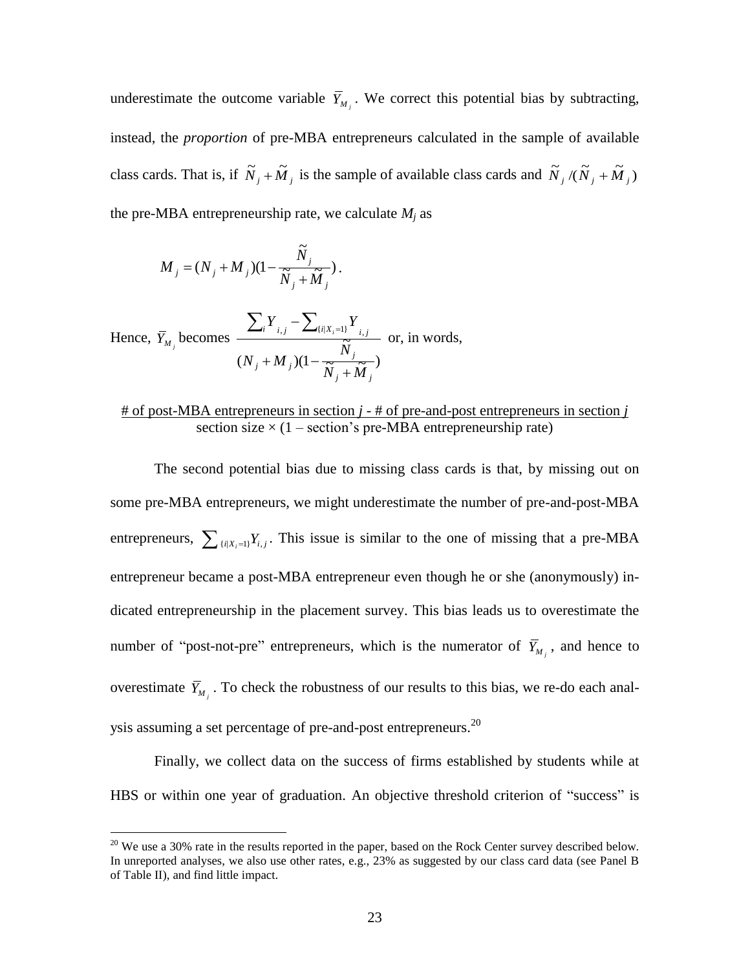underestimate the outcome variable  $\overline{Y}_{M_j}$ . We correct this potential bias by subtracting, instead, the *proportion* of pre-MBA entrepreneurs calculated in the sample of available class cards. That is, if  $\tilde{N}_j + \tilde{M}_j$  is the sample of available class cards and  $\tilde{N}_j/(\tilde{N}_j + \tilde{M}_j)$ the pre-MBA entrepreneurship rate, we calculate  $M_j$  as

$$
\boldsymbol{M}_j = (\boldsymbol{N}_j + \boldsymbol{M}_j)(1 - \frac{\tilde{N}_j}{\tilde{N}_j + \tilde{M}_j}).
$$

 $\overline{a}$ 

Hence, 
$$
\overline{Y}_{M_j}
$$
 becomes 
$$
\frac{\sum_i Y_{i,j} - \sum_{\{i|X_i=1\}} Y_{i,j}}{(N_j + M_j)(1 - \frac{\widetilde{N}_j}{\widetilde{N}_j + \widetilde{M}_j})}
$$
 or, in words,

## # of post-MBA entrepreneurs in section *j* - # of pre-and-post entrepreneurs in section *j* section size  $\times$  (1 – section's pre-MBA entrepreneurship rate)

The second potential bias due to missing class cards is that, by missing out on some pre-MBA entrepreneurs, we might underestimate the number of pre-and-post-MBA entrepreneurs,  $\sum_{\{i|X_i=1\}} Y_{i,j}$ . This issue is similar to the one of missing that a pre-MBA entrepreneur became a post-MBA entrepreneur even though he or she (anonymously) indicated entrepreneurship in the placement survey. This bias leads us to overestimate the number of "post-not-pre" entrepreneurs, which is the numerator of  $\overline{Y}_{M}$ , and hence to overestimate  $\bar{Y}_{M_j}$ . To check the robustness of our results to this bias, we re-do each analysis assuming a set percentage of pre-and-post entrepreneurs.<sup>20</sup>

Finally, we collect data on the success of firms established by students while at HBS or within one year of graduation. An objective threshold criterion of "success" is

<sup>&</sup>lt;sup>20</sup> We use a 30% rate in the results reported in the paper, based on the Rock Center survey described below. In unreported analyses, we also use other rates, e.g., 23% as suggested by our class card data (see Panel B of Table II), and find little impact.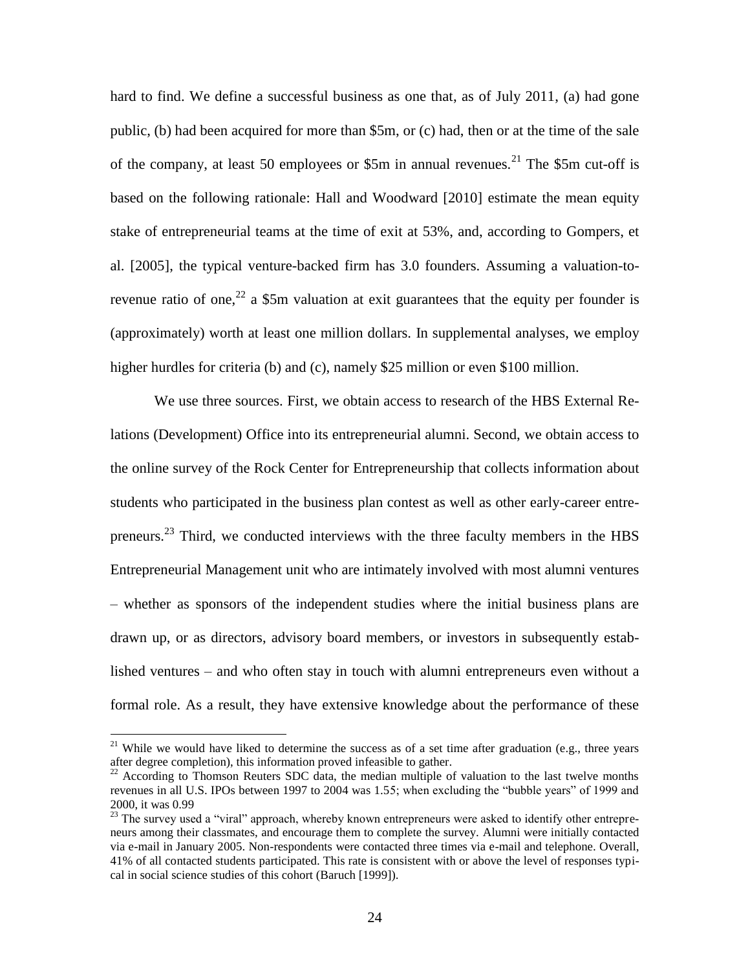hard to find. We define a successful business as one that, as of July 2011, (a) had gone public, (b) had been acquired for more than \$5m, or (c) had, then or at the time of the sale of the company, at least 50 employees or \$5m in annual revenues.<sup>21</sup> The \$5m cut-off is based on the following rationale: Hall and Woodward [2010] estimate the mean equity stake of entrepreneurial teams at the time of exit at 53%, and, according to Gompers, et al. [2005], the typical venture-backed firm has 3.0 founders. Assuming a valuation-torevenue ratio of one,  $2^2$  a \$5m valuation at exit guarantees that the equity per founder is (approximately) worth at least one million dollars. In supplemental analyses, we employ higher hurdles for criteria (b) and (c), namely \$25 million or even \$100 million.

We use three sources. First, we obtain access to research of the HBS External Relations (Development) Office into its entrepreneurial alumni. Second, we obtain access to the online survey of the Rock Center for Entrepreneurship that collects information about students who participated in the business plan contest as well as other early-career entrepreneurs.<sup>23</sup> Third, we conducted interviews with the three faculty members in the HBS Entrepreneurial Management unit who are intimately involved with most alumni ventures – whether as sponsors of the independent studies where the initial business plans are drawn up, or as directors, advisory board members, or investors in subsequently established ventures – and who often stay in touch with alumni entrepreneurs even without a formal role. As a result, they have extensive knowledge about the performance of these

<sup>&</sup>lt;sup>21</sup> While we would have liked to determine the success as of a set time after graduation (e.g., three years after degree completion), this information proved infeasible to gather.

<sup>&</sup>lt;sup>22</sup> According to Thomson Reuters SDC data, the median multiple of valuation to the last twelve months revenues in all U.S. IPOs between 1997 to 2004 was 1.55; when excluding the "bubble years" of 1999 and 2000, it was 0.99

<sup>&</sup>lt;sup>23</sup> The survey used a "viral" approach, whereby known entrepreneurs were asked to identify other entrepreneurs among their classmates, and encourage them to complete the survey. Alumni were initially contacted via e-mail in January 2005. Non-respondents were contacted three times via e-mail and telephone. Overall, 41% of all contacted students participated. This rate is consistent with or above the level of responses typical in social science studies of this cohort (Baruch [1999]).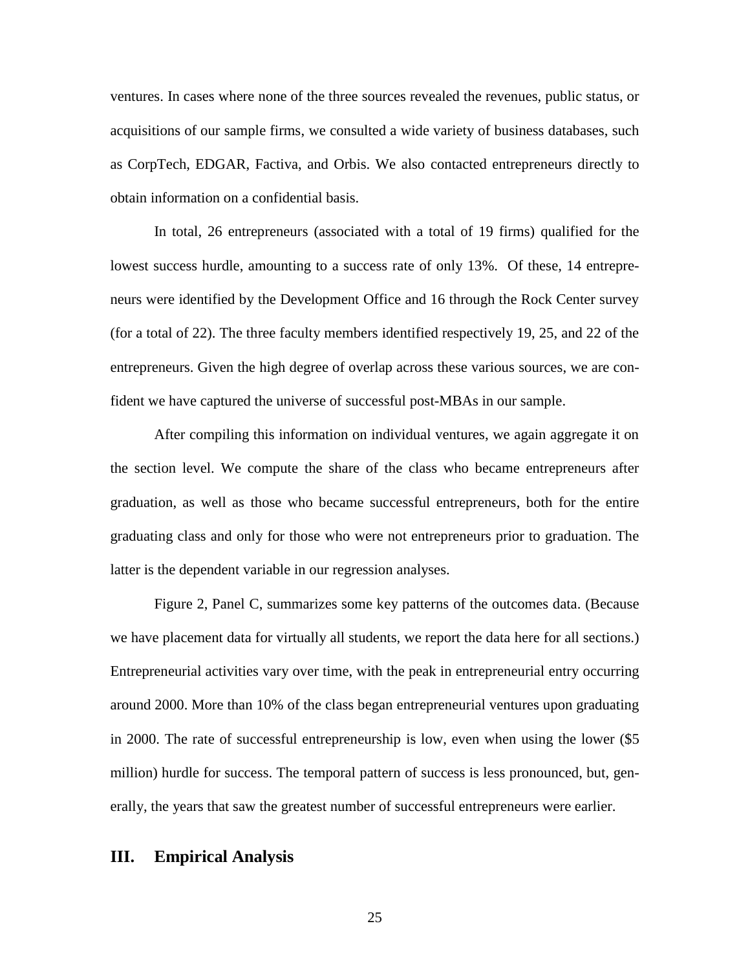ventures. In cases where none of the three sources revealed the revenues, public status, or acquisitions of our sample firms, we consulted a wide variety of business databases, such as CorpTech, EDGAR, Factiva, and Orbis. We also contacted entrepreneurs directly to obtain information on a confidential basis.

In total, 26 entrepreneurs (associated with a total of 19 firms) qualified for the lowest success hurdle, amounting to a success rate of only 13%. Of these, 14 entrepreneurs were identified by the Development Office and 16 through the Rock Center survey (for a total of 22). The three faculty members identified respectively 19, 25, and 22 of the entrepreneurs. Given the high degree of overlap across these various sources, we are confident we have captured the universe of successful post-MBAs in our sample.

After compiling this information on individual ventures, we again aggregate it on the section level. We compute the share of the class who became entrepreneurs after graduation, as well as those who became successful entrepreneurs, both for the entire graduating class and only for those who were not entrepreneurs prior to graduation. The latter is the dependent variable in our regression analyses.

Figure 2, Panel C, summarizes some key patterns of the outcomes data. (Because we have placement data for virtually all students, we report the data here for all sections.) Entrepreneurial activities vary over time, with the peak in entrepreneurial entry occurring around 2000. More than 10% of the class began entrepreneurial ventures upon graduating in 2000. The rate of successful entrepreneurship is low, even when using the lower (\$5 million) hurdle for success. The temporal pattern of success is less pronounced, but, generally, the years that saw the greatest number of successful entrepreneurs were earlier.

### **III. Empirical Analysis**

25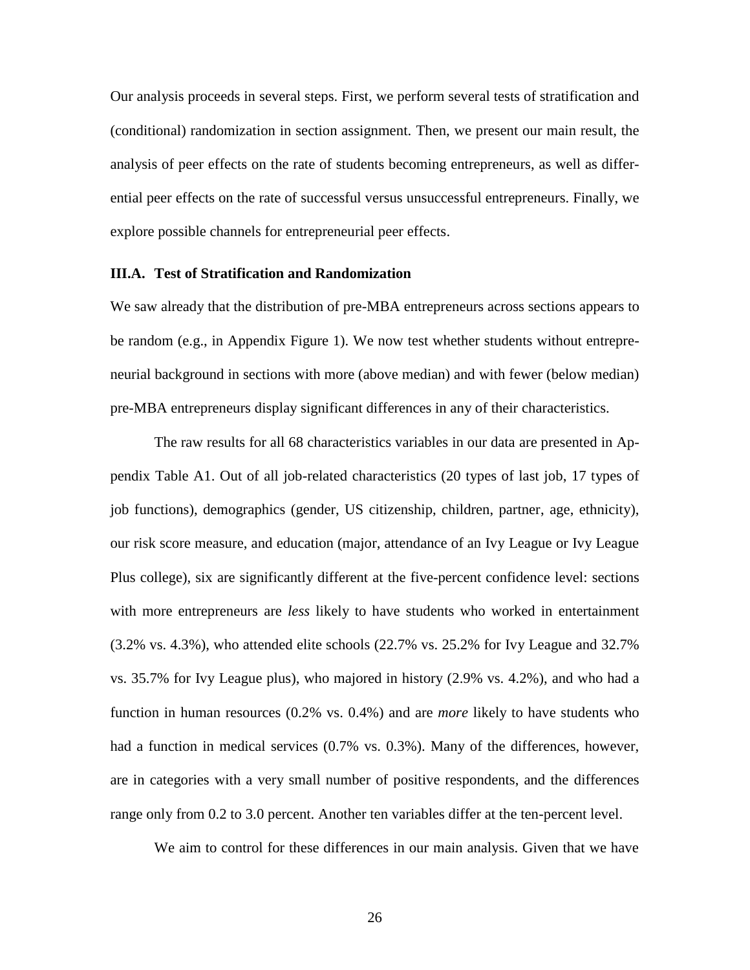Our analysis proceeds in several steps. First, we perform several tests of stratification and (conditional) randomization in section assignment. Then, we present our main result, the analysis of peer effects on the rate of students becoming entrepreneurs, as well as differential peer effects on the rate of successful versus unsuccessful entrepreneurs. Finally, we explore possible channels for entrepreneurial peer effects.

#### **III.A. Test of Stratification and Randomization**

We saw already that the distribution of pre-MBA entrepreneurs across sections appears to be random (e.g., in Appendix Figure 1). We now test whether students without entrepreneurial background in sections with more (above median) and with fewer (below median) pre-MBA entrepreneurs display significant differences in any of their characteristics.

The raw results for all 68 characteristics variables in our data are presented in Appendix Table A1. Out of all job-related characteristics (20 types of last job, 17 types of job functions), demographics (gender, US citizenship, children, partner, age, ethnicity), our risk score measure, and education (major, attendance of an Ivy League or Ivy League Plus college), six are significantly different at the five-percent confidence level: sections with more entrepreneurs are *less* likely to have students who worked in entertainment (3.2% vs. 4.3%), who attended elite schools (22.7% vs. 25.2% for Ivy League and 32.7% vs. 35.7% for Ivy League plus), who majored in history (2.9% vs. 4.2%), and who had a function in human resources (0.2% vs. 0.4%) and are *more* likely to have students who had a function in medical services (0.7% vs. 0.3%). Many of the differences, however, are in categories with a very small number of positive respondents, and the differences range only from 0.2 to 3.0 percent. Another ten variables differ at the ten-percent level.

We aim to control for these differences in our main analysis. Given that we have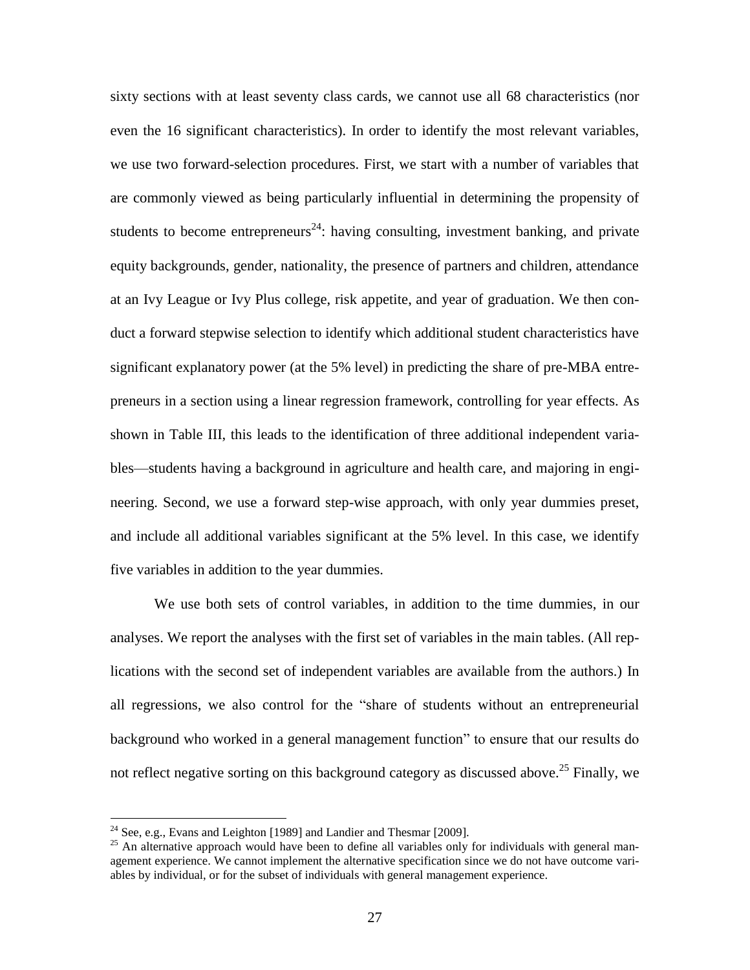sixty sections with at least seventy class cards, we cannot use all 68 characteristics (nor even the 16 significant characteristics). In order to identify the most relevant variables, we use two forward-selection procedures. First, we start with a number of variables that are commonly viewed as being particularly influential in determining the propensity of students to become entrepreneurs<sup>24</sup>: having consulting, investment banking, and private equity backgrounds, gender, nationality, the presence of partners and children, attendance at an Ivy League or Ivy Plus college, risk appetite, and year of graduation. We then conduct a forward stepwise selection to identify which additional student characteristics have significant explanatory power (at the 5% level) in predicting the share of pre-MBA entrepreneurs in a section using a linear regression framework, controlling for year effects. As shown in Table III, this leads to the identification of three additional independent variables—students having a background in agriculture and health care, and majoring in engineering. Second, we use a forward step-wise approach, with only year dummies preset, and include all additional variables significant at the 5% level. In this case, we identify five variables in addition to the year dummies.

We use both sets of control variables, in addition to the time dummies, in our analyses. We report the analyses with the first set of variables in the main tables. (All replications with the second set of independent variables are available from the authors.) In all regressions, we also control for the "share of students without an entrepreneurial background who worked in a general management function‖ to ensure that our results do not reflect negative sorting on this background category as discussed above.<sup>25</sup> Finally, we

<sup>&</sup>lt;sup>24</sup> See, e.g., Evans and Leighton [1989] and Landier and Thesmar [2009].

 $25$  An alternative approach would have been to define all variables only for individuals with general management experience. We cannot implement the alternative specification since we do not have outcome variables by individual, or for the subset of individuals with general management experience.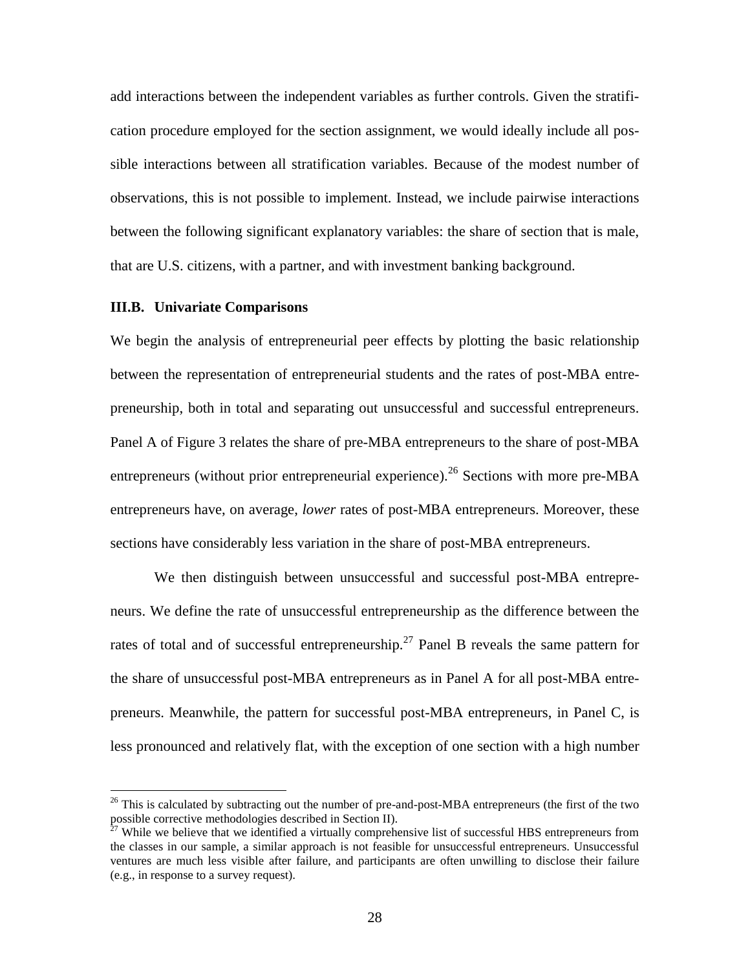add interactions between the independent variables as further controls. Given the stratification procedure employed for the section assignment, we would ideally include all possible interactions between all stratification variables. Because of the modest number of observations, this is not possible to implement. Instead, we include pairwise interactions between the following significant explanatory variables: the share of section that is male, that are U.S. citizens, with a partner, and with investment banking background.

#### **III.B. Univariate Comparisons**

 $\overline{a}$ 

We begin the analysis of entrepreneurial peer effects by plotting the basic relationship between the representation of entrepreneurial students and the rates of post-MBA entrepreneurship, both in total and separating out unsuccessful and successful entrepreneurs. Panel A of Figure 3 relates the share of pre-MBA entrepreneurs to the share of post-MBA entrepreneurs (without prior entrepreneurial experience).<sup>26</sup> Sections with more pre-MBA entrepreneurs have, on average, *lower* rates of post-MBA entrepreneurs. Moreover, these sections have considerably less variation in the share of post-MBA entrepreneurs.

We then distinguish between unsuccessful and successful post-MBA entrepreneurs. We define the rate of unsuccessful entrepreneurship as the difference between the rates of total and of successful entrepreneurship.<sup>27</sup> Panel B reveals the same pattern for the share of unsuccessful post-MBA entrepreneurs as in Panel A for all post-MBA entrepreneurs. Meanwhile, the pattern for successful post-MBA entrepreneurs, in Panel C, is less pronounced and relatively flat, with the exception of one section with a high number

 $^{26}$  This is calculated by subtracting out the number of pre-and-post-MBA entrepreneurs (the first of the two possible corrective methodologies described in Section II).

 $27$  While we believe that we identified a virtually comprehensive list of successful HBS entrepreneurs from the classes in our sample, a similar approach is not feasible for unsuccessful entrepreneurs. Unsuccessful ventures are much less visible after failure, and participants are often unwilling to disclose their failure (e.g., in response to a survey request).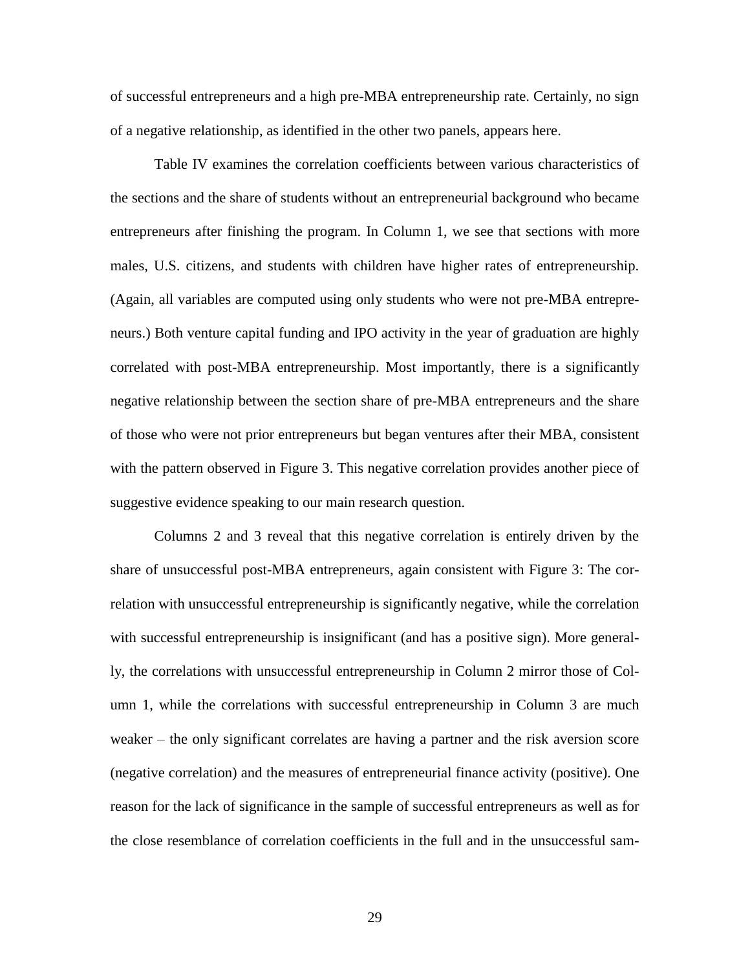of successful entrepreneurs and a high pre-MBA entrepreneurship rate. Certainly, no sign of a negative relationship, as identified in the other two panels, appears here.

Table IV examines the correlation coefficients between various characteristics of the sections and the share of students without an entrepreneurial background who became entrepreneurs after finishing the program. In Column 1, we see that sections with more males, U.S. citizens, and students with children have higher rates of entrepreneurship. (Again, all variables are computed using only students who were not pre-MBA entrepreneurs.) Both venture capital funding and IPO activity in the year of graduation are highly correlated with post-MBA entrepreneurship. Most importantly, there is a significantly negative relationship between the section share of pre-MBA entrepreneurs and the share of those who were not prior entrepreneurs but began ventures after their MBA, consistent with the pattern observed in Figure 3. This negative correlation provides another piece of suggestive evidence speaking to our main research question.

Columns 2 and 3 reveal that this negative correlation is entirely driven by the share of unsuccessful post-MBA entrepreneurs, again consistent with Figure 3: The correlation with unsuccessful entrepreneurship is significantly negative, while the correlation with successful entrepreneurship is insignificant (and has a positive sign). More generally, the correlations with unsuccessful entrepreneurship in Column 2 mirror those of Column 1, while the correlations with successful entrepreneurship in Column 3 are much weaker – the only significant correlates are having a partner and the risk aversion score (negative correlation) and the measures of entrepreneurial finance activity (positive). One reason for the lack of significance in the sample of successful entrepreneurs as well as for the close resemblance of correlation coefficients in the full and in the unsuccessful sam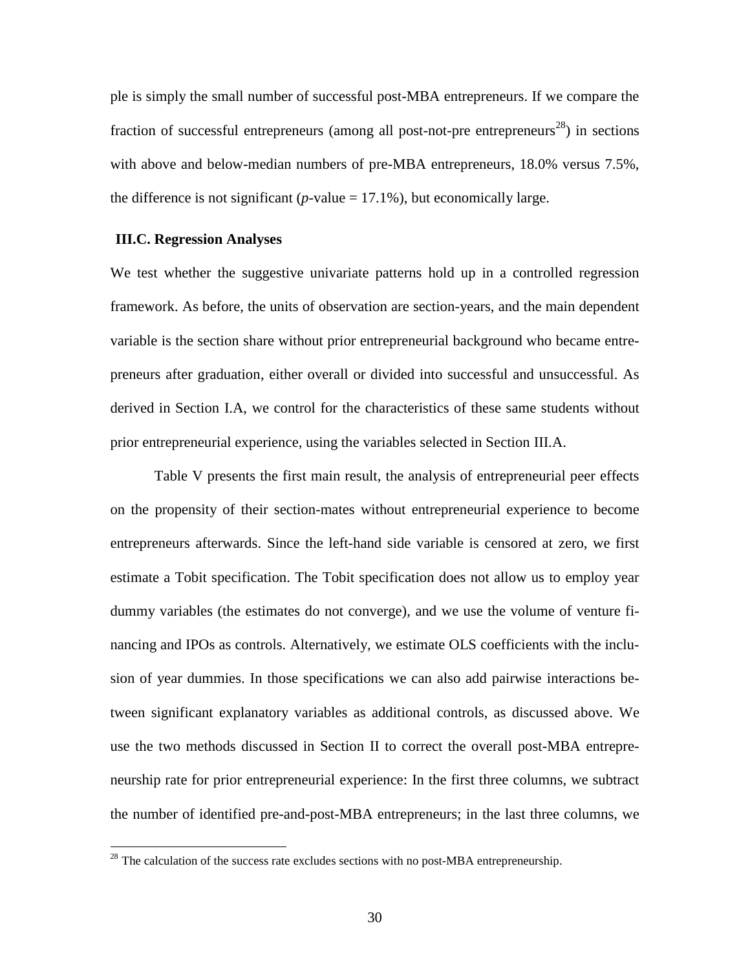ple is simply the small number of successful post-MBA entrepreneurs. If we compare the fraction of successful entrepreneurs (among all post-not-pre entrepreneurs<sup>28</sup>) in sections with above and below-median numbers of pre-MBA entrepreneurs, 18.0% versus 7.5%, the difference is not significant ( $p$ -value = 17.1%), but economically large.

#### **III.C. Regression Analyses**

 $\overline{a}$ 

We test whether the suggestive univariate patterns hold up in a controlled regression framework. As before, the units of observation are section-years, and the main dependent variable is the section share without prior entrepreneurial background who became entrepreneurs after graduation, either overall or divided into successful and unsuccessful. As derived in Section I.A, we control for the characteristics of these same students without prior entrepreneurial experience, using the variables selected in Section III.A.

Table V presents the first main result, the analysis of entrepreneurial peer effects on the propensity of their section-mates without entrepreneurial experience to become entrepreneurs afterwards. Since the left-hand side variable is censored at zero, we first estimate a Tobit specification. The Tobit specification does not allow us to employ year dummy variables (the estimates do not converge), and we use the volume of venture financing and IPOs as controls. Alternatively, we estimate OLS coefficients with the inclusion of year dummies. In those specifications we can also add pairwise interactions between significant explanatory variables as additional controls, as discussed above. We use the two methods discussed in Section II to correct the overall post-MBA entrepreneurship rate for prior entrepreneurial experience: In the first three columns, we subtract the number of identified pre-and-post-MBA entrepreneurs; in the last three columns, we

 $^{28}$  The calculation of the success rate excludes sections with no post-MBA entrepreneurship.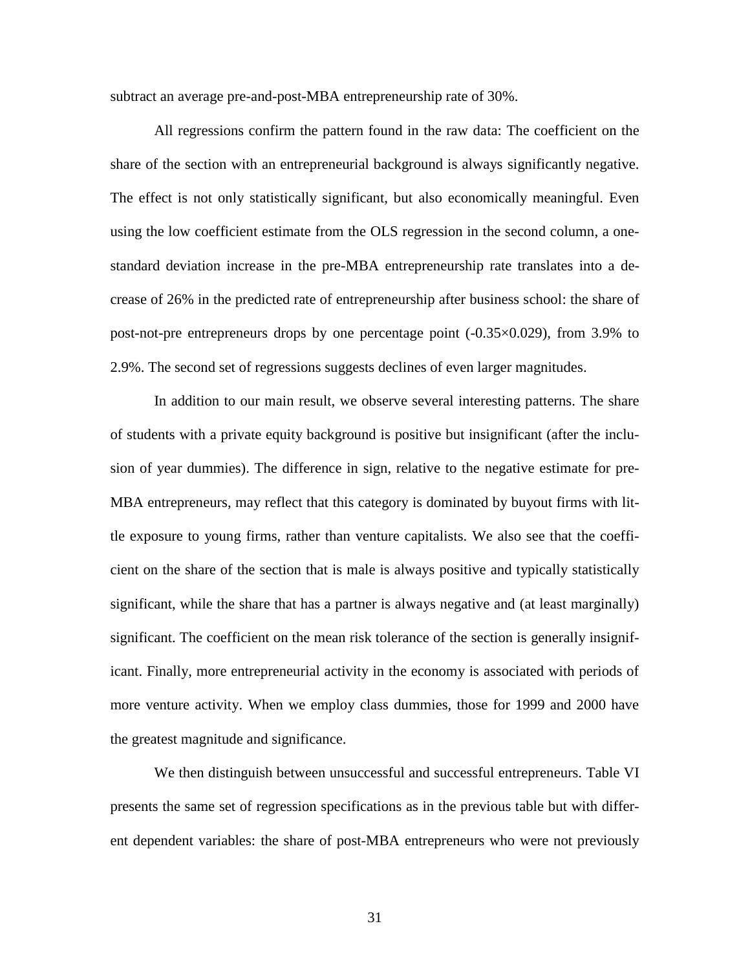subtract an average pre-and-post-MBA entrepreneurship rate of 30%.

All regressions confirm the pattern found in the raw data: The coefficient on the share of the section with an entrepreneurial background is always significantly negative. The effect is not only statistically significant, but also economically meaningful. Even using the low coefficient estimate from the OLS regression in the second column, a onestandard deviation increase in the pre-MBA entrepreneurship rate translates into a decrease of 26% in the predicted rate of entrepreneurship after business school: the share of post-not-pre entrepreneurs drops by one percentage point  $(-0.35 \times 0.029)$ , from 3.9% to 2.9%. The second set of regressions suggests declines of even larger magnitudes.

In addition to our main result, we observe several interesting patterns. The share of students with a private equity background is positive but insignificant (after the inclusion of year dummies). The difference in sign, relative to the negative estimate for pre-MBA entrepreneurs, may reflect that this category is dominated by buyout firms with little exposure to young firms, rather than venture capitalists. We also see that the coefficient on the share of the section that is male is always positive and typically statistically significant, while the share that has a partner is always negative and (at least marginally) significant. The coefficient on the mean risk tolerance of the section is generally insignificant. Finally, more entrepreneurial activity in the economy is associated with periods of more venture activity. When we employ class dummies, those for 1999 and 2000 have the greatest magnitude and significance.

We then distinguish between unsuccessful and successful entrepreneurs. Table VI presents the same set of regression specifications as in the previous table but with different dependent variables: the share of post-MBA entrepreneurs who were not previously

31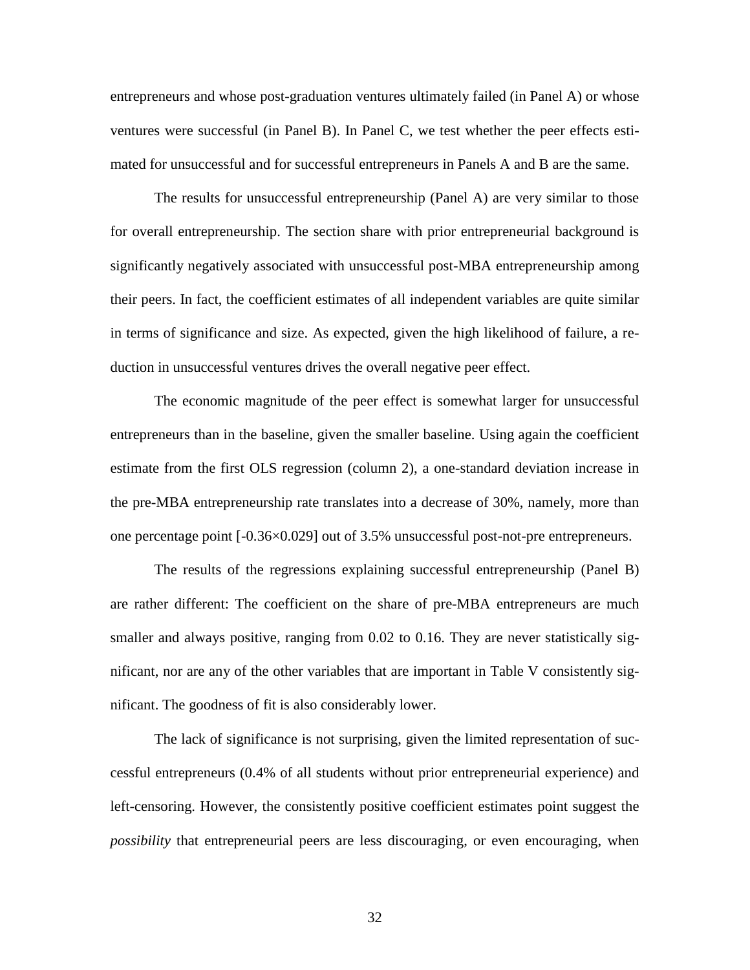entrepreneurs and whose post-graduation ventures ultimately failed (in Panel A) or whose ventures were successful (in Panel B). In Panel C, we test whether the peer effects estimated for unsuccessful and for successful entrepreneurs in Panels A and B are the same.

The results for unsuccessful entrepreneurship (Panel A) are very similar to those for overall entrepreneurship. The section share with prior entrepreneurial background is significantly negatively associated with unsuccessful post-MBA entrepreneurship among their peers. In fact, the coefficient estimates of all independent variables are quite similar in terms of significance and size. As expected, given the high likelihood of failure, a reduction in unsuccessful ventures drives the overall negative peer effect.

The economic magnitude of the peer effect is somewhat larger for unsuccessful entrepreneurs than in the baseline, given the smaller baseline. Using again the coefficient estimate from the first OLS regression (column 2), a one-standard deviation increase in the pre-MBA entrepreneurship rate translates into a decrease of 30%, namely, more than one percentage point [-0.36×0.029] out of 3.5% unsuccessful post-not-pre entrepreneurs.

The results of the regressions explaining successful entrepreneurship (Panel B) are rather different: The coefficient on the share of pre-MBA entrepreneurs are much smaller and always positive, ranging from 0.02 to 0.16. They are never statistically significant, nor are any of the other variables that are important in Table V consistently significant. The goodness of fit is also considerably lower.

The lack of significance is not surprising, given the limited representation of successful entrepreneurs (0.4% of all students without prior entrepreneurial experience) and left-censoring. However, the consistently positive coefficient estimates point suggest the *possibility* that entrepreneurial peers are less discouraging, or even encouraging, when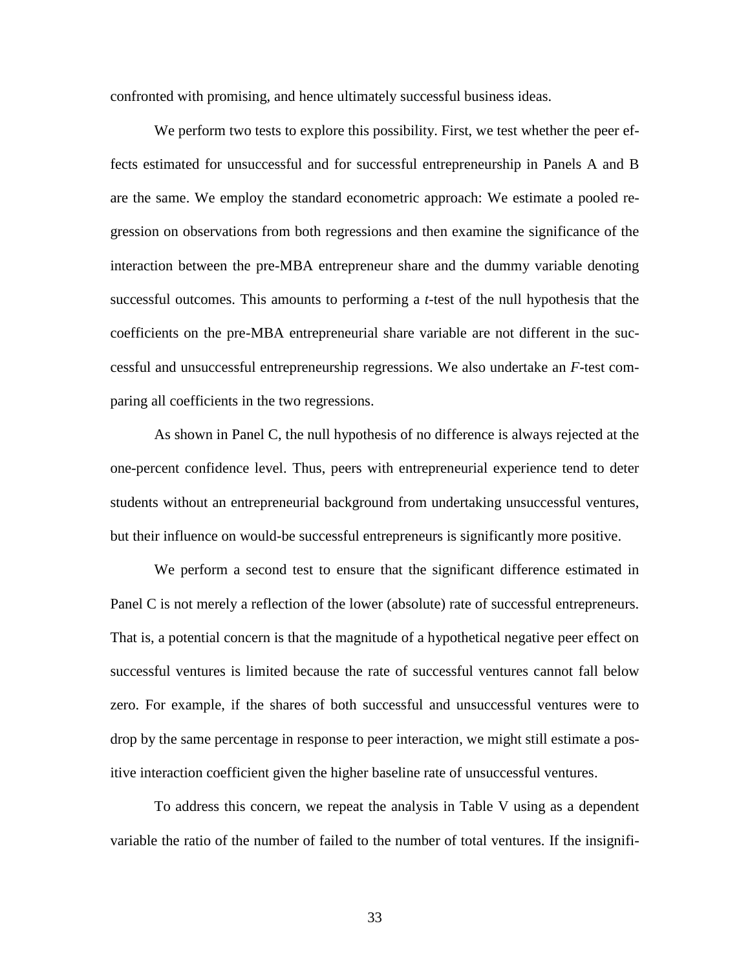confronted with promising, and hence ultimately successful business ideas.

We perform two tests to explore this possibility. First, we test whether the peer effects estimated for unsuccessful and for successful entrepreneurship in Panels A and B are the same. We employ the standard econometric approach: We estimate a pooled regression on observations from both regressions and then examine the significance of the interaction between the pre-MBA entrepreneur share and the dummy variable denoting successful outcomes. This amounts to performing a *t*-test of the null hypothesis that the coefficients on the pre-MBA entrepreneurial share variable are not different in the successful and unsuccessful entrepreneurship regressions. We also undertake an *F*-test comparing all coefficients in the two regressions.

As shown in Panel C, the null hypothesis of no difference is always rejected at the one-percent confidence level. Thus, peers with entrepreneurial experience tend to deter students without an entrepreneurial background from undertaking unsuccessful ventures, but their influence on would-be successful entrepreneurs is significantly more positive.

We perform a second test to ensure that the significant difference estimated in Panel C is not merely a reflection of the lower (absolute) rate of successful entrepreneurs. That is, a potential concern is that the magnitude of a hypothetical negative peer effect on successful ventures is limited because the rate of successful ventures cannot fall below zero. For example, if the shares of both successful and unsuccessful ventures were to drop by the same percentage in response to peer interaction, we might still estimate a positive interaction coefficient given the higher baseline rate of unsuccessful ventures.

To address this concern, we repeat the analysis in Table V using as a dependent variable the ratio of the number of failed to the number of total ventures. If the insignifi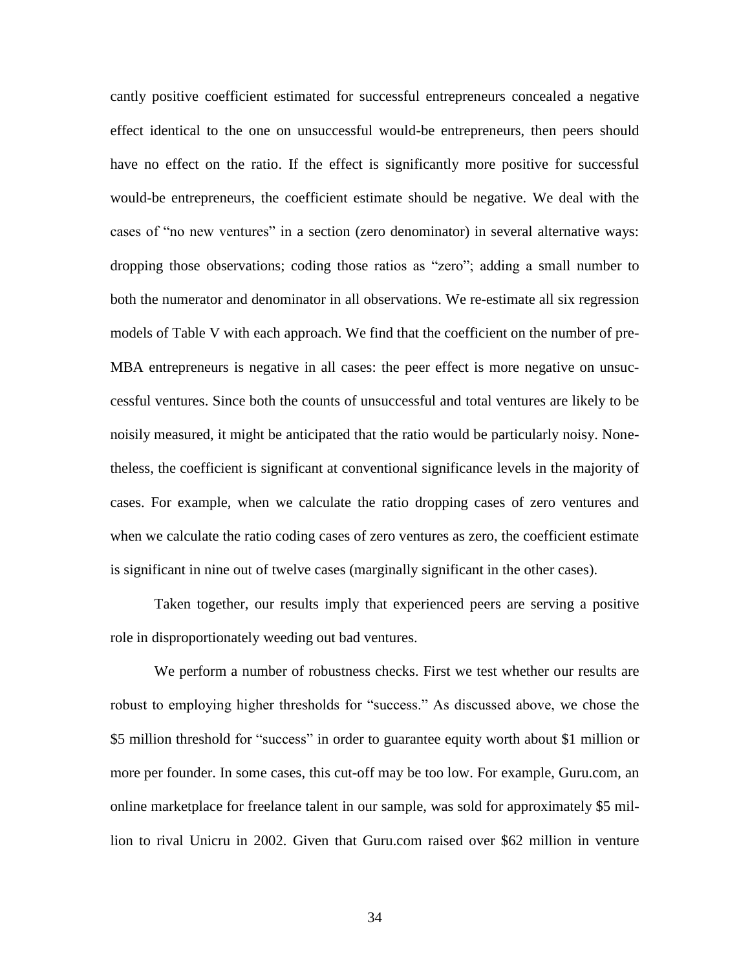cantly positive coefficient estimated for successful entrepreneurs concealed a negative effect identical to the one on unsuccessful would-be entrepreneurs, then peers should have no effect on the ratio. If the effect is significantly more positive for successful would-be entrepreneurs, the coefficient estimate should be negative. We deal with the cases of "no new ventures" in a section (zero denominator) in several alternative ways: dropping those observations; coding those ratios as "zero"; adding a small number to both the numerator and denominator in all observations. We re-estimate all six regression models of Table V with each approach. We find that the coefficient on the number of pre-MBA entrepreneurs is negative in all cases: the peer effect is more negative on unsuccessful ventures. Since both the counts of unsuccessful and total ventures are likely to be noisily measured, it might be anticipated that the ratio would be particularly noisy. Nonetheless, the coefficient is significant at conventional significance levels in the majority of cases. For example, when we calculate the ratio dropping cases of zero ventures and when we calculate the ratio coding cases of zero ventures as zero, the coefficient estimate is significant in nine out of twelve cases (marginally significant in the other cases).

Taken together, our results imply that experienced peers are serving a positive role in disproportionately weeding out bad ventures.

We perform a number of robustness checks. First we test whether our results are robust to employing higher thresholds for "success." As discussed above, we chose the \$5 million threshold for "success" in order to guarantee equity worth about \$1 million or more per founder. In some cases, this cut-off may be too low. For example, Guru.com, an online marketplace for freelance talent in our sample, was sold for approximately \$5 million to rival Unicru in 2002. Given that Guru.com raised over \$62 million in venture

34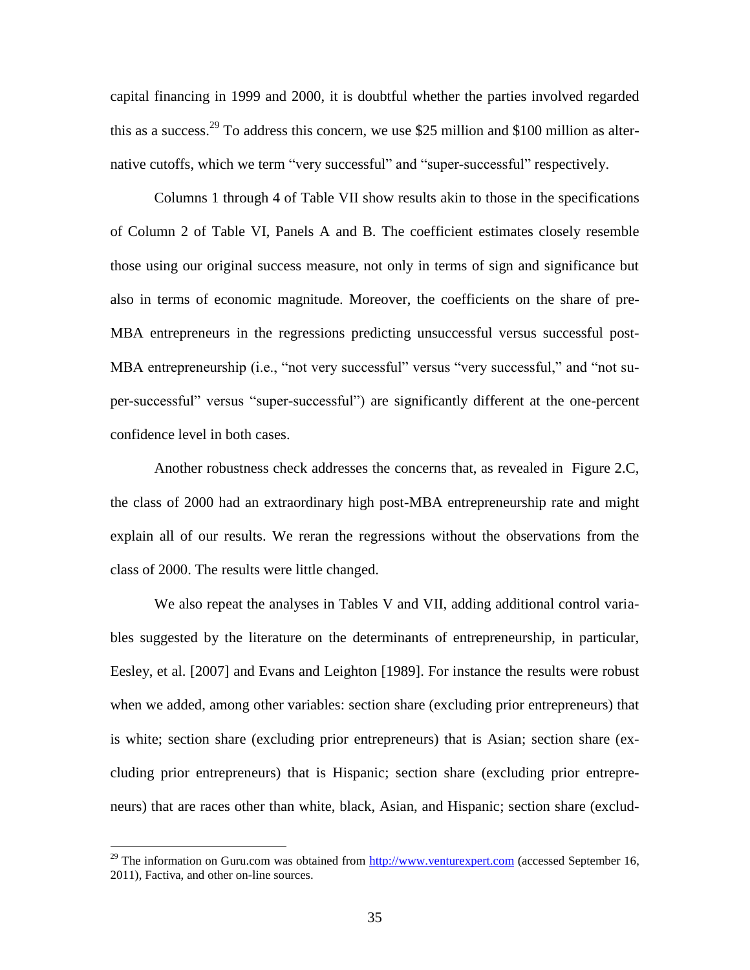capital financing in 1999 and 2000, it is doubtful whether the parties involved regarded this as a success.<sup>29</sup> To address this concern, we use \$25 million and \$100 million as alternative cutoffs, which we term "very successful" and "super-successful" respectively.

Columns 1 through 4 of Table VII show results akin to those in the specifications of Column 2 of Table VI, Panels A and B. The coefficient estimates closely resemble those using our original success measure, not only in terms of sign and significance but also in terms of economic magnitude. Moreover, the coefficients on the share of pre-MBA entrepreneurs in the regressions predicting unsuccessful versus successful post-MBA entrepreneurship (i.e., "not very successful" versus "very successful," and "not super-successful" versus "super-successful") are significantly different at the one-percent confidence level in both cases.

Another robustness check addresses the concerns that, as revealed in Figure 2.C, the class of 2000 had an extraordinary high post-MBA entrepreneurship rate and might explain all of our results. We reran the regressions without the observations from the class of 2000. The results were little changed.

We also repeat the analyses in Tables V and VII, adding additional control variables suggested by the literature on the determinants of entrepreneurship, in particular, Eesley, et al. [2007] and Evans and Leighton [1989]. For instance the results were robust when we added, among other variables: section share (excluding prior entrepreneurs) that is white; section share (excluding prior entrepreneurs) that is Asian; section share (excluding prior entrepreneurs) that is Hispanic; section share (excluding prior entrepreneurs) that are races other than white, black, Asian, and Hispanic; section share (exclud-

 $^{29}$  The information on Guru.com was obtained from [http://www.venturexpert.com](http://www.venturexpert.com/) (accessed September 16, 2011), Factiva, and other on-line sources.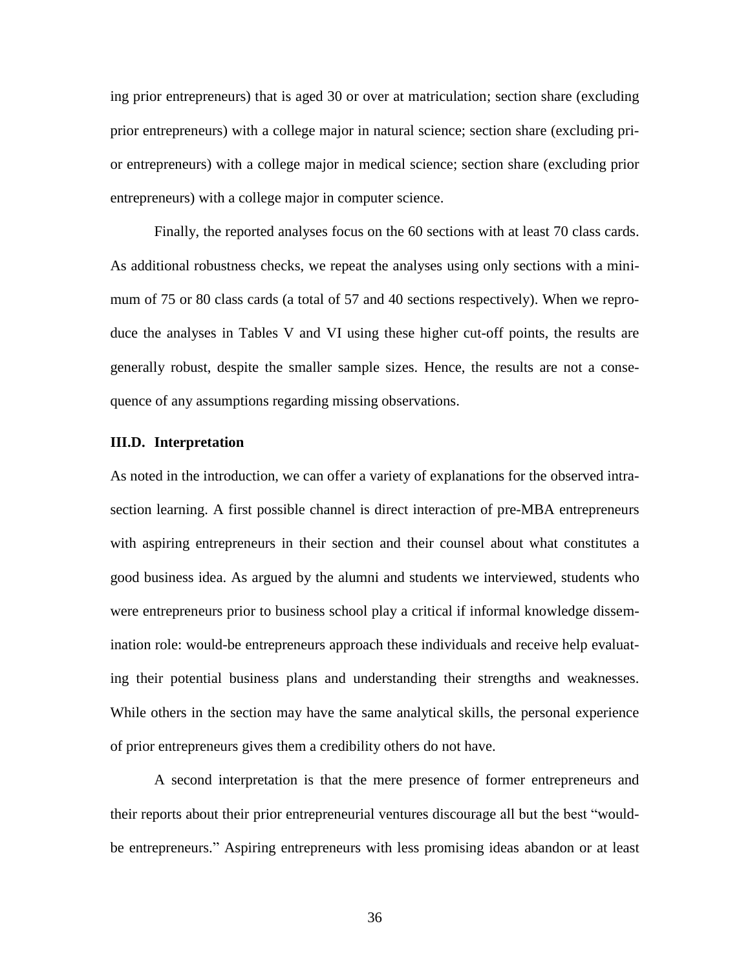ing prior entrepreneurs) that is aged 30 or over at matriculation; section share (excluding prior entrepreneurs) with a college major in natural science; section share (excluding prior entrepreneurs) with a college major in medical science; section share (excluding prior entrepreneurs) with a college major in computer science.

Finally, the reported analyses focus on the 60 sections with at least 70 class cards. As additional robustness checks, we repeat the analyses using only sections with a minimum of 75 or 80 class cards (a total of 57 and 40 sections respectively). When we reproduce the analyses in Tables V and VI using these higher cut-off points, the results are generally robust, despite the smaller sample sizes. Hence, the results are not a consequence of any assumptions regarding missing observations.

#### **III.D. Interpretation**

As noted in the introduction, we can offer a variety of explanations for the observed intrasection learning. A first possible channel is direct interaction of pre-MBA entrepreneurs with aspiring entrepreneurs in their section and their counsel about what constitutes a good business idea. As argued by the alumni and students we interviewed, students who were entrepreneurs prior to business school play a critical if informal knowledge dissemination role: would-be entrepreneurs approach these individuals and receive help evaluating their potential business plans and understanding their strengths and weaknesses. While others in the section may have the same analytical skills, the personal experience of prior entrepreneurs gives them a credibility others do not have.

A second interpretation is that the mere presence of former entrepreneurs and their reports about their prior entrepreneurial ventures discourage all but the best "wouldbe entrepreneurs." Aspiring entrepreneurs with less promising ideas abandon or at least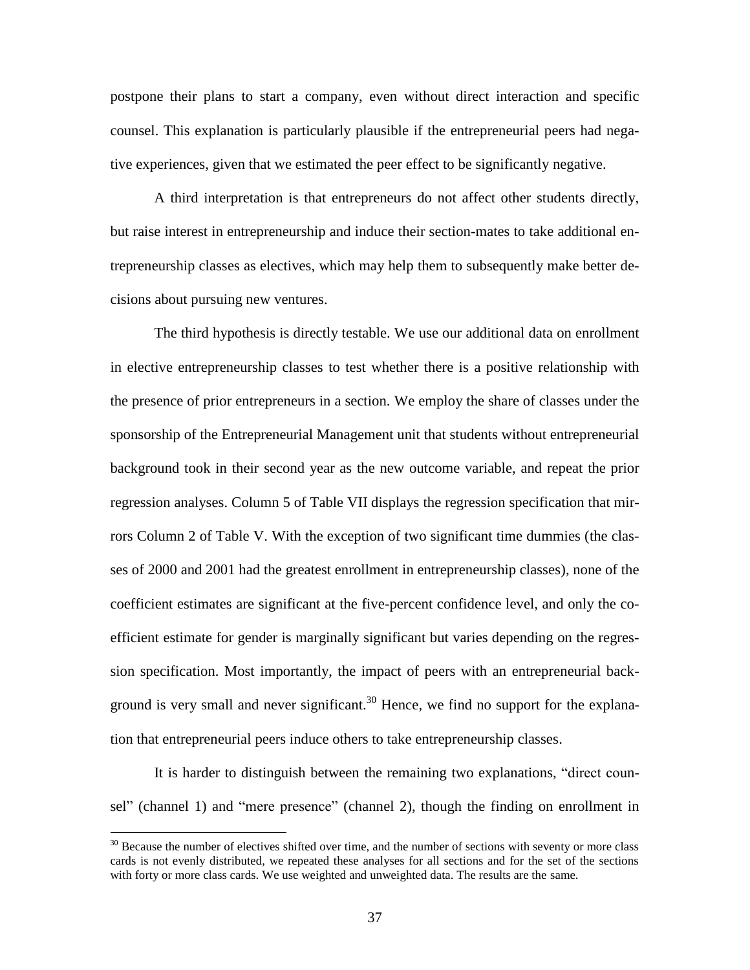postpone their plans to start a company, even without direct interaction and specific counsel. This explanation is particularly plausible if the entrepreneurial peers had negative experiences, given that we estimated the peer effect to be significantly negative.

A third interpretation is that entrepreneurs do not affect other students directly, but raise interest in entrepreneurship and induce their section-mates to take additional entrepreneurship classes as electives, which may help them to subsequently make better decisions about pursuing new ventures.

The third hypothesis is directly testable. We use our additional data on enrollment in elective entrepreneurship classes to test whether there is a positive relationship with the presence of prior entrepreneurs in a section. We employ the share of classes under the sponsorship of the Entrepreneurial Management unit that students without entrepreneurial background took in their second year as the new outcome variable, and repeat the prior regression analyses. Column 5 of Table VII displays the regression specification that mirrors Column 2 of Table V. With the exception of two significant time dummies (the classes of 2000 and 2001 had the greatest enrollment in entrepreneurship classes), none of the coefficient estimates are significant at the five-percent confidence level, and only the coefficient estimate for gender is marginally significant but varies depending on the regression specification. Most importantly, the impact of peers with an entrepreneurial background is very small and never significant.<sup>30</sup> Hence, we find no support for the explanation that entrepreneurial peers induce others to take entrepreneurship classes.

It is harder to distinguish between the remaining two explanations, "direct counsel" (channel 1) and "mere presence" (channel 2), though the finding on enrollment in

<sup>&</sup>lt;sup>30</sup> Because the number of electives shifted over time, and the number of sections with seventy or more class cards is not evenly distributed, we repeated these analyses for all sections and for the set of the sections with forty or more class cards. We use weighted and unweighted data. The results are the same.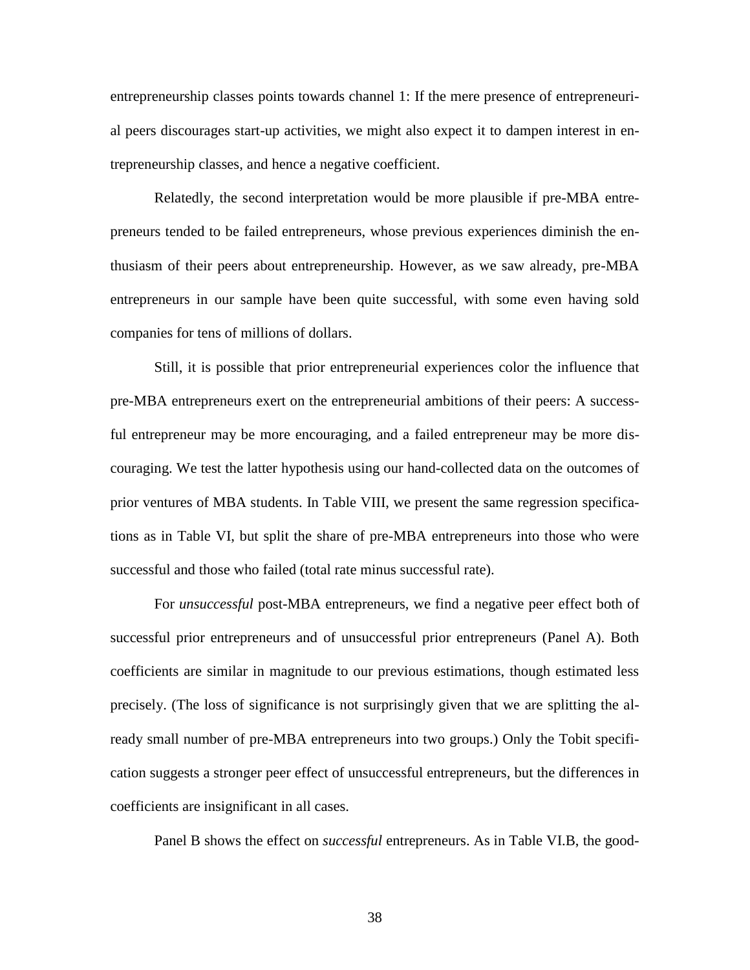entrepreneurship classes points towards channel 1: If the mere presence of entrepreneurial peers discourages start-up activities, we might also expect it to dampen interest in entrepreneurship classes, and hence a negative coefficient.

Relatedly, the second interpretation would be more plausible if pre-MBA entrepreneurs tended to be failed entrepreneurs, whose previous experiences diminish the enthusiasm of their peers about entrepreneurship. However, as we saw already, pre-MBA entrepreneurs in our sample have been quite successful, with some even having sold companies for tens of millions of dollars.

Still, it is possible that prior entrepreneurial experiences color the influence that pre-MBA entrepreneurs exert on the entrepreneurial ambitions of their peers: A successful entrepreneur may be more encouraging, and a failed entrepreneur may be more discouraging. We test the latter hypothesis using our hand-collected data on the outcomes of prior ventures of MBA students. In Table VIII, we present the same regression specifications as in Table VI, but split the share of pre-MBA entrepreneurs into those who were successful and those who failed (total rate minus successful rate).

For *unsuccessful* post-MBA entrepreneurs, we find a negative peer effect both of successful prior entrepreneurs and of unsuccessful prior entrepreneurs (Panel A). Both coefficients are similar in magnitude to our previous estimations, though estimated less precisely. (The loss of significance is not surprisingly given that we are splitting the already small number of pre-MBA entrepreneurs into two groups.) Only the Tobit specification suggests a stronger peer effect of unsuccessful entrepreneurs, but the differences in coefficients are insignificant in all cases.

Panel B shows the effect on *successful* entrepreneurs. As in Table VI.B, the good-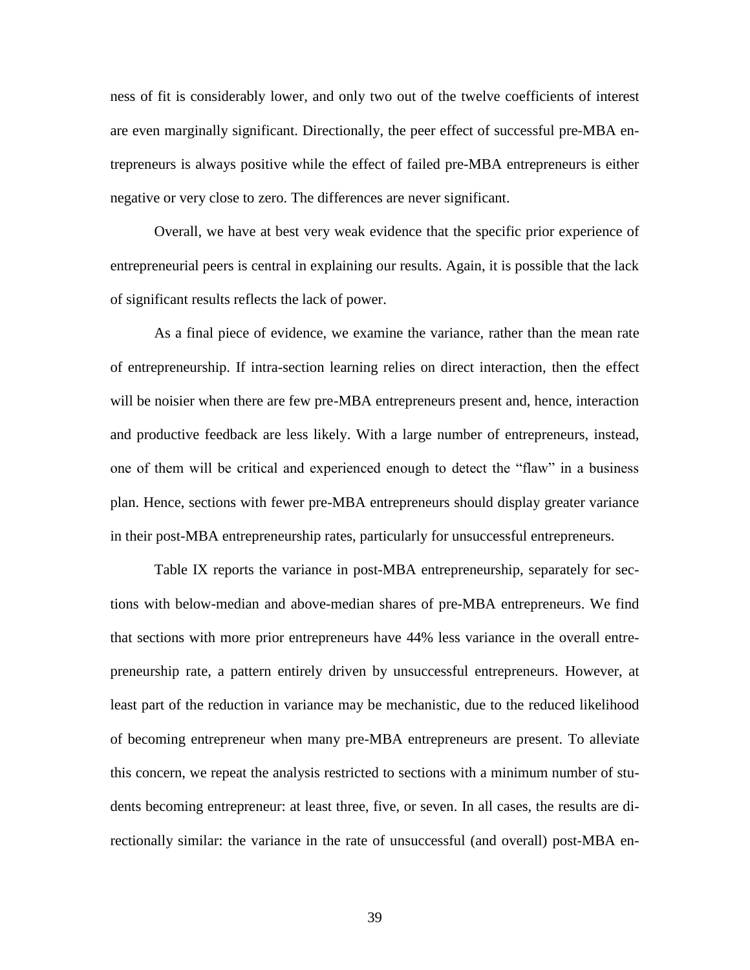ness of fit is considerably lower, and only two out of the twelve coefficients of interest are even marginally significant. Directionally, the peer effect of successful pre-MBA entrepreneurs is always positive while the effect of failed pre-MBA entrepreneurs is either negative or very close to zero. The differences are never significant.

Overall, we have at best very weak evidence that the specific prior experience of entrepreneurial peers is central in explaining our results. Again, it is possible that the lack of significant results reflects the lack of power.

As a final piece of evidence, we examine the variance, rather than the mean rate of entrepreneurship. If intra-section learning relies on direct interaction, then the effect will be noisier when there are few pre-MBA entrepreneurs present and, hence, interaction and productive feedback are less likely. With a large number of entrepreneurs, instead, one of them will be critical and experienced enough to detect the "flaw" in a business plan. Hence, sections with fewer pre-MBA entrepreneurs should display greater variance in their post-MBA entrepreneurship rates, particularly for unsuccessful entrepreneurs.

Table IX reports the variance in post-MBA entrepreneurship, separately for sections with below-median and above-median shares of pre-MBA entrepreneurs. We find that sections with more prior entrepreneurs have 44% less variance in the overall entrepreneurship rate, a pattern entirely driven by unsuccessful entrepreneurs. However, at least part of the reduction in variance may be mechanistic, due to the reduced likelihood of becoming entrepreneur when many pre-MBA entrepreneurs are present. To alleviate this concern, we repeat the analysis restricted to sections with a minimum number of students becoming entrepreneur: at least three, five, or seven. In all cases, the results are directionally similar: the variance in the rate of unsuccessful (and overall) post-MBA en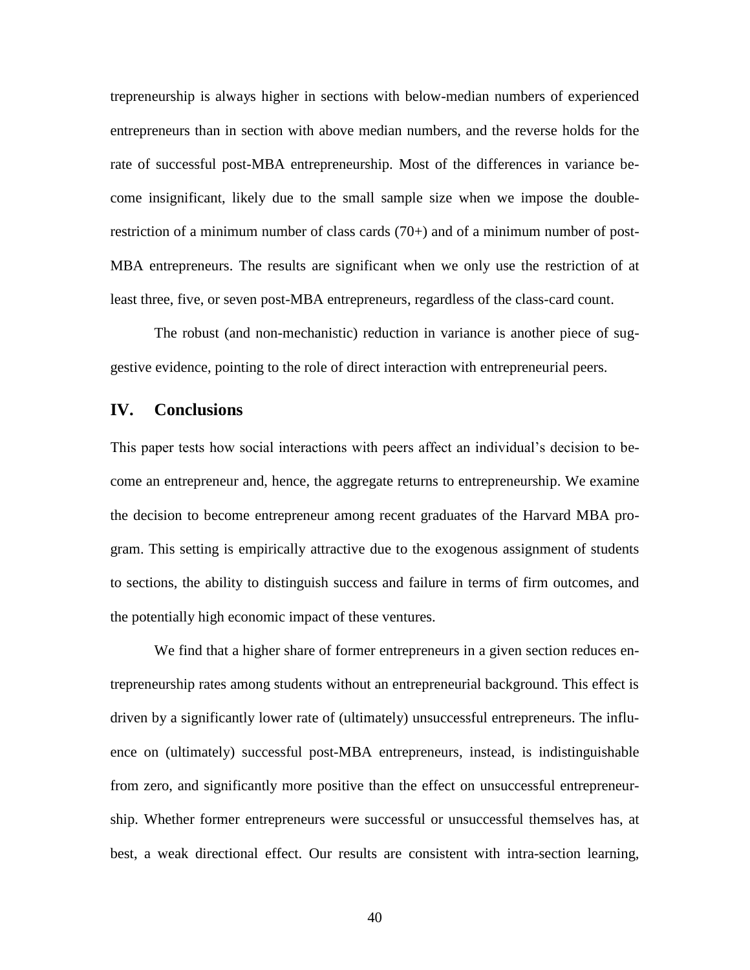trepreneurship is always higher in sections with below-median numbers of experienced entrepreneurs than in section with above median numbers, and the reverse holds for the rate of successful post-MBA entrepreneurship. Most of the differences in variance become insignificant, likely due to the small sample size when we impose the doublerestriction of a minimum number of class cards  $(70+)$  and of a minimum number of post-MBA entrepreneurs. The results are significant when we only use the restriction of at least three, five, or seven post-MBA entrepreneurs, regardless of the class-card count.

The robust (and non-mechanistic) reduction in variance is another piece of suggestive evidence, pointing to the role of direct interaction with entrepreneurial peers.

### **IV. Conclusions**

This paper tests how social interactions with peers affect an individual's decision to become an entrepreneur and, hence, the aggregate returns to entrepreneurship. We examine the decision to become entrepreneur among recent graduates of the Harvard MBA program. This setting is empirically attractive due to the exogenous assignment of students to sections, the ability to distinguish success and failure in terms of firm outcomes, and the potentially high economic impact of these ventures.

We find that a higher share of former entrepreneurs in a given section reduces entrepreneurship rates among students without an entrepreneurial background. This effect is driven by a significantly lower rate of (ultimately) unsuccessful entrepreneurs. The influence on (ultimately) successful post-MBA entrepreneurs, instead, is indistinguishable from zero, and significantly more positive than the effect on unsuccessful entrepreneurship. Whether former entrepreneurs were successful or unsuccessful themselves has, at best, a weak directional effect. Our results are consistent with intra-section learning,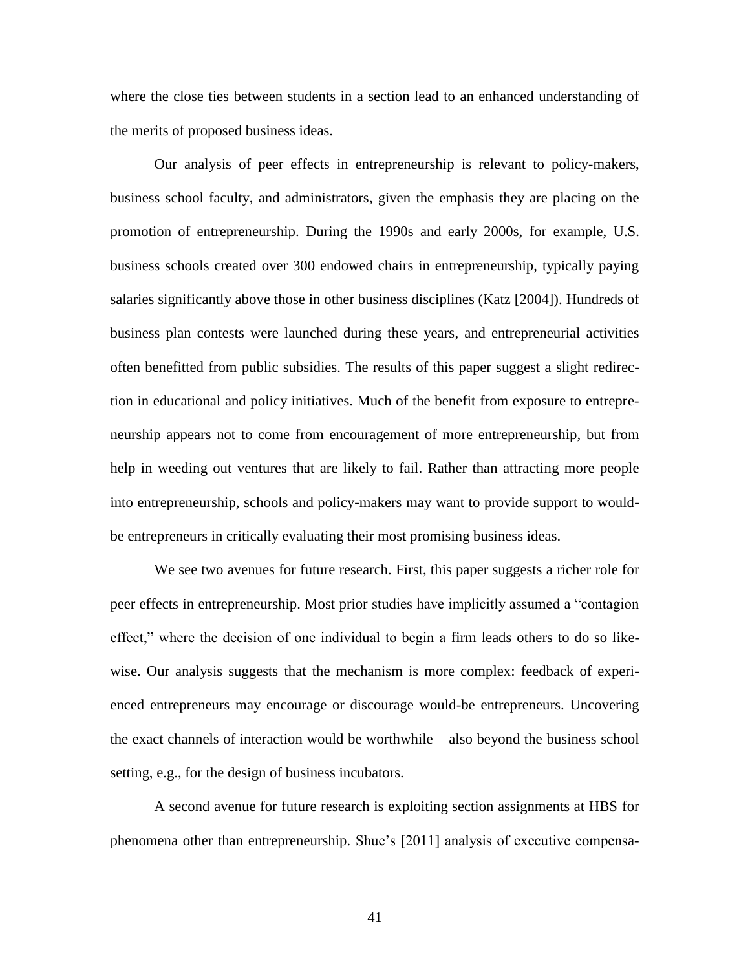where the close ties between students in a section lead to an enhanced understanding of the merits of proposed business ideas.

Our analysis of peer effects in entrepreneurship is relevant to policy-makers, business school faculty, and administrators, given the emphasis they are placing on the promotion of entrepreneurship. During the 1990s and early 2000s, for example, U.S. business schools created over 300 endowed chairs in entrepreneurship, typically paying salaries significantly above those in other business disciplines (Katz [2004]). Hundreds of business plan contests were launched during these years, and entrepreneurial activities often benefitted from public subsidies. The results of this paper suggest a slight redirection in educational and policy initiatives. Much of the benefit from exposure to entrepreneurship appears not to come from encouragement of more entrepreneurship, but from help in weeding out ventures that are likely to fail. Rather than attracting more people into entrepreneurship, schools and policy-makers may want to provide support to wouldbe entrepreneurs in critically evaluating their most promising business ideas.

We see two avenues for future research. First, this paper suggests a richer role for peer effects in entrepreneurship. Most prior studies have implicitly assumed a "contagion" effect," where the decision of one individual to begin a firm leads others to do so likewise. Our analysis suggests that the mechanism is more complex: feedback of experienced entrepreneurs may encourage or discourage would-be entrepreneurs. Uncovering the exact channels of interaction would be worthwhile – also beyond the business school setting, e.g., for the design of business incubators.

A second avenue for future research is exploiting section assignments at HBS for phenomena other than entrepreneurship. Shue's [2011] analysis of executive compensa-

41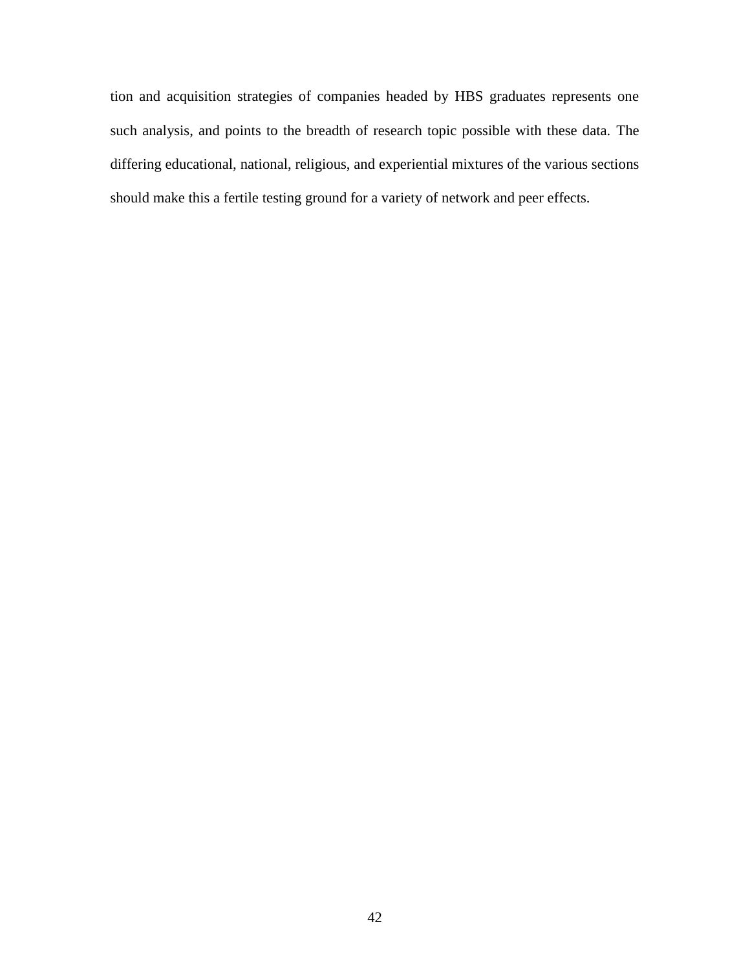tion and acquisition strategies of companies headed by HBS graduates represents one such analysis, and points to the breadth of research topic possible with these data. The differing educational, national, religious, and experiential mixtures of the various sections should make this a fertile testing ground for a variety of network and peer effects.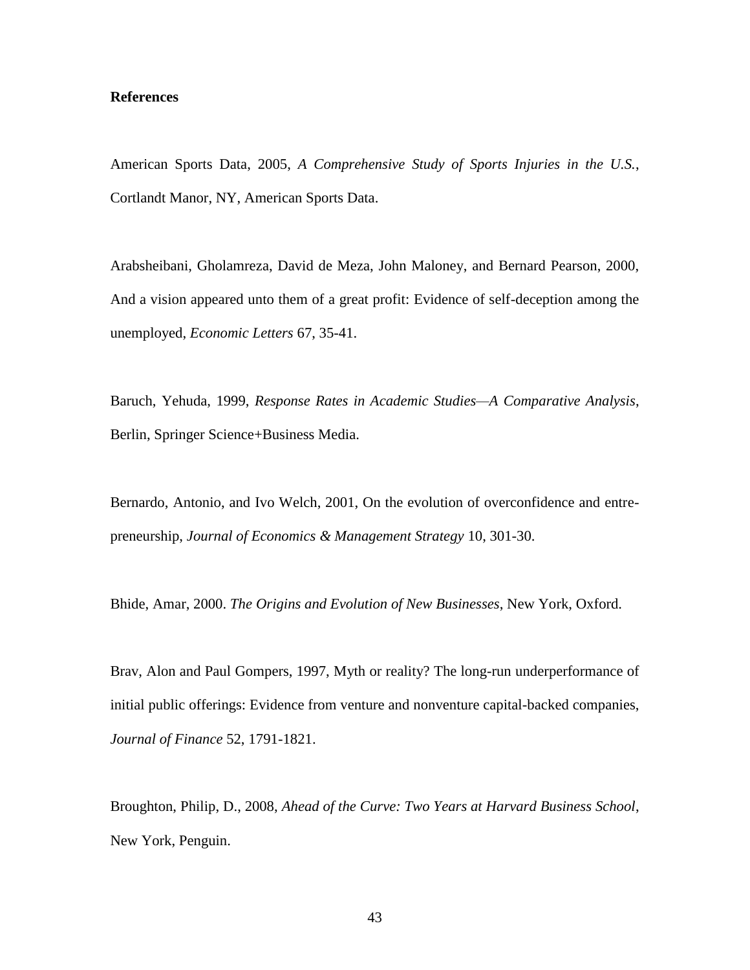#### **References**

American Sports Data, 2005, *A Comprehensive Study of Sports Injuries in the U.S.*, Cortlandt Manor, NY, American Sports Data.

Arabsheibani, Gholamreza, David de Meza, John Maloney, and Bernard Pearson, 2000, And a vision appeared unto them of a great profit: Evidence of self-deception among the unemployed, *Economic Letters* 67, 35-41.

Baruch, Yehuda, 1999, *Response Rates in Academic Studies—A Comparative Analysis*, Berlin, Springer Science+Business Media.

Bernardo, Antonio, and Ivo Welch, 2001, On the evolution of overconfidence and entrepreneurship, *Journal of Economics & Management Strategy* 10, 301-30.

Bhide, Amar, 2000. *The Origins and Evolution of New Businesses*, New York, Oxford.

Brav, Alon and Paul Gompers, 1997, Myth or reality? The long-run underperformance of initial public offerings: Evidence from venture and nonventure capital-backed companies, *Journal of Finance* 52, 1791-1821.

Broughton, Philip, D., 2008, *Ahead of the Curve: Two Years at Harvard Business School*, New York, Penguin.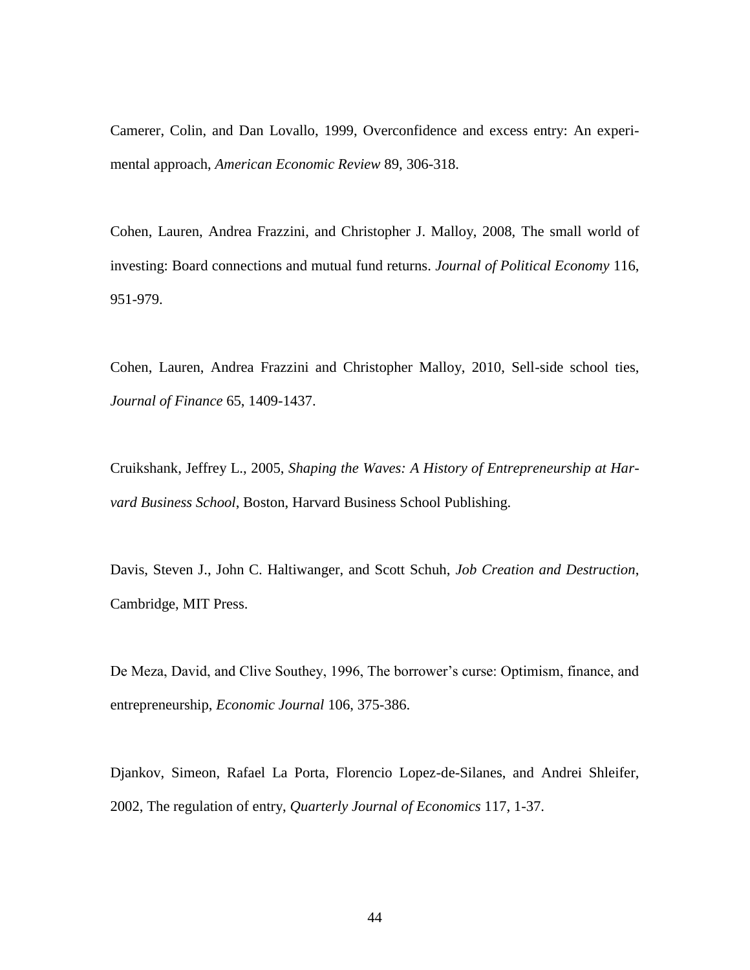Camerer, Colin, and Dan Lovallo, 1999, Overconfidence and excess entry: An experimental approach, *American Economic Review* 89, 306-318.

Cohen, Lauren, Andrea Frazzini, and Christopher J. Malloy, 2008, The small world of investing: Board connections and mutual fund returns. *Journal of Political Economy* 116, 951-979.

Cohen, Lauren, Andrea Frazzini and Christopher Malloy, 2010, Sell-side school ties, *Journal of Finance* 65, 1409-1437.

Cruikshank, Jeffrey L., 2005, *Shaping the Waves: A History of Entrepreneurship at Harvard Business School*, Boston, Harvard Business School Publishing.

Davis, Steven J., John C. Haltiwanger, and Scott Schuh, *Job Creation and Destruction*, Cambridge, MIT Press.

De Meza, David, and Clive Southey, 1996, The borrower's curse: Optimism, finance, and entrepreneurship, *Economic Journal* 106, 375-386.

Djankov, Simeon, Rafael La Porta, Florencio Lopez-de-Silanes, and Andrei Shleifer, 2002, The regulation of entry, *Quarterly Journal of Economics* 117, 1-37.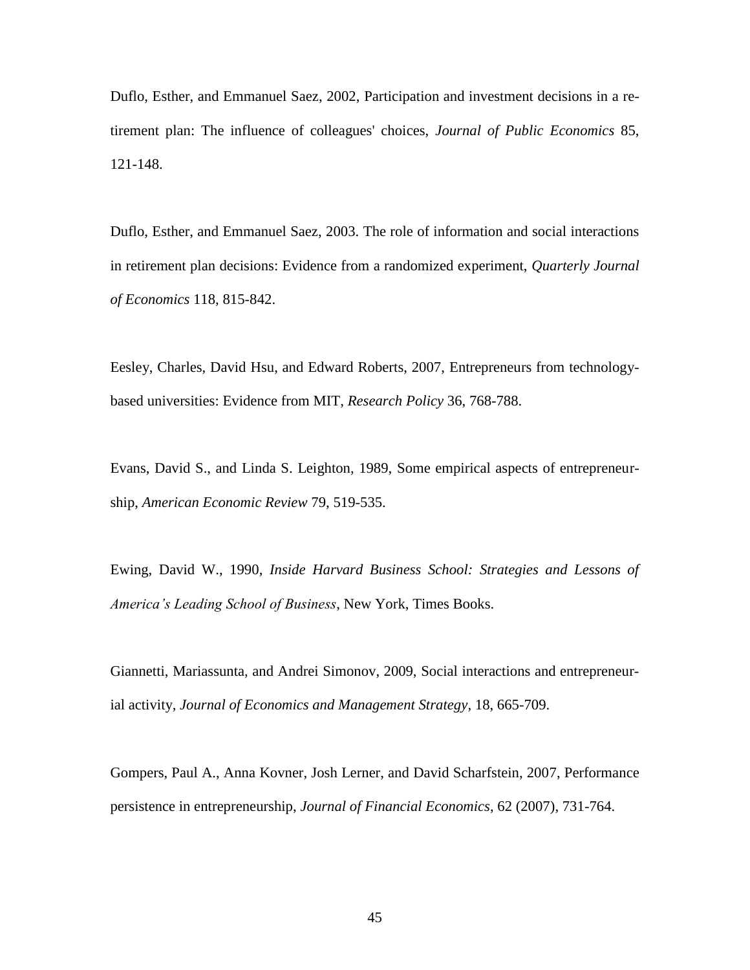Duflo, Esther, and Emmanuel Saez, 2002, Participation and investment decisions in a retirement plan: The influence of colleagues' choices, *Journal of Public Economics* 85, 121-148.

Duflo, Esther, and Emmanuel Saez, 2003. The role of information and social interactions in retirement plan decisions: Evidence from a randomized experiment, *Quarterly Journal of Economics* 118, 815-842.

Eesley, Charles, David Hsu, and Edward Roberts, 2007, Entrepreneurs from technologybased universities: Evidence from MIT, *Research Policy* 36, 768-788.

Evans, David S., and Linda S. Leighton, 1989, Some empirical aspects of entrepreneurship, *American Economic Review* 79, 519-535.

Ewing, David W., 1990, *Inside Harvard Business School: Strategies and Lessons of America's Leading School of Business*, New York, Times Books.

Giannetti, Mariassunta, and Andrei Simonov, 2009, Social interactions and entrepreneurial activity, *Journal of Economics and Management Strategy*, 18, 665-709.

Gompers, Paul A., Anna Kovner, Josh Lerner, and David Scharfstein, 2007, Performance persistence in entrepreneurship, *Journal of Financial Economics*, 62 (2007), 731-764.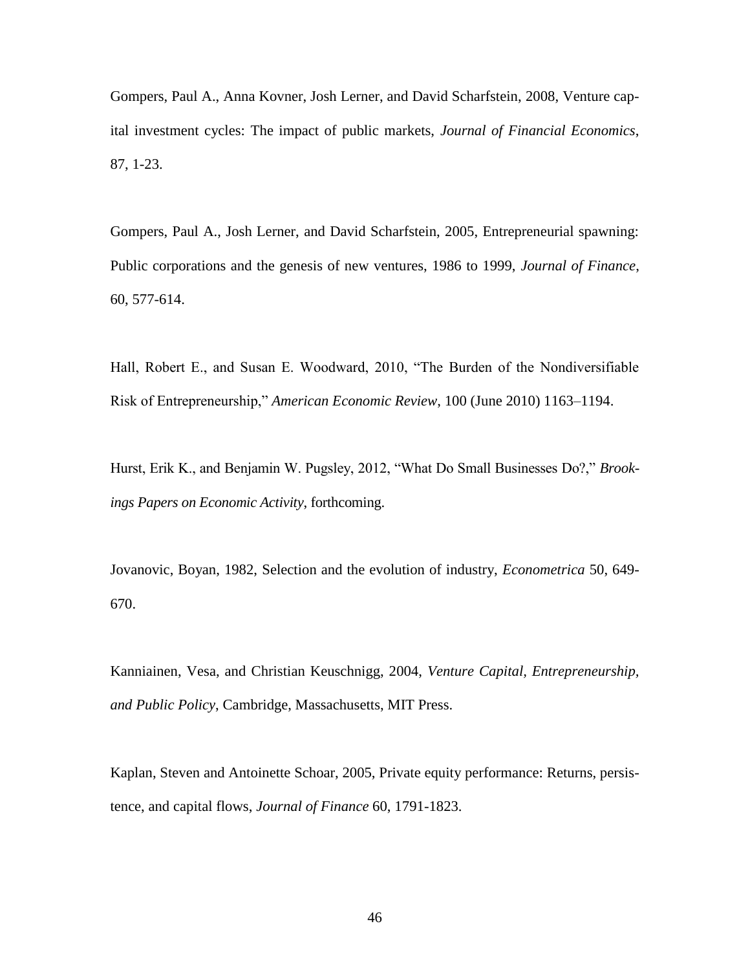Gompers, Paul A., Anna Kovner, Josh Lerner, and David Scharfstein, 2008, Venture capital investment cycles: The impact of public markets, *Journal of Financial Economics*, 87, 1-23.

Gompers, Paul A., Josh Lerner, and David Scharfstein, 2005, Entrepreneurial spawning: Public corporations and the genesis of new ventures, 1986 to 1999, *Journal of Finance*, 60, 577-614.

Hall, Robert E., and Susan E. Woodward, 2010, "The Burden of the Nondiversifiable Risk of Entrepreneurship," *American Economic Review*, 100 (June 2010) 1163–1194.

Hurst, Erik K., and Benjamin W. Pugsley, 2012, "What Do Small Businesses Do?," Brook*ings Papers on Economic Activity*, forthcoming.

Jovanovic, Boyan, 1982, Selection and the evolution of industry, *Econometrica* 50, 649- 670.

Kanniainen, Vesa, and Christian Keuschnigg, 2004, *Venture Capital, Entrepreneurship, and Public Policy*, Cambridge, Massachusetts, MIT Press.

Kaplan, Steven and Antoinette Schoar, 2005, Private equity performance: Returns, persistence, and capital flows, *Journal of Finance* 60, 1791-1823.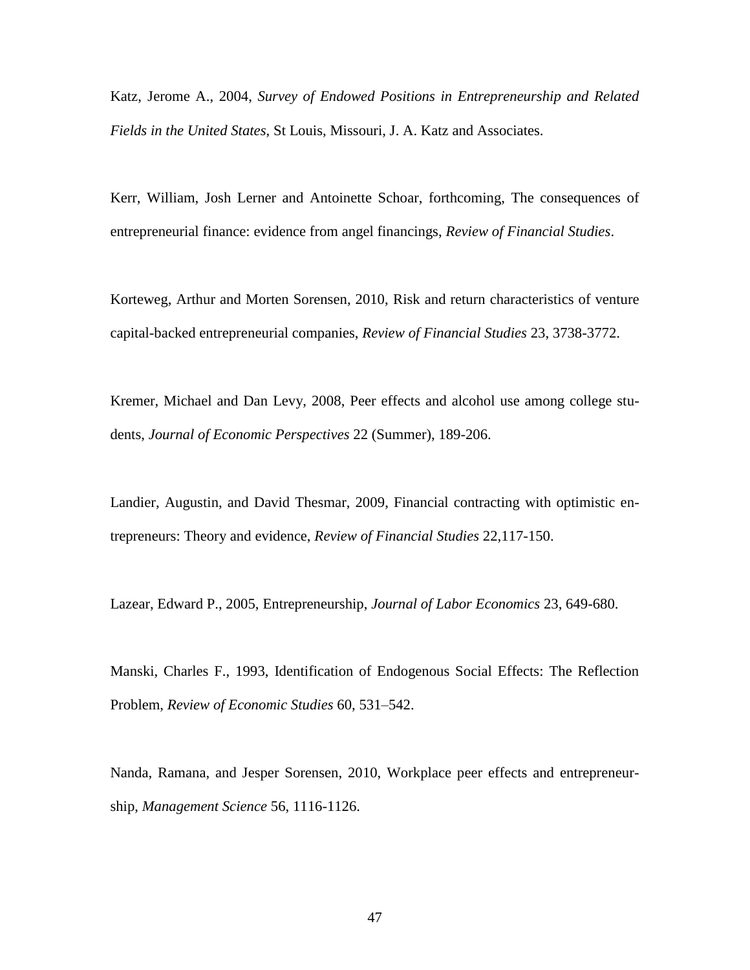Katz, Jerome A., 2004, *Survey of Endowed Positions in Entrepreneurship and Related Fields in the United States*, St Louis, Missouri, J. A. Katz and Associates.

Kerr, William, Josh Lerner and Antoinette Schoar, forthcoming, The consequences of entrepreneurial finance: evidence from angel financings, *Review of Financial Studies*.

Korteweg, Arthur and Morten Sorensen, 2010, Risk and return characteristics of venture capital-backed entrepreneurial companies, *Review of Financial Studies* 23, 3738-3772.

Kremer, Michael and Dan Levy, 2008, Peer effects and alcohol use among college students, *Journal of Economic Perspectives* 22 (Summer), 189-206.

Landier, Augustin, and David Thesmar, 2009, Financial contracting with optimistic entrepreneurs: Theory and evidence, *Review of Financial Studies* 22,117-150.

Lazear, Edward P., 2005, Entrepreneurship, *Journal of Labor Economics* 23, 649-680.

Manski, Charles F., 1993, Identification of Endogenous Social Effects: The Reflection Problem, *Review of Economic Studies* 60, 531–542.

Nanda, Ramana, and Jesper Sorensen, 2010, Workplace peer effects and entrepreneurship, *Management Science* 56, 1116-1126.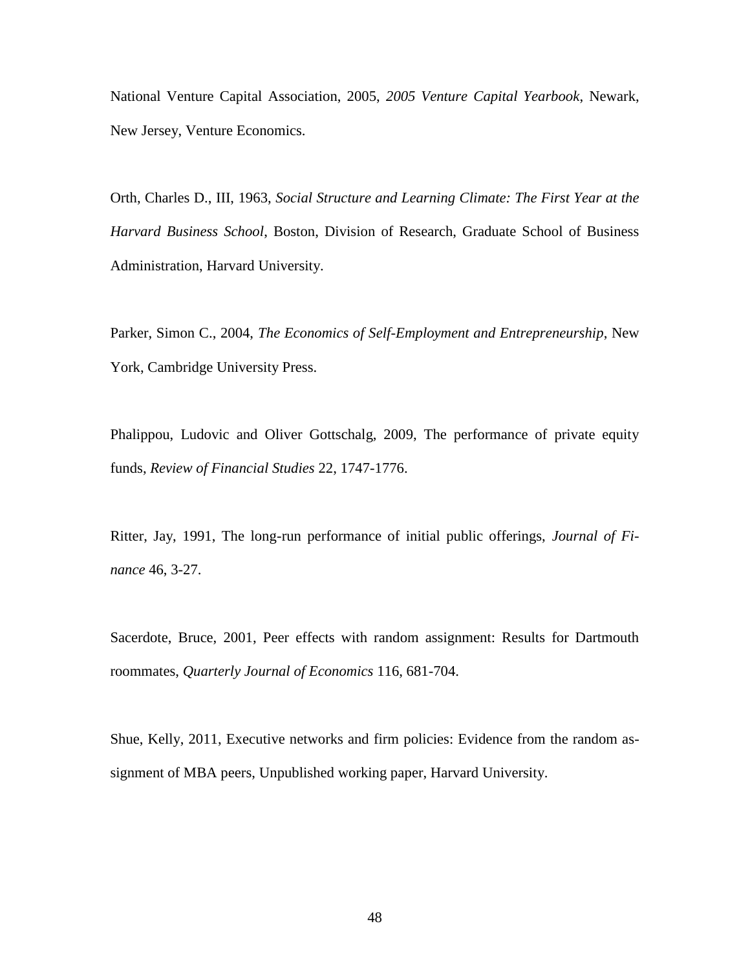National Venture Capital Association, 2005, *2005 Venture Capital Yearbook*, Newark, New Jersey, Venture Economics.

Orth, Charles D., III, 1963, *Social Structure and Learning Climate: The First Year at the Harvard Business School*, Boston, Division of Research, Graduate School of Business Administration, Harvard University.

Parker, Simon C., 2004, *The Economics of Self-Employment and Entrepreneurship*, New York, Cambridge University Press.

Phalippou, Ludovic and Oliver Gottschalg, 2009, The performance of private equity funds, *Review of Financial Studies* 22, 1747-1776.

Ritter, Jay, 1991, The long-run performance of initial public offerings, *Journal of Finance* 46, 3-27.

Sacerdote, Bruce, 2001, Peer effects with random assignment: Results for Dartmouth roommates, *Quarterly Journal of Economics* 116, 681-704.

Shue, Kelly, 2011, Executive networks and firm policies: Evidence from the random assignment of MBA peers, Unpublished working paper, Harvard University.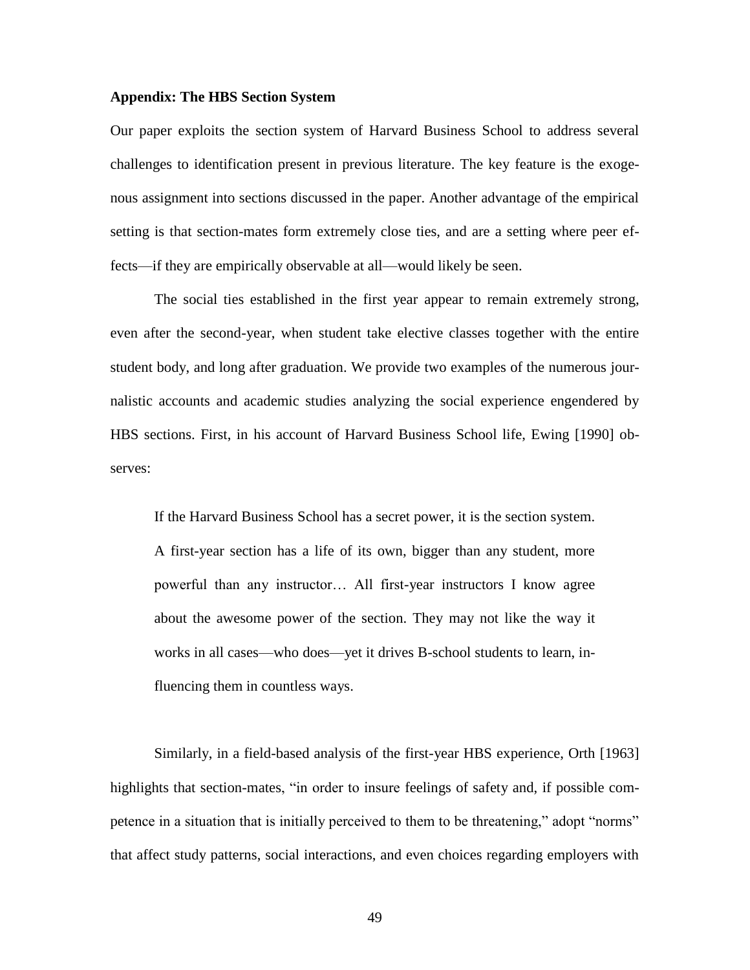#### **Appendix: The HBS Section System**

Our paper exploits the section system of Harvard Business School to address several challenges to identification present in previous literature. The key feature is the exogenous assignment into sections discussed in the paper. Another advantage of the empirical setting is that section-mates form extremely close ties, and are a setting where peer effects—if they are empirically observable at all—would likely be seen.

The social ties established in the first year appear to remain extremely strong, even after the second-year, when student take elective classes together with the entire student body, and long after graduation. We provide two examples of the numerous journalistic accounts and academic studies analyzing the social experience engendered by HBS sections. First, in his account of Harvard Business School life, Ewing [1990] observes:

If the Harvard Business School has a secret power, it is the section system. A first-year section has a life of its own, bigger than any student, more powerful than any instructor… All first-year instructors I know agree about the awesome power of the section. They may not like the way it works in all cases—who does—yet it drives B-school students to learn, influencing them in countless ways.

Similarly, in a field-based analysis of the first-year HBS experience, Orth [1963] highlights that section-mates, "in order to insure feelings of safety and, if possible competence in a situation that is initially perceived to them to be threatening," adopt "norms" that affect study patterns, social interactions, and even choices regarding employers with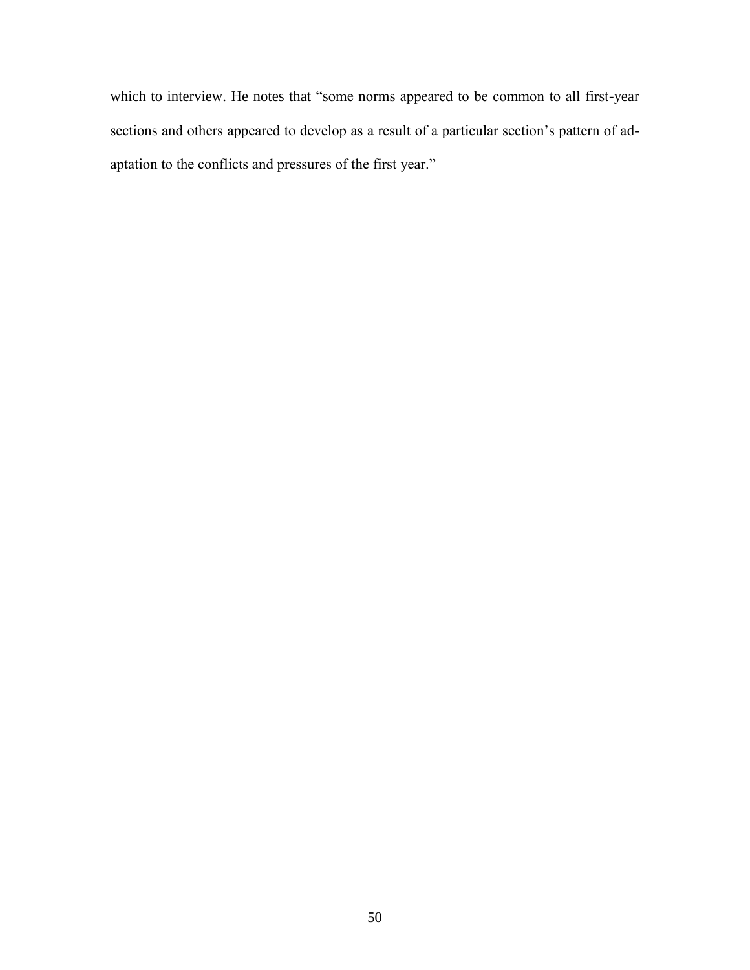which to interview. He notes that "some norms appeared to be common to all first-year sections and others appeared to develop as a result of a particular section's pattern of adaptation to the conflicts and pressures of the first year."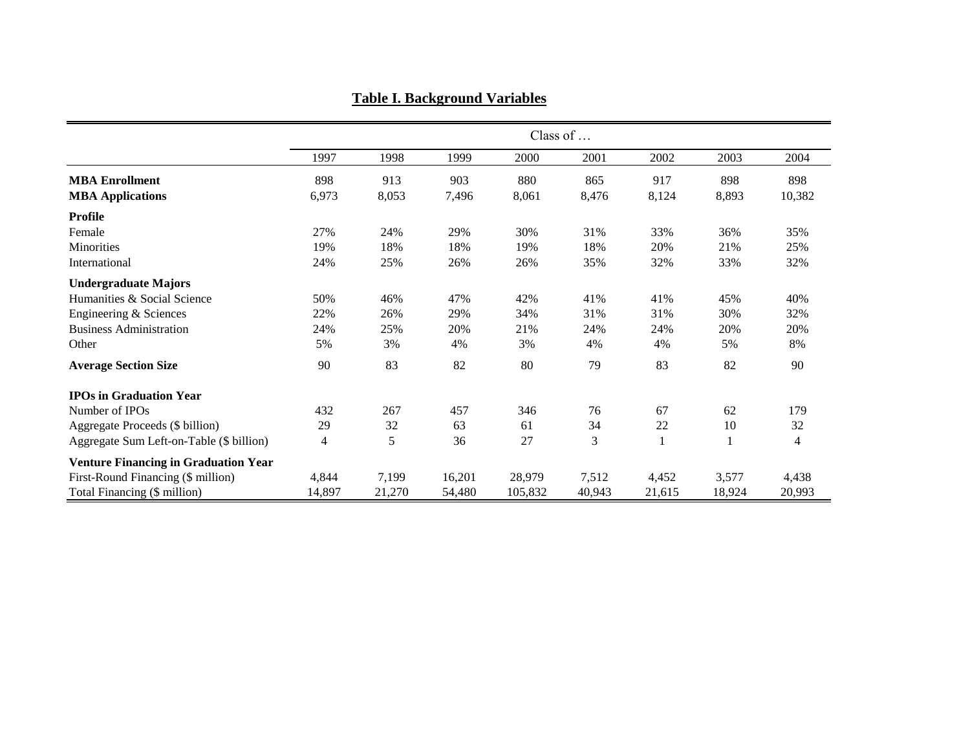|                                             |        | Class of |        |         |        |              |        |                |  |  |
|---------------------------------------------|--------|----------|--------|---------|--------|--------------|--------|----------------|--|--|
|                                             | 1997   | 1998     | 1999   | 2000    | 2001   | 2002         | 2003   | 2004           |  |  |
| <b>MBA</b> Enrollment                       | 898    | 913      | 903    | 880     | 865    | 917          | 898    | 898            |  |  |
| <b>MBA Applications</b>                     | 6,973  | 8,053    | 7,496  | 8,061   | 8,476  | 8,124        | 8,893  | 10,382         |  |  |
| <b>Profile</b>                              |        |          |        |         |        |              |        |                |  |  |
| Female                                      | 27%    | 24%      | 29%    | 30%     | 31%    | 33%          | 36%    | 35%            |  |  |
| <b>Minorities</b>                           | 19%    | 18%      | 18%    | 19%     | 18%    | 20%          | 21%    | 25%            |  |  |
| International                               | 24%    | 25%      | 26%    | 26%     | 35%    | 32%          | 33%    | 32%            |  |  |
| <b>Undergraduate Majors</b>                 |        |          |        |         |        |              |        |                |  |  |
| Humanities & Social Science                 | 50%    | 46%      | 47%    | 42%     | 41%    | 41%          | 45%    | 40%            |  |  |
| Engineering & Sciences                      | 22%    | 26%      | 29%    | 34%     | 31%    | 31%          | 30%    | 32%            |  |  |
| <b>Business Administration</b>              | 24%    | 25%      | 20%    | 21%     | 24%    | 24%          | 20%    | 20%            |  |  |
| Other                                       | 5%     | 3%       | 4%     | 3%      | 4%     | 4%           | 5%     | 8%             |  |  |
| <b>Average Section Size</b>                 | 90     | 83       | 82     | 80      | 79     | 83           | 82     | 90             |  |  |
| <b>IPOs in Graduation Year</b>              |        |          |        |         |        |              |        |                |  |  |
| Number of IPOs                              | 432    | 267      | 457    | 346     | 76     | 67           | 62     | 179            |  |  |
| Aggregate Proceeds (\$ billion)             | 29     | 32       | 63     | 61      | 34     | 22           | 10     | 32             |  |  |
| Aggregate Sum Left-on-Table (\$ billion)    | 4      | 5        | 36     | 27      | 3      | $\mathbf{1}$ | 1      | $\overline{4}$ |  |  |
| <b>Venture Financing in Graduation Year</b> |        |          |        |         |        |              |        |                |  |  |
| First-Round Financing (\$ million)          | 4,844  | 7,199    | 16,201 | 28,979  | 7,512  | 4,452        | 3,577  | 4,438          |  |  |
| Total Financing (\$ million)                | 14,897 | 21,270   | 54,480 | 105,832 | 40,943 | 21,615       | 18,924 | 20,993         |  |  |

**Table I. Background Variables**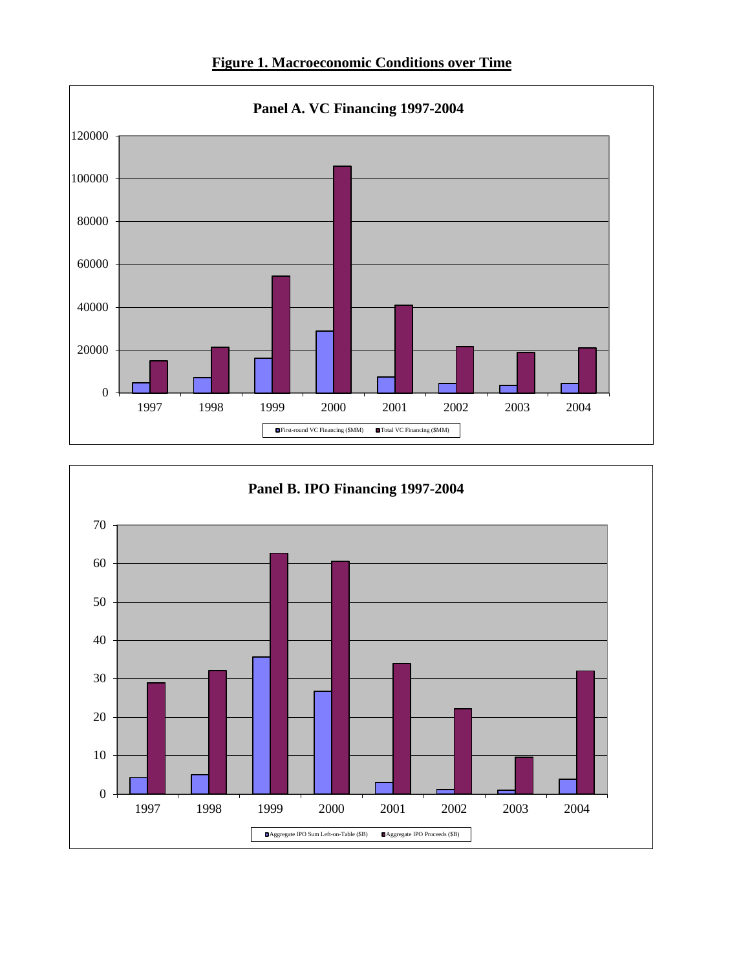



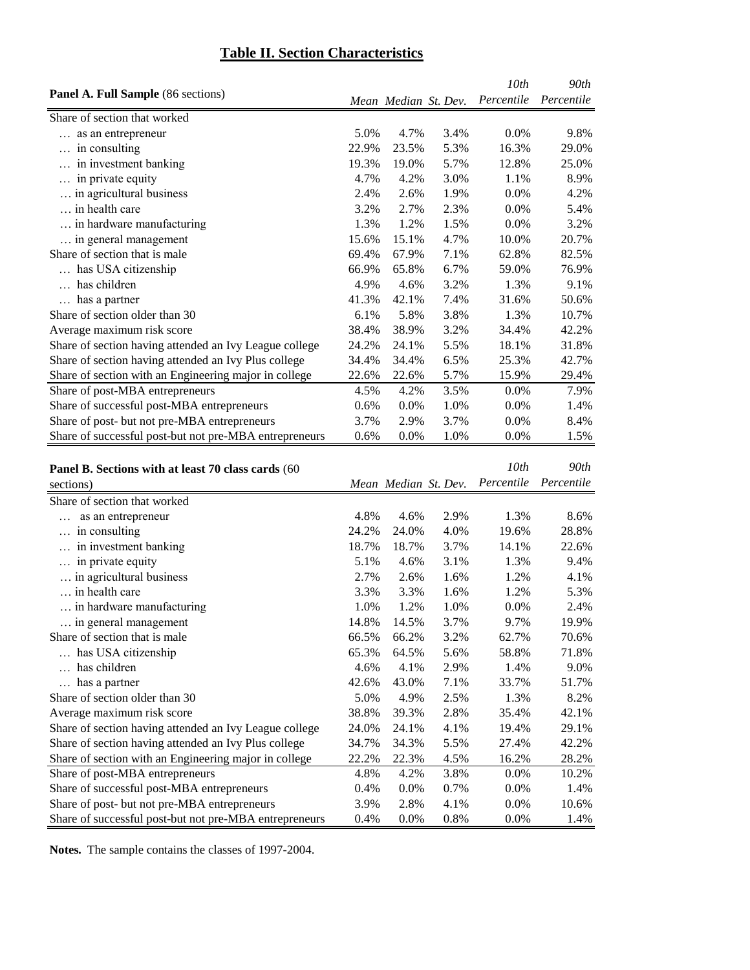## **Table II. Section Characteristics**

|                                                        |         |                      |      | 10 <sub>th</sub> | 90th       |
|--------------------------------------------------------|---------|----------------------|------|------------------|------------|
| <b>Panel A. Full Sample</b> (86 sections)              |         | Mean Median St. Dev. |      | Percentile       | Percentile |
| Share of section that worked                           |         |                      |      |                  |            |
| as an entrepreneur                                     | 5.0%    | 4.7%                 | 3.4% | $0.0\%$          | 9.8%       |
| in consulting                                          | 22.9%   | 23.5%                | 5.3% | 16.3%            | 29.0%      |
| in investment banking                                  | 19.3%   | 19.0%                | 5.7% | 12.8%            | 25.0%      |
| in private equity                                      | 4.7%    | 4.2%                 | 3.0% | 1.1%             | 8.9%       |
| in agricultural business                               | 2.4%    | 2.6%                 | 1.9% | $0.0\%$          | 4.2%       |
| in health care                                         | 3.2%    | 2.7%                 | 2.3% | $0.0\%$          | 5.4%       |
| in hardware manufacturing                              | 1.3%    | 1.2%                 | 1.5% | $0.0\%$          | 3.2%       |
| in general management                                  | 15.6%   | 15.1%                | 4.7% | 10.0%            | 20.7%      |
| Share of section that is male                          | 69.4%   | 67.9%                | 7.1% | 62.8%            | 82.5%      |
| has USA citizenship                                    | 66.9%   | 65.8%                | 6.7% | 59.0%            | 76.9%      |
| has children                                           | 4.9%    | 4.6%                 | 3.2% | 1.3%             | 9.1%       |
| has a partner                                          | 41.3%   | 42.1%                | 7.4% | 31.6%            | 50.6%      |
| Share of section older than 30                         | 6.1%    | 5.8%                 | 3.8% | 1.3%             | 10.7%      |
| Average maximum risk score                             | 38.4%   | 38.9%                | 3.2% | 34.4%            | 42.2%      |
| Share of section having attended an Ivy League college | 24.2%   | 24.1%                | 5.5% | 18.1%            | 31.8%      |
| Share of section having attended an Ivy Plus college   | 34.4%   | 34.4%                | 6.5% | 25.3%            | 42.7%      |
| Share of section with an Engineering major in college  | 22.6%   | 22.6%                | 5.7% | 15.9%            | 29.4%      |
| Share of post-MBA entrepreneurs                        | 4.5%    | 4.2%                 | 3.5% | $0.0\%$          | 7.9%       |
| Share of successful post-MBA entrepreneurs             | $0.6\%$ | $0.0\%$              | 1.0% | $0.0\%$          | 1.4%       |
| Share of post- but not pre-MBA entrepreneurs           | 3.7%    | 2.9%                 | 3.7% | $0.0\%$          | 8.4%       |
| Share of successful post-but not pre-MBA entrepreneurs | 0.6%    | $0.0\%$              | 1.0% | $0.0\%$          | 1.5%       |

| Panel B. Sections with at least 70 class cards (60     |       |                      |      | 10th       | 90th       |
|--------------------------------------------------------|-------|----------------------|------|------------|------------|
| sections)                                              |       | Mean Median St. Dev. |      | Percentile | Percentile |
| Share of section that worked                           |       |                      |      |            |            |
| as an entrepreneur                                     | 4.8%  | 4.6%                 | 2.9% | 1.3%       | 8.6%       |
| in consulting                                          | 24.2% | 24.0%                | 4.0% | 19.6%      | 28.8%      |
| in investment banking                                  | 18.7% | 18.7%                | 3.7% | 14.1%      | 22.6%      |
| in private equity                                      | 5.1%  | 4.6%                 | 3.1% | 1.3%       | 9.4%       |
| in agricultural business                               | 2.7%  | 2.6%                 | 1.6% | 1.2%       | 4.1%       |
| in health care                                         | 3.3%  | 3.3%                 | 1.6% | 1.2%       | 5.3%       |
| in hardware manufacturing                              | 1.0%  | 1.2%                 | 1.0% | 0.0%       | 2.4%       |
| in general management                                  | 14.8% | 14.5%                | 3.7% | 9.7%       | 19.9%      |
| Share of section that is male                          | 66.5% | 66.2%                | 3.2% | 62.7%      | 70.6%      |
| has USA citizenship                                    | 65.3% | 64.5%                | 5.6% | 58.8%      | 71.8%      |
| has children                                           | 4.6%  | 4.1%                 | 2.9% | 1.4%       | 9.0%       |
| has a partner                                          | 42.6% | 43.0%                | 7.1% | 33.7%      | 51.7%      |
| Share of section older than 30                         | 5.0%  | 4.9%                 | 2.5% | 1.3%       | 8.2%       |
| Average maximum risk score                             | 38.8% | 39.3%                | 2.8% | 35.4%      | 42.1%      |
| Share of section having attended an Ivy League college | 24.0% | 24.1%                | 4.1% | 19.4%      | 29.1%      |
| Share of section having attended an Ivy Plus college   | 34.7% | 34.3%                | 5.5% | 27.4%      | 42.2%      |
| Share of section with an Engineering major in college  | 22.2% | 22.3%                | 4.5% | 16.2%      | 28.2%      |
| Share of post-MBA entrepreneurs                        | 4.8%  | 4.2%                 | 3.8% | 0.0%       | 10.2%      |
| Share of successful post-MBA entrepreneurs             | 0.4%  | 0.0%                 | 0.7% | 0.0%       | 1.4%       |
| Share of post- but not pre-MBA entrepreneurs           | 3.9%  | 2.8%                 | 4.1% | 0.0%       | 10.6%      |
| Share of successful post-but not pre-MBA entrepreneurs | 0.4%  | 0.0%                 | 0.8% | 0.0%       | 1.4%       |

**Notes***.* The sample contains the classes of 1997-2004.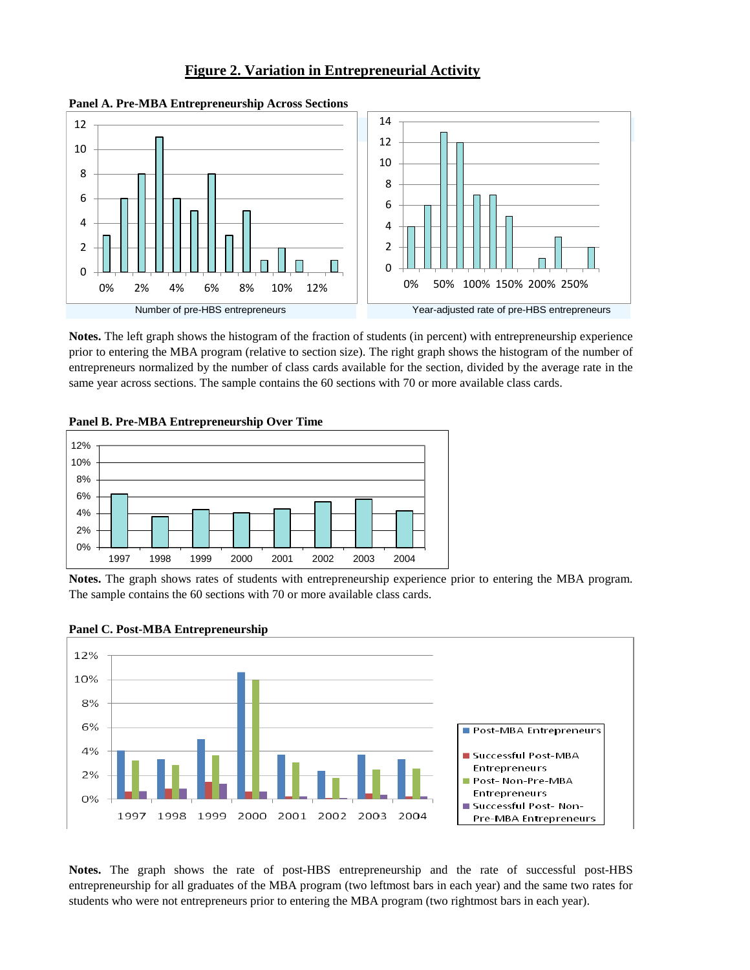#### **Figure 2. Variation in Entrepreneurial Activity**



**Panel A. Pre-MBA Entrepreneurship Across Sections**

**Notes.** The left graph shows the histogram of the fraction of students (in percent) with entrepreneurship experience prior to entering the MBA program (relative to section size). The right graph shows the histogram of the number of entrepreneurs normalized by the number of class cards available for the section, divided by the average rate in the same year across sections. The sample contains the 60 sections with 70 or more available class cards.



**Panel B. Pre-MBA Entrepreneurship Over Time**

**Notes.** The graph shows rates of students with entrepreneurship experience prior to entering the MBA program. The sample contains the 60 sections with 70 or more available class cards.



**Panel C. Post-MBA Entrepreneurship**

**Notes.** The graph shows the rate of post-HBS entrepreneurship and the rate of successful post-HBS entrepreneurship for all graduates of the MBA program (two leftmost bars in each year) and the same two rates for students who were not entrepreneurs prior to entering the MBA program (two rightmost bars in each year).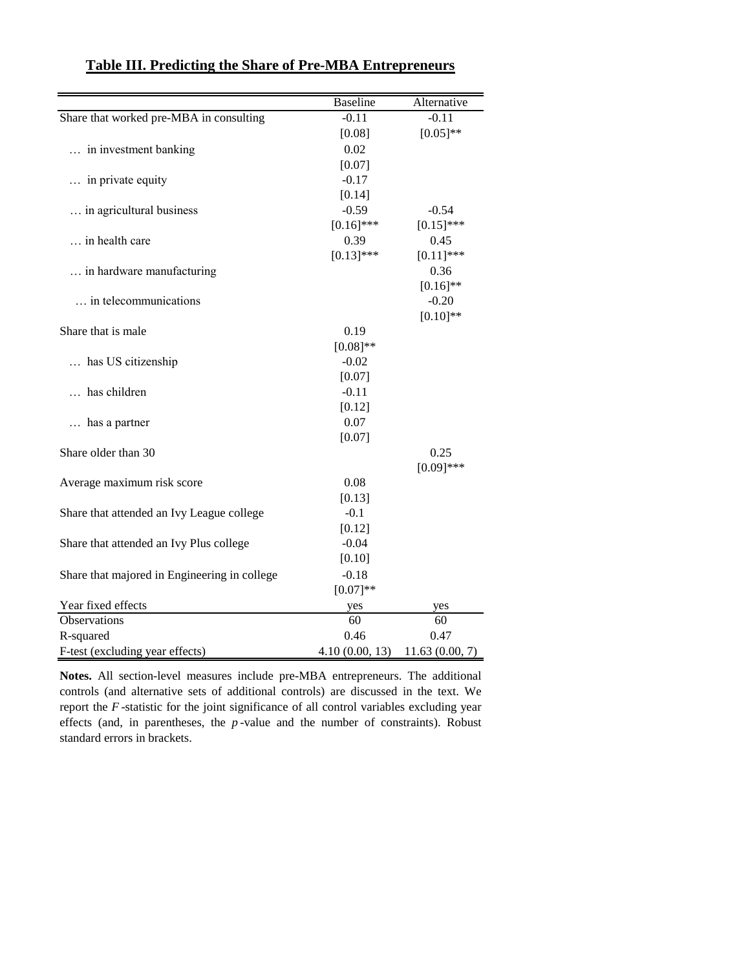|                                              | <b>Baseline</b> | Alternative    |
|----------------------------------------------|-----------------|----------------|
| Share that worked pre-MBA in consulting      | $-0.11$         | $-0.11$        |
|                                              | [0.08]          | $[0.05]$ **    |
| in investment banking                        | 0.02            |                |
|                                              | [0.07]          |                |
| in private equity                            | $-0.17$         |                |
|                                              | [0.14]          |                |
| in agricultural business                     | $-0.59$         | $-0.54$        |
|                                              | $[0.16]$ ***    | $[0.15]$ ***   |
| in health care                               | 0.39            | 0.45           |
|                                              | $[0.13]$ ***    | $[0.11]$ ***   |
| in hardware manufacturing                    |                 | 0.36           |
|                                              |                 | $[0.16]$ **    |
| in telecommunications                        |                 | $-0.20$        |
|                                              |                 | $[0.10]$ **    |
| Share that is male                           | 0.19            |                |
|                                              | $[0.08]$ **     |                |
| has US citizenship                           | $-0.02$         |                |
|                                              | [0.07]          |                |
| has children                                 | $-0.11$         |                |
|                                              | [0.12]          |                |
| has a partner                                | 0.07            |                |
|                                              | [0.07]          |                |
| Share older than 30                          |                 | 0.25           |
|                                              |                 | $[0.09]$ ***   |
| Average maximum risk score                   | 0.08            |                |
|                                              | [0.13]          |                |
| Share that attended an Ivy League college    | $-0.1$          |                |
|                                              | [0.12]          |                |
| Share that attended an Ivy Plus college      | $-0.04$         |                |
|                                              | [0.10]          |                |
| Share that majored in Engineering in college | $-0.18$         |                |
|                                              | $[0.07]**$      |                |
| Year fixed effects                           | yes             | yes            |
| Observations                                 | 60              | 60             |
| R-squared                                    | 0.46            | 0.47           |
| F-test (excluding year effects)              | 4.10(0.00, 13)  | 11.63(0.00, 7) |

## **Table III. Predicting the Share of Pre-MBA Entrepreneurs**

**Notes.** All section-level measures include pre-MBA entrepreneurs. The additional controls (and alternative sets of additional controls) are discussed in the text. We report the *F* -statistic for the joint significance of all control variables excluding year effects (and, in parentheses, the *p* -value and the number of constraints). Robust standard errors in brackets.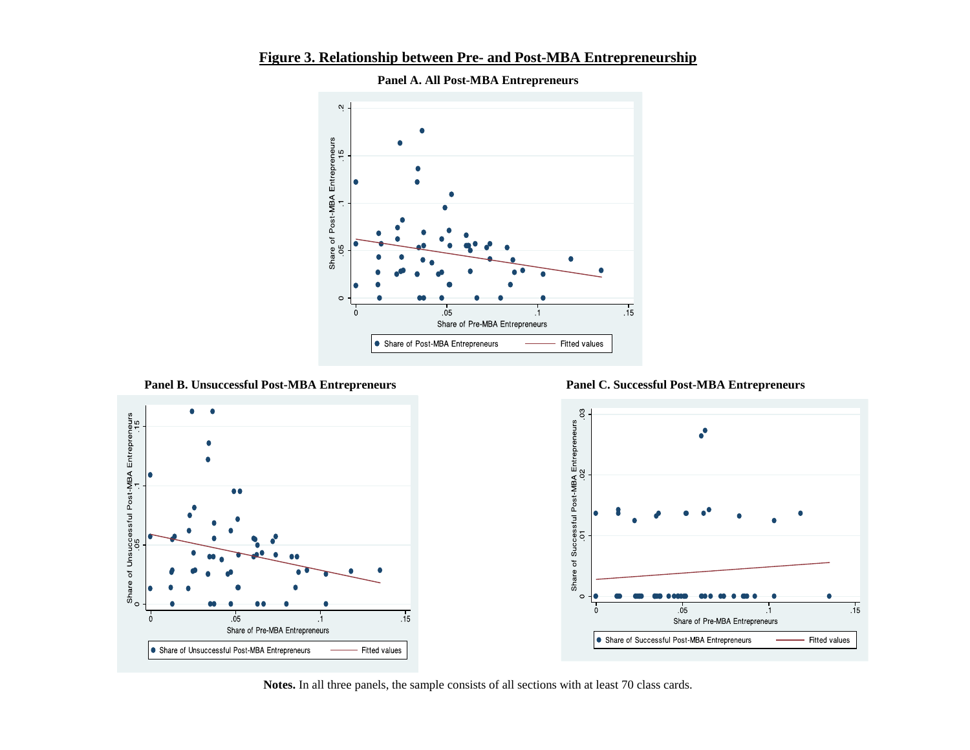

**Figure 3. Relationship between Pre- and Post-MBA Entrepreneurship**

**Panel A. All Post-MBA Entrepreneurs**

**Panel B. Unsuccessful Post-MBA Entrepreneurs Panel C. Successful Post-MBA Entrepreneurs**





**Notes.** In all three panels, the sample consists of all sections with at least 70 class cards.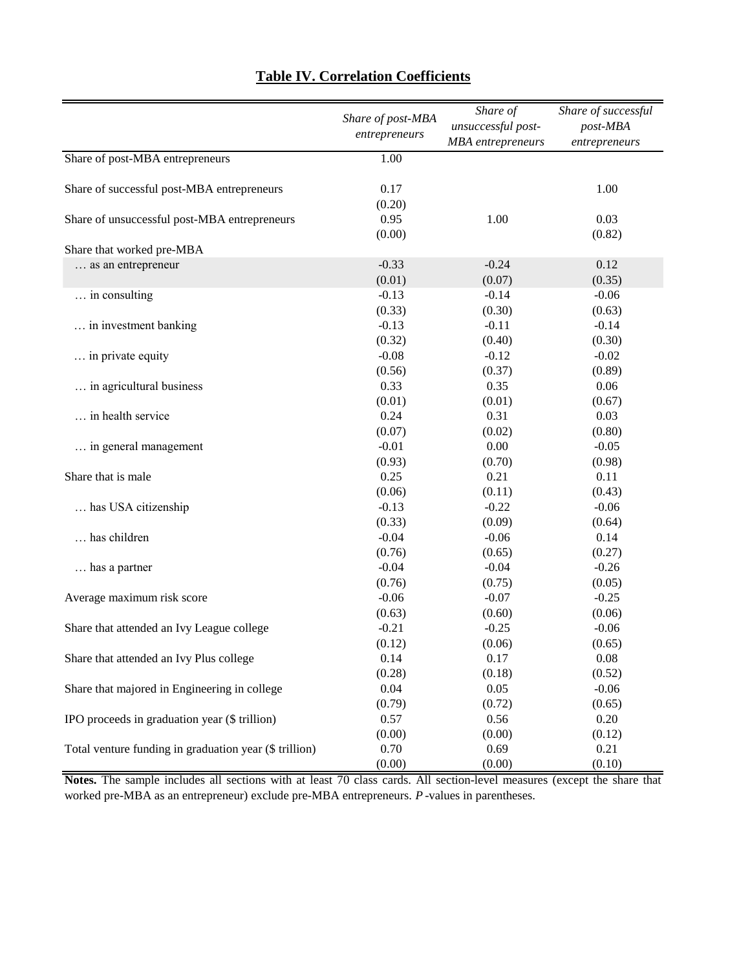|                                                        | Share of post-MBA | Share of<br>unsuccessful post- | Share of successful       |
|--------------------------------------------------------|-------------------|--------------------------------|---------------------------|
|                                                        | entrepreneurs     | <b>MBA</b> entrepreneurs       | post-MBA<br>entrepreneurs |
| Share of post-MBA entrepreneurs                        | 1.00              |                                |                           |
|                                                        |                   |                                |                           |
| Share of successful post-MBA entrepreneurs             | 0.17              |                                | 1.00                      |
|                                                        | (0.20)            |                                |                           |
| Share of unsuccessful post-MBA entrepreneurs           | 0.95              | 1.00                           | 0.03                      |
|                                                        | (0.00)            |                                | (0.82)                    |
| Share that worked pre-MBA                              |                   |                                |                           |
| as an entrepreneur                                     | $-0.33$           | $-0.24$                        | 0.12                      |
|                                                        | (0.01)            | (0.07)                         | (0.35)                    |
| in consulting                                          | $-0.13$           | $-0.14$                        | $-0.06$                   |
|                                                        | (0.33)            | (0.30)                         | (0.63)                    |
| in investment banking                                  | $-0.13$           | $-0.11$                        | $-0.14$                   |
|                                                        | (0.32)            | (0.40)                         | (0.30)                    |
| in private equity                                      | $-0.08$           | $-0.12$                        | $-0.02$                   |
|                                                        | (0.56)            | (0.37)                         | (0.89)                    |
| in agricultural business                               | 0.33              | 0.35                           | 0.06                      |
|                                                        | (0.01)            | (0.01)                         | (0.67)                    |
| in health service                                      | 0.24              | 0.31                           | 0.03                      |
|                                                        | (0.07)            | (0.02)                         | (0.80)                    |
| in general management                                  | $-0.01$           | 0.00                           | $-0.05$                   |
|                                                        | (0.93)            | (0.70)                         | (0.98)                    |
| Share that is male                                     | 0.25              | 0.21                           | 0.11                      |
|                                                        | (0.06)            | (0.11)                         | (0.43)                    |
| has USA citizenship                                    | $-0.13$           | $-0.22$                        | $-0.06$                   |
|                                                        | (0.33)            | (0.09)                         | (0.64)                    |
| has children                                           | $-0.04$           | $-0.06$                        | 0.14                      |
|                                                        | (0.76)            | (0.65)                         | (0.27)                    |
| has a partner                                          | $-0.04$           | $-0.04$                        | $-0.26$                   |
|                                                        | (0.76)            | (0.75)                         | (0.05)                    |
| Average maximum risk score                             | $-0.06$           | $-0.07$                        | $-0.25$                   |
|                                                        | (0.63)            | (0.60)                         | (0.06)                    |
| Share that attended an Ivy League college              | $-0.21$           | $-0.25$                        | $-0.06$                   |
|                                                        | (0.12)            | (0.06)                         | (0.65)                    |
| Share that attended an Ivy Plus college                | 0.14              | 0.17                           | 0.08                      |
|                                                        | (0.28)            | (0.18)                         | (0.52)                    |
| Share that majored in Engineering in college           | 0.04              | 0.05                           | $-0.06$                   |
|                                                        | (0.79)            | (0.72)                         | (0.65)                    |
| IPO proceeds in graduation year (\$ trillion)          | 0.57              | 0.56                           | 0.20                      |
|                                                        | (0.00)            | (0.00)                         | (0.12)                    |
| Total venture funding in graduation year (\$ trillion) | 0.70              | 0.69                           | 0.21                      |
|                                                        | (0.00)            | (0.00)                         | (0.10)                    |

## **Table IV. Correlation Coefficients**

**Notes.** The sample includes all sections with at least 70 class cards. All section-level measures (except the share that worked pre-MBA as an entrepreneur) exclude pre-MBA entrepreneurs. *P* -values in parentheses.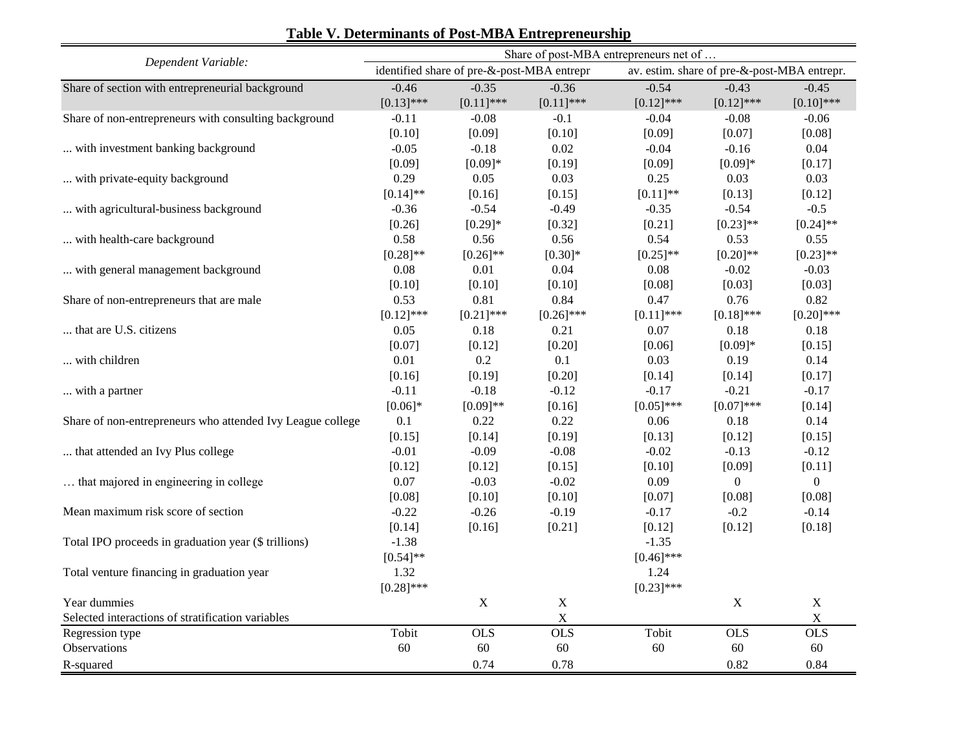| Dependent Variable:                                        |              |                                            |              | Share of post-MBA entrepreneurs net of |                                             |                |  |  |
|------------------------------------------------------------|--------------|--------------------------------------------|--------------|----------------------------------------|---------------------------------------------|----------------|--|--|
|                                                            |              | identified share of pre-&-post-MBA entrepr |              |                                        | av. estim. share of pre-&-post-MBA entrepr. |                |  |  |
| Share of section with entrepreneurial background           | $-0.46$      | $-0.35$                                    | $-0.36$      | $-0.54$                                | $-0.43$                                     | $-0.45$        |  |  |
|                                                            | $[0.13]$ *** | $[0.11]$ ***                               | $[0.11]$ *** | $[0.12]$ ***                           | $[0.12]$ ***                                | $[0.10]$ ***   |  |  |
| Share of non-entrepreneurs with consulting background      | $-0.11$      | $-0.08$                                    | $-0.1$       | $-0.04$                                | $-0.08$                                     | $-0.06$        |  |  |
|                                                            | [0.10]       | [0.09]                                     | [0.10]       | [0.09]                                 | [0.07]                                      | [0.08]         |  |  |
| with investment banking background                         | $-0.05$      | $-0.18$                                    | 0.02         | $-0.04$                                | $-0.16$                                     | 0.04           |  |  |
|                                                            | [0.09]       | $[0.09]*$                                  | [0.19]       | [0.09]                                 | $[0.09]*$                                   | [0.17]         |  |  |
| with private-equity background                             | 0.29         | 0.05                                       | 0.03         | 0.25                                   | 0.03                                        | 0.03           |  |  |
|                                                            | $[0.14]$ **  | [0.16]                                     | [0.15]       | $[0.11]$ **                            | [0.13]                                      | [0.12]         |  |  |
| with agricultural-business background                      | $-0.36$      | $-0.54$                                    | $-0.49$      | $-0.35$                                | $-0.54$                                     | $-0.5$         |  |  |
|                                                            | [0.26]       | $[0.29]*$                                  | [0.32]       | [0.21]                                 | $[0.23]$ **                                 | $[0.24]$ **    |  |  |
| with health-care background                                | 0.58         | 0.56                                       | 0.56         | 0.54                                   | 0.53                                        | 0.55           |  |  |
|                                                            | $[0.28]$ **  | $[0.26]$ **                                | $[0.30]*$    | $[0.25]$ **                            | $[0.20]$ **                                 | $[0.23]$ **    |  |  |
| with general management background                         | 0.08         | 0.01                                       | 0.04         | 0.08                                   | $-0.02$                                     | $-0.03$        |  |  |
|                                                            | [0.10]       | [0.10]                                     | [0.10]       | [0.08]                                 | [0.03]                                      | [0.03]         |  |  |
| Share of non-entrepreneurs that are male                   | 0.53         | 0.81                                       | 0.84         | 0.47                                   | 0.76                                        | 0.82           |  |  |
|                                                            | $[0.12]$ *** | $[0.21]$ ***                               | $[0.26]$ *** | $[0.11]$ ***                           | $[0.18]$ ***                                | $[0.20]$ ***   |  |  |
| that are U.S. citizens                                     | 0.05         | 0.18                                       | 0.21         | 0.07                                   | $0.18\,$                                    | 0.18           |  |  |
|                                                            | [0.07]       | [0.12]                                     | [0.20]       | [0.06]                                 | $[0.09]*$                                   | [0.15]         |  |  |
| with children                                              | 0.01         | $0.2\,$                                    | 0.1          | 0.03                                   | 0.19                                        | 0.14           |  |  |
|                                                            | [0.16]       | [0.19]                                     | [0.20]       | [0.14]                                 | [0.14]                                      | [0.17]         |  |  |
| with a partner                                             | $-0.11$      | $-0.18$                                    | $-0.12$      | $-0.17$                                | $-0.21$                                     | $-0.17$        |  |  |
|                                                            | $[0.06]*$    | $[0.09]**$                                 | [0.16]       | $[0.05]$ ***                           | $[0.07]$ ***                                | [0.14]         |  |  |
| Share of non-entrepreneurs who attended Ivy League college | 0.1          | 0.22                                       | 0.22         | 0.06                                   | $0.18\,$                                    | 0.14           |  |  |
|                                                            | [0.15]       | [0.14]                                     | [0.19]       | [0.13]                                 | [0.12]                                      | [0.15]         |  |  |
| that attended an Ivy Plus college                          | $-0.01$      | $-0.09$                                    | $-0.08$      | $-0.02$                                | $-0.13$                                     | $-0.12$        |  |  |
|                                                            | [0.12]       | [0.12]                                     | [0.15]       | [0.10]                                 | [0.09]                                      | [0.11]         |  |  |
| that majored in engineering in college                     | $0.07\,$     | $-0.03$                                    | $-0.02$      | 0.09                                   | $\overline{0}$                              | $\overline{0}$ |  |  |
|                                                            | [0.08]       | [0.10]                                     | [0.10]       | [0.07]                                 | [0.08]                                      | [0.08]         |  |  |
| Mean maximum risk score of section                         | $-0.22$      | $-0.26$                                    | $-0.19$      | $-0.17$                                | $-0.2$                                      | $-0.14$        |  |  |
|                                                            | [0.14]       | [0.16]                                     | [0.21]       | [0.12]                                 | [0.12]                                      | [0.18]         |  |  |
| Total IPO proceeds in graduation year (\$ trillions)       | $-1.38$      |                                            |              | $-1.35$                                |                                             |                |  |  |
|                                                            | $[0.54]$ **  |                                            |              | $[0.46]$ ***                           |                                             |                |  |  |
| Total venture financing in graduation year                 | 1.32         |                                            |              | 1.24                                   |                                             |                |  |  |
|                                                            | $[0.28]$ *** |                                            |              | $[0.23]$ ***                           |                                             |                |  |  |
| Year dummies                                               |              | $\mathbf X$                                | $\mathbf X$  |                                        | $\mathbf X$                                 | $\mathbf X$    |  |  |
| Selected interactions of stratification variables          |              |                                            | $\mathbf X$  |                                        |                                             | $\mathbf X$    |  |  |
| Regression type                                            | Tobit        | <b>OLS</b>                                 | <b>OLS</b>   | Tobit                                  | <b>OLS</b>                                  | OLS            |  |  |
| Observations                                               | 60           | 60                                         | 60           | 60                                     | 60                                          | 60             |  |  |
| R-squared                                                  |              | 0.74                                       | 0.78         |                                        | 0.82                                        | 0.84           |  |  |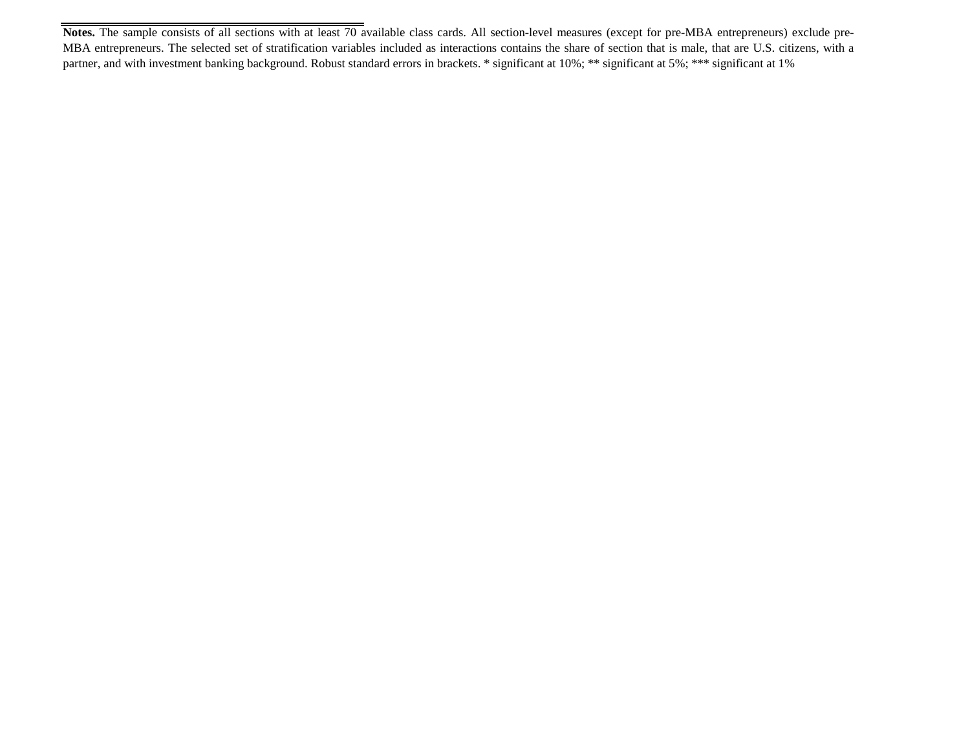**Notes.** The sample consists of all sections with at least 70 available class cards. All section-level measures (except for pre-MBA entrepreneurs) exclude pre-MBA entrepreneurs. The selected set of stratification variables included as interactions contains the share of section that is male, that are U.S. citizens, with a partner, and with investment banking background. Robust standard errors in brackets. \* significant at 10%; \*\*\* significant at 5%; \*\*\* significant at 1%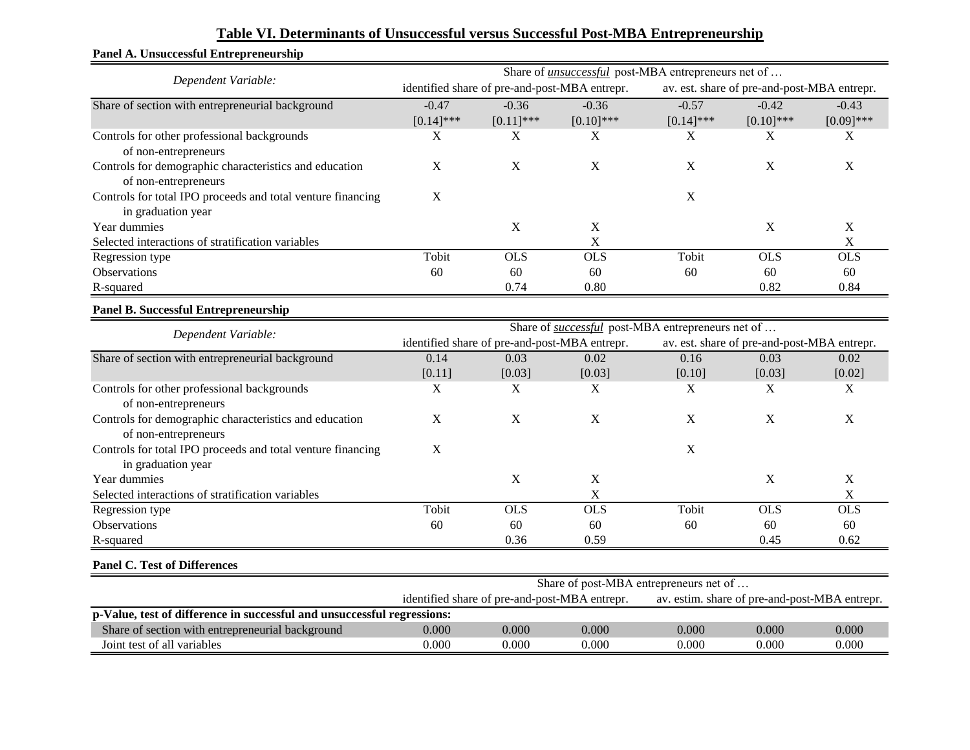|                                                             | Share of <i>unsuccessful</i> post-MBA entrepreneurs net of |                                               |                                                          |              |                                               |              |  |  |
|-------------------------------------------------------------|------------------------------------------------------------|-----------------------------------------------|----------------------------------------------------------|--------------|-----------------------------------------------|--------------|--|--|
| Dependent Variable:                                         |                                                            | identified share of pre-and-post-MBA entrepr. |                                                          |              | av. est. share of pre-and-post-MBA entrepr.   |              |  |  |
| Share of section with entrepreneurial background            | $-0.47$                                                    | $-0.36$                                       | $-0.36$                                                  | $-0.57$      | $-0.42$                                       | $-0.43$      |  |  |
|                                                             | $[0.14]$ ***                                               | $[0.11]$ ***                                  | $[0.10]$ ***                                             | $[0.14]$ *** | $[0.10]$ ***                                  | $[0.09]$ *** |  |  |
| Controls for other professional backgrounds                 | $\mathbf X$                                                | X                                             | X                                                        | X            | X                                             | X            |  |  |
| of non-entrepreneurs                                        |                                                            |                                               |                                                          |              |                                               |              |  |  |
| Controls for demographic characteristics and education      | $\mathbf X$                                                | $\mathbf X$                                   | X                                                        | X            | X                                             | X            |  |  |
| of non-entrepreneurs                                        |                                                            |                                               |                                                          |              |                                               |              |  |  |
| Controls for total IPO proceeds and total venture financing | $\mathbf X$                                                |                                               |                                                          | $\mathbf X$  |                                               |              |  |  |
| in graduation year                                          |                                                            |                                               |                                                          |              |                                               |              |  |  |
| Year dummies                                                |                                                            | $\boldsymbol{X}$                              | $\mathbf X$                                              |              | X                                             | X            |  |  |
| Selected interactions of stratification variables           |                                                            |                                               | $\mathbf X$                                              |              |                                               | $\mathbf X$  |  |  |
| Regression type                                             | Tobit                                                      | <b>OLS</b>                                    | <b>OLS</b>                                               | Tobit        | <b>OLS</b>                                    | <b>OLS</b>   |  |  |
| Observations                                                | 60                                                         | 60                                            | 60                                                       | 60           | 60                                            | 60           |  |  |
| R-squared                                                   |                                                            | 0.74                                          | 0.80                                                     |              | 0.82                                          | 0.84         |  |  |
| <b>Panel B. Successful Entrepreneurship</b>                 |                                                            |                                               |                                                          |              |                                               |              |  |  |
| Dependent Variable:                                         |                                                            |                                               | Share of <i>successful</i> post-MBA entrepreneurs net of |              |                                               |              |  |  |
|                                                             |                                                            | identified share of pre-and-post-MBA entrepr. |                                                          |              | av. est. share of pre-and-post-MBA entrepr.   |              |  |  |
| Share of section with entrepreneurial background            | 0.14                                                       | 0.03                                          | 0.02                                                     | 0.16         | 0.03                                          | 0.02         |  |  |
|                                                             | [0.11]                                                     | [0.03]                                        | [0.03]                                                   | [0.10]       | [0.03]                                        | [0.02]       |  |  |
| Controls for other professional backgrounds                 | X                                                          | X                                             | X                                                        | X            | X                                             | X            |  |  |
| of non-entrepreneurs                                        |                                                            |                                               |                                                          |              |                                               |              |  |  |
| Controls for demographic characteristics and education      | $\mathbf X$                                                | X                                             | $\mathbf X$                                              | $\mathbf X$  | X                                             | X            |  |  |
| of non-entrepreneurs                                        |                                                            |                                               |                                                          |              |                                               |              |  |  |
| Controls for total IPO proceeds and total venture financing | $\mathbf X$                                                |                                               |                                                          | $\mathbf X$  |                                               |              |  |  |
| in graduation year                                          |                                                            |                                               |                                                          |              |                                               |              |  |  |
| Year dummies                                                |                                                            | $\mathbf X$                                   | $\mathbf X$                                              |              | $\mathbf X$                                   | $\mathbf X$  |  |  |
| Selected interactions of stratification variables           |                                                            |                                               | $\mathbf X$                                              |              |                                               | $\mathbf X$  |  |  |
| Regression type                                             | Tobit                                                      | <b>OLS</b>                                    | OLS                                                      | Tobit        | <b>OLS</b>                                    | <b>OLS</b>   |  |  |
| Observations                                                | 60                                                         | 60                                            | 60                                                       | 60           | 60                                            | 60           |  |  |
| R-squared                                                   |                                                            | 0.36                                          | 0.59                                                     |              | 0.45                                          | 0.62         |  |  |
| <b>Panel C. Test of Differences</b>                         |                                                            |                                               |                                                          |              |                                               |              |  |  |
|                                                             |                                                            |                                               | Share of post-MBA entrepreneurs net of                   |              |                                               |              |  |  |
|                                                             |                                                            | identified share of pre-and-post-MBA entrepr. |                                                          |              | av. estim. share of pre-and-post-MBA entrepr. |              |  |  |

Share of section with entrepreneurial background 0.000 0.000 0.000 0.000 0.000 0.000 0.000 0.000 Vert of all variables 0.000 0.000 0.000 0.000 0.000 0.000 0.000 0.000 0.000 0.000 0.000 0.000 0.000 0.000 0.000 0.000 0.000 0.000 0.000 0.000 0.000 0.000 0.000 0.000 0.000 0.000 0.000 0.000 0.000 0.000 0.000 0.000 0.000 0.

**p-Value, test of difference in successful and unsuccessful regressions:**

## **Table VI. Determinants of Unsuccessful versus Successful Post-MBA Entrepreneurship**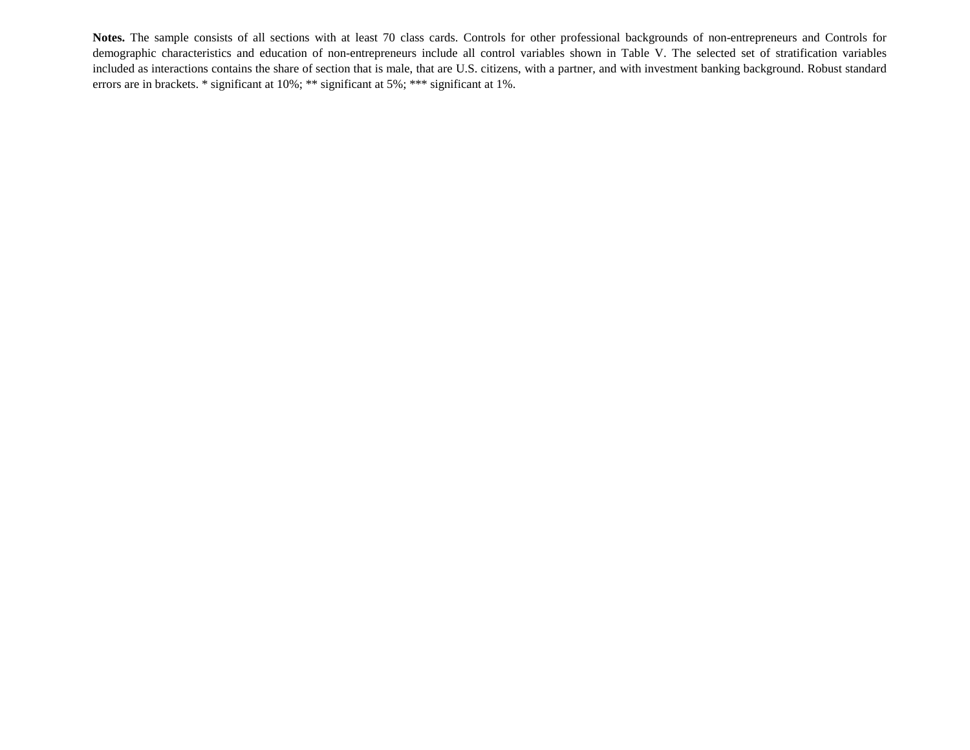**Notes.** The sample consists of all sections with at least 70 class cards. Controls for other professional backgrounds of non-entrepreneurs and Controls for demographic characteristics and education of non-entrepreneurs include all control variables shown in Table V. The selected set of stratification variables included as interactions contains the share of section that is male, that are U.S. citizens, with a partner, and with investment banking background. Robust standard errors are in brackets. \* significant at 10%; \*\* significant at 5%; \*\*\* significant at 1%.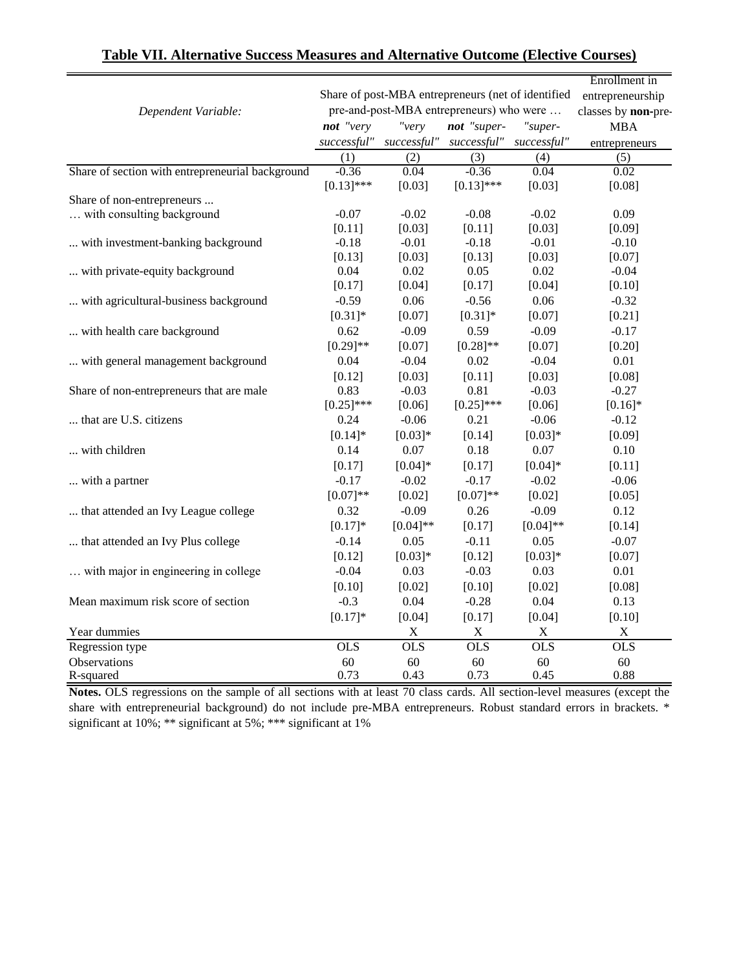|                                                  |              |             |                                                    |             | Enrollment in       |
|--------------------------------------------------|--------------|-------------|----------------------------------------------------|-------------|---------------------|
|                                                  |              |             | Share of post-MBA entrepreneurs (net of identified |             | entrepreneurship    |
| Dependent Variable:                              |              |             | pre-and-post-MBA entrepreneurs) who were           |             | classes by non-pre- |
|                                                  | not "very    | "very       | not "super-                                        | "super-     | <b>MBA</b>          |
|                                                  | successful"  | successful" | successful"                                        | successful" | entrepreneurs       |
|                                                  | (1)          | (2)         | (3)                                                | (4)         | (5)                 |
| Share of section with entrepreneurial background | $-0.36$      | 0.04        | $-0.36$                                            | 0.04        | 0.02                |
|                                                  | $[0.13]$ *** | [0.03]      | $[0.13]$ ***                                       | [0.03]      | [0.08]              |
| Share of non-entrepreneurs                       |              |             |                                                    |             |                     |
| with consulting background                       | $-0.07$      | $-0.02$     | $-0.08$                                            | $-0.02$     | 0.09                |
|                                                  | [0.11]       | [0.03]      | [0.11]                                             | [0.03]      | [0.09]              |
| with investment-banking background               | $-0.18$      | $-0.01$     | $-0.18$                                            | $-0.01$     | $-0.10$             |
|                                                  | [0.13]       | [0.03]      | [0.13]                                             | [0.03]      | [0.07]              |
| with private-equity background                   | 0.04         | 0.02        | 0.05                                               | 0.02        | $-0.04$             |
|                                                  | [0.17]       | [0.04]      | [0.17]                                             | [0.04]      | [0.10]              |
| with agricultural-business background            | $-0.59$      | 0.06        | $-0.56$                                            | 0.06        | $-0.32$             |
|                                                  | $[0.31]$ *   | [0.07]      | $[0.31]$ *                                         | [0.07]      | [0.21]              |
| with health care background                      | 0.62         | $-0.09$     | 0.59                                               | $-0.09$     | $-0.17$             |
|                                                  | $[0.29]$ **  | [0.07]      | $[0.28]$ **                                        | [0.07]      | [0.20]              |
| with general management background               | 0.04         | $-0.04$     | 0.02                                               | $-0.04$     | 0.01                |
|                                                  | [0.12]       | [0.03]      | [0.11]                                             | [0.03]      | [0.08]              |
| Share of non-entrepreneurs that are male         | 0.83         | $-0.03$     | 0.81                                               | $-0.03$     | $-0.27$             |
|                                                  | $[0.25]$ *** | [0.06]      | $[0.25]$ ***                                       | [0.06]      | $[0.16]*$           |
| that are U.S. citizens                           | 0.24         | $-0.06$     | 0.21                                               | $-0.06$     | $-0.12$             |
|                                                  | $[0.14]*$    | $[0.03]*$   | [0.14]                                             | $[0.03]*$   | [0.09]              |
| with children                                    | 0.14         | 0.07        | 0.18                                               | 0.07        | 0.10                |
|                                                  | [0.17]       | $[0.04]*$   | [0.17]                                             | $[0.04]*$   | [0.11]              |
| with a partner                                   | $-0.17$      | $-0.02$     | $-0.17$                                            | $-0.02$     | $-0.06$             |
|                                                  | $[0.07]**$   | [0.02]      | $[0.07]**$                                         | [0.02]      | [0.05]              |
| that attended an Ivy League college              | 0.32         | $-0.09$     | 0.26                                               | $-0.09$     | 0.12                |
|                                                  | $[0.17]*$    | $[0.04]$ ** | [0.17]                                             | $[0.04]$ ** | [0.14]              |
| that attended an Ivy Plus college                | $-0.14$      | 0.05        | $-0.11$                                            | 0.05        | $-0.07$             |
|                                                  | [0.12]       | $[0.03]*$   | [0.12]                                             | $[0.03]*$   | [0.07]              |
| with major in engineering in college             | $-0.04$      | 0.03        | $-0.03$                                            | 0.03        | 0.01                |
|                                                  | [0.10]       | [0.02]      | [0.10]                                             | [0.02]      | [0.08]              |
| Mean maximum risk score of section               | $-0.3$       | 0.04        | $-0.28$                                            | 0.04        | 0.13                |
|                                                  | $[0.17]*$    | [0.04]      | [0.17]                                             | [0.04]      | [0.10]              |
| Year dummies                                     |              | $\mathbf X$ | $\mathbf X$                                        | $\mathbf X$ | $\mathbf X$         |
| Regression type                                  | <b>OLS</b>   | <b>OLS</b>  | <b>OLS</b>                                         | <b>OLS</b>  | <b>OLS</b>          |
| Observations                                     | 60           | 60          | 60                                                 | 60          | 60                  |
| R-squared                                        | 0.73         | 0.43        | 0.73                                               | 0.45        | 0.88                |

**Notes.** OLS regressions on the sample of all sections with at least 70 class cards. All section-level measures (except the share with entrepreneurial background) do not include pre-MBA entrepreneurs. Robust standard errors in brackets. \* significant at 10%; \*\* significant at 5%; \*\*\* significant at 1%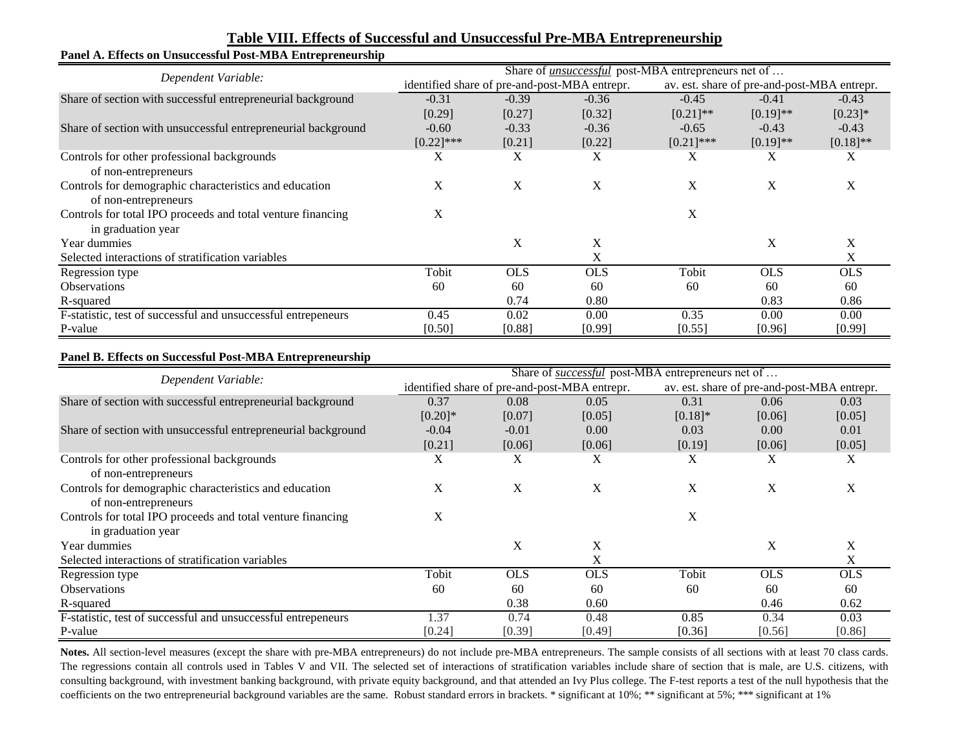| Panel A. Effects on Unsuccessful Post-MBA Entrepreneurship    |                                                            |            |            |              |                                             |             |  |  |
|---------------------------------------------------------------|------------------------------------------------------------|------------|------------|--------------|---------------------------------------------|-------------|--|--|
| Dependent Variable:                                           | Share of <i>unsuccessful</i> post-MBA entrepreneurs net of |            |            |              |                                             |             |  |  |
|                                                               | identified share of pre-and-post-MBA entrepr.              |            |            |              | av. est. share of pre-and-post-MBA entrepr. |             |  |  |
| Share of section with successful entrepreneurial background   | $-0.31$                                                    | $-0.39$    | $-0.36$    | $-0.45$      | $-0.41$                                     | $-0.43$     |  |  |
|                                                               | [0.29]                                                     | [0.27]     | [0.32]     | $[0.21]$ **  | $[0.19]$ **                                 | $[0.23]$ *  |  |  |
| Share of section with unsuccessful entrepreneurial background | $-0.60$                                                    | $-0.33$    | $-0.36$    | $-0.65$      | $-0.43$                                     | $-0.43$     |  |  |
|                                                               | $[0.22]$ ***                                               | [0.21]     | [0.22]     | $[0.21]$ *** | $[0.19]$ **                                 | $[0.18]$ ** |  |  |
| Controls for other professional backgrounds                   | X                                                          | X          | X          | X            | X                                           | X           |  |  |
| of non-entrepreneurs                                          |                                                            |            |            |              |                                             |             |  |  |
| Controls for demographic characteristics and education        | X                                                          | X          | X          | X            | X                                           | X           |  |  |
| of non-entrepreneurs                                          |                                                            |            |            |              |                                             |             |  |  |
| Controls for total IPO proceeds and total venture financing   | X                                                          |            |            | X            |                                             |             |  |  |
| in graduation year                                            |                                                            |            |            |              |                                             |             |  |  |
| Year dummies                                                  |                                                            | X          | X          |              | X                                           | X           |  |  |
| Selected interactions of stratification variables             |                                                            |            | X          |              |                                             | X           |  |  |
| Regression type                                               | Tobit                                                      | <b>OLS</b> | <b>OLS</b> | Tobit        | <b>OLS</b>                                  | <b>OLS</b>  |  |  |
| <b>Observations</b>                                           | 60                                                         | 60         | 60         | 60           | 60                                          | 60          |  |  |
| R-squared                                                     |                                                            | 0.74       | 0.80       |              | 0.83                                        | 0.86        |  |  |
| F-statistic, test of successful and unsuccessful entrepeneurs | 0.45                                                       | 0.02       | 0.00       | 0.35         | 0.00                                        | 0.00        |  |  |
| P-value                                                       | [0.50]                                                     | [0.88]     | [0.99]     | [0.55]       | [0.96]                                      | [0.99]      |  |  |

#### **Table VIII. Effects of Successful and Unsuccessful Pre-MBA Entrepreneurship**

#### **Panel B. Effects on Successful Post-MBA Entrepreneurship**

| Dependent Variable:                                           | Share of <i>successful</i> post-MBA entrepreneurs net of |                                               |            |           |                                             |            |  |
|---------------------------------------------------------------|----------------------------------------------------------|-----------------------------------------------|------------|-----------|---------------------------------------------|------------|--|
|                                                               |                                                          | identified share of pre-and-post-MBA entrepr. |            |           | av. est. share of pre-and-post-MBA entrepr. |            |  |
| Share of section with successful entrepreneurial background   | 0.37                                                     | 0.08                                          | 0.05       | 0.31      | 0.06                                        | 0.03       |  |
|                                                               | $[0.20]$ *                                               | [0.07]                                        | [0.05]     | $[0.18]*$ | [0.06]                                      | [0.05]     |  |
| Share of section with unsuccessful entrepreneurial background | $-0.04$                                                  | $-0.01$                                       | 0.00       | 0.03      | 0.00                                        | 0.01       |  |
|                                                               | [0.21]                                                   | [0.06]                                        | [0.06]     | [0.19]    | [0.06]                                      | [0.05]     |  |
| Controls for other professional backgrounds                   | X                                                        | X                                             | Х          | Х         | Χ                                           | X          |  |
| of non-entrepreneurs                                          |                                                          |                                               |            |           |                                             |            |  |
| Controls for demographic characteristics and education        | X                                                        | X                                             | X          | X         | X                                           | X          |  |
| of non-entrepreneurs                                          |                                                          |                                               |            |           |                                             |            |  |
| Controls for total IPO proceeds and total venture financing   | X                                                        |                                               |            | X         |                                             |            |  |
| in graduation year                                            |                                                          |                                               |            |           |                                             |            |  |
| Year dummies                                                  |                                                          | X                                             | X          |           | X                                           | X          |  |
| Selected interactions of stratification variables             |                                                          |                                               | X          |           |                                             | X          |  |
| Regression type                                               | Tobit                                                    | <b>OLS</b>                                    | <b>OLS</b> | Tobit     | <b>OLS</b>                                  | <b>OLS</b> |  |
| <b>Observations</b>                                           | 60                                                       | 60                                            | 60         | 60        | 60                                          | 60         |  |
| R-squared                                                     |                                                          | 0.38                                          | 0.60       |           | 0.46                                        | 0.62       |  |
| F-statistic, test of successful and unsuccessful entrepeneurs | 1.37                                                     | 0.74                                          | 0.48       | 0.85      | 0.34                                        | 0.03       |  |
| P-value                                                       | [0.24]                                                   | [0.39]                                        | [0.49]     | [0.36]    | [0.56]                                      | [0.86]     |  |

Notes. All section-level measures (except the share with pre-MBA entrepreneurs) do not include pre-MBA entrepreneurs. The sample consists of all sections with at least 70 class cards. The regressions contain all controls used in Tables V and VII. The selected set of interactions of stratification variables include share of section that is male, are U.S. citizens, with consulting background, with investment banking background, with private equity background, and that attended an Ivy Plus college. The F-test reports a test of the null hypothesis that the coefficients on the two entrepreneurial background variables are the same. Robust standard errors in brackets. \* significant at 10%; \*\* significant at 5%; \*\*\* significant at 1%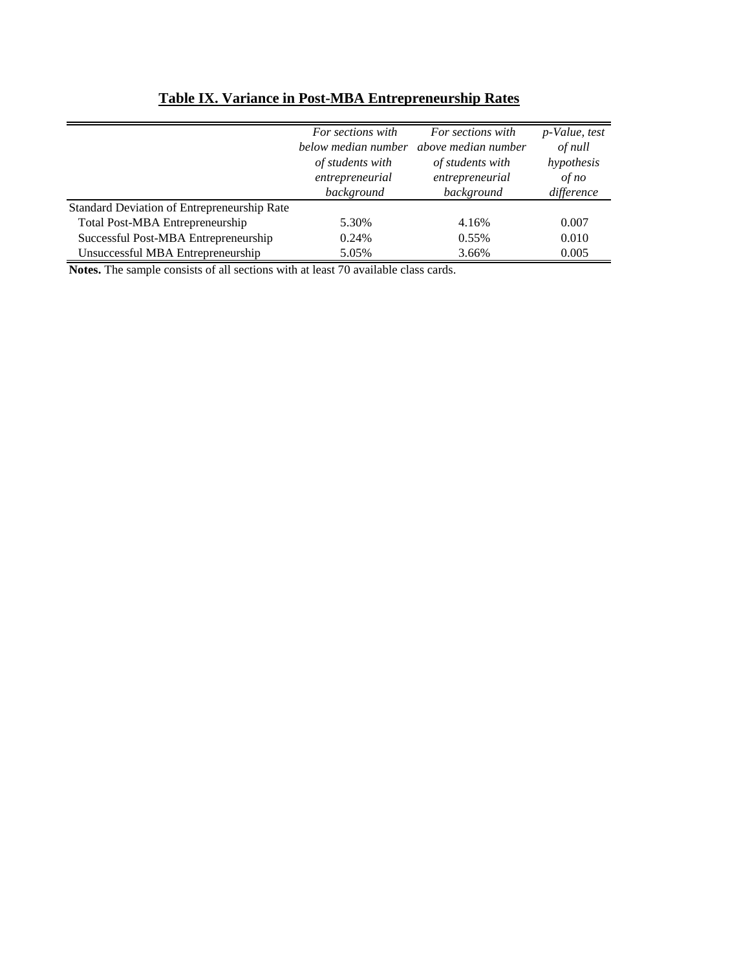|                                             | For sections with   | For sections with   | p-Value, test |
|---------------------------------------------|---------------------|---------------------|---------------|
|                                             | below median number | above median number | of null       |
|                                             | of students with    | of students with    | hypothesis    |
|                                             | entrepreneurial     | entrepreneurial     | of no         |
|                                             | background          | background          | difference    |
| Standard Deviation of Entrepreneurship Rate |                     |                     |               |
| Total Post-MBA Entrepreneurship             | 5.30%               | 4.16%               | 0.007         |
| Successful Post-MBA Entrepreneurship        | 0.24%               | 0.55%               | 0.010         |
| Unsuccessful MBA Entrepreneurship           | 5.05%               | 3.66%               | 0.005         |

# **Table IX. Variance in Post-MBA Entrepreneurship Rates**

**Notes.** The sample consists of all sections with at least 70 available class cards.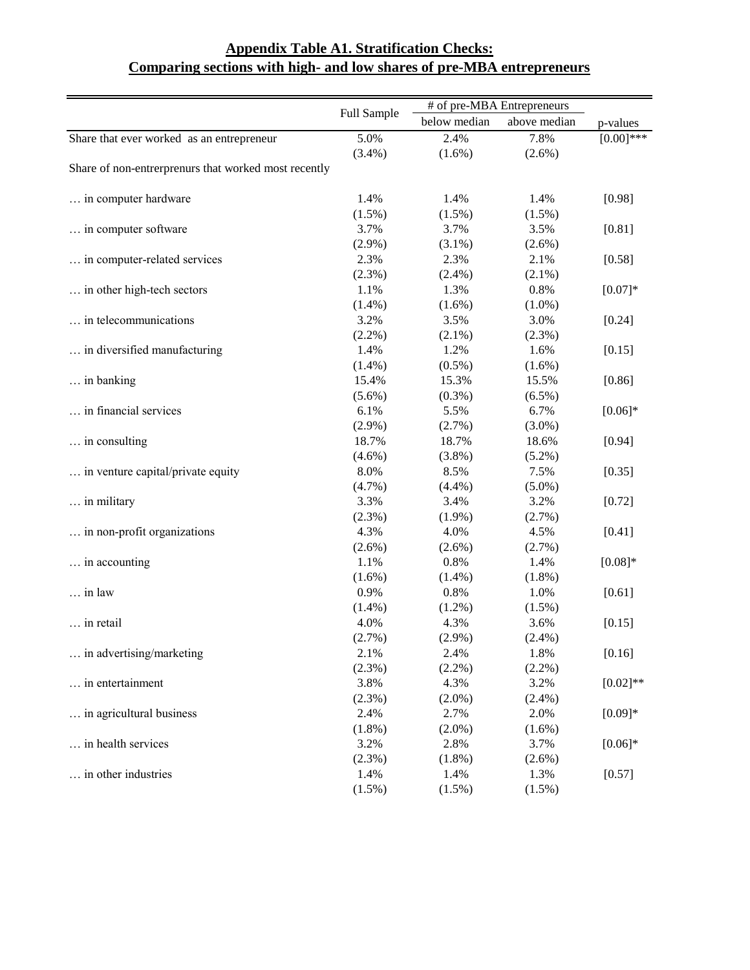|                                                      |             |              | # of pre-MBA Entrepreneurs |              |
|------------------------------------------------------|-------------|--------------|----------------------------|--------------|
|                                                      | Full Sample | below median | above median               | p-values     |
| Share that ever worked as an entrepreneur            | 5.0%        | 2.4%         | 7.8%                       | $[0.00]$ *** |
|                                                      | (3.4%)      | $(1.6\%)$    | $(2.6\%)$                  |              |
| Share of non-entrerprenurs that worked most recently |             |              |                            |              |
| in computer hardware                                 | 1.4%        | 1.4%         | 1.4%                       | [0.98]       |
|                                                      | $(1.5\%)$   | $(1.5\%)$    | $(1.5\%)$                  |              |
| in computer software                                 | 3.7%        | 3.7%         | 3.5%                       | [0.81]       |
|                                                      | $(2.9\%)$   | $(3.1\%)$    | $(2.6\%)$                  |              |
| in computer-related services                         | 2.3%        | 2.3%         | 2.1%                       | [0.58]       |
|                                                      | $(2.3\%)$   | $(2.4\%)$    | $(2.1\%)$                  |              |
| in other high-tech sectors                           | 1.1%        | 1.3%         | 0.8%                       | $[0.07]*$    |
|                                                      | $(1.4\%)$   | $(1.6\%)$    | $(1.0\%)$                  |              |
| in telecommunications                                | 3.2%        | 3.5%         | 3.0%                       | [0.24]       |
|                                                      | $(2.2\%)$   | $(2.1\%)$    | $(2.3\%)$                  |              |
| in diversified manufacturing                         | 1.4%        | 1.2%         | 1.6%                       | [0.15]       |
|                                                      | $(1.4\%)$   | $(0.5\%)$    | $(1.6\%)$                  |              |
| in banking                                           | 15.4%       | 15.3%        | 15.5%                      | [0.86]       |
|                                                      | $(5.6\%)$   | $(0.3\%)$    | $(6.5\%)$                  |              |
| in financial services                                | 6.1%        | 5.5%         | 6.7%                       | $[0.06]*$    |
|                                                      | $(2.9\%)$   | (2.7%)       | $(3.0\%)$                  |              |
| in consulting                                        | 18.7%       | 18.7%        | 18.6%                      | [0.94]       |
|                                                      | $(4.6\%)$   | $(3.8\%)$    | $(5.2\%)$                  |              |
| in venture capital/private equity                    | 8.0%        | 8.5%         | 7.5%                       | [0.35]       |
|                                                      | $(4.7\%)$   | (4.4%)       | $(5.0\%)$                  |              |
| in military                                          | 3.3%        | 3.4%         | 3.2%                       | [0.72]       |
|                                                      | $(2.3\%)$   | $(1.9\%)$    | (2.7%)                     |              |
| in non-profit organizations                          | 4.3%        | 4.0%         | 4.5%                       | [0.41]       |
|                                                      | $(2.6\%)$   | $(2.6\%)$    | (2.7%)                     |              |
| in accounting                                        | 1.1%        | 0.8%         | 1.4%                       | $[0.08]*$    |
|                                                      | $(1.6\%)$   | $(1.4\%)$    | $(1.8\%)$                  |              |
| $\ldots$ in law                                      | 0.9%        | 0.8%         | 1.0%                       | [0.61]       |
|                                                      | $(1.4\%)$   | $(1.2\%)$    | $(1.5\%)$                  |              |
| in retail                                            | 4.0%        | 4.3%         | 3.6%                       | [0.15]       |
|                                                      | (2.7%)      | $(2.9\%)$    | $(2.4\%)$                  |              |
| in advertising/marketing                             | 2.1%        | 2.4%         | 1.8%                       | [0.16]       |
|                                                      | (2.3%)      | $(2.2\%)$    | $(2.2\%)$                  |              |
| in entertainment                                     | 3.8%        | 4.3%         | 3.2%                       | $[0.02]$ **  |
|                                                      | $(2.3\%)$   | $(2.0\%)$    | $(2.4\%)$                  |              |
| in agricultural business                             | 2.4%        | 2.7%         | 2.0%                       | $[0.09]*$    |
|                                                      | $(1.8\%)$   | $(2.0\%)$    | $(1.6\%)$                  |              |
| in health services                                   | 3.2%        | 2.8%         | 3.7%                       | $[0.06]*$    |
|                                                      | (2.3%)      | $(1.8\%)$    | $(2.6\%)$                  |              |
| in other industries                                  |             |              |                            |              |
|                                                      | 1.4%        | 1.4%         | 1.3%                       | [0.57]       |

## **Appendix Table A1. Stratification Checks: Comparing sections with high- and low shares of pre-MBA entrepreneurs**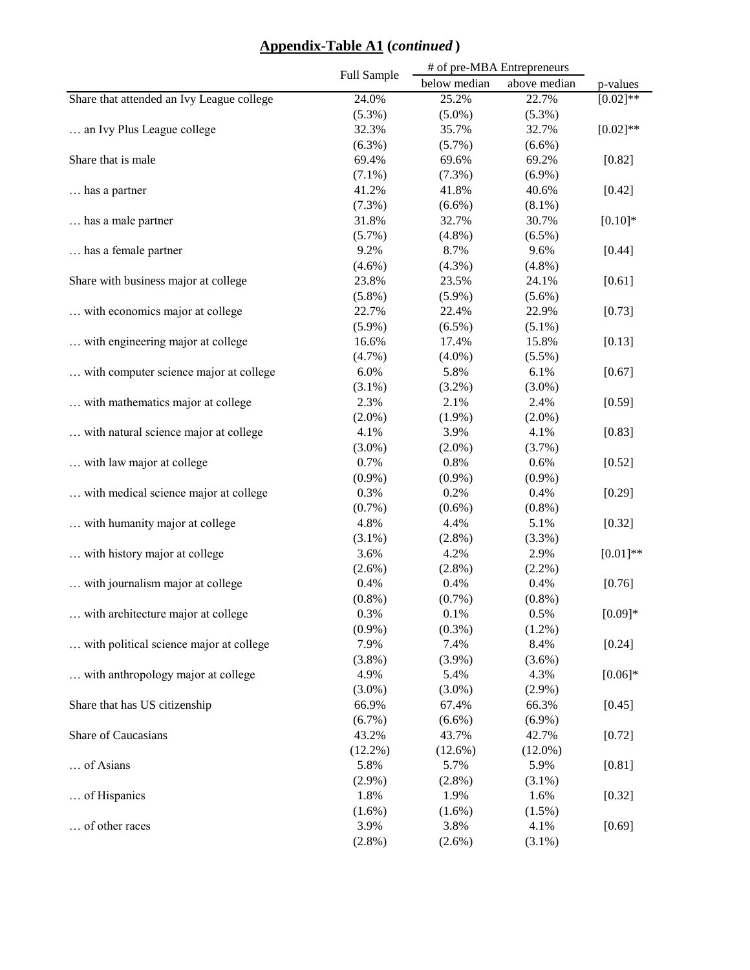## **Appendix-Table A1 (***continued* **)**

|                                           | Full Sample | # of pre-MBA Entrepreneurs |              |               |
|-------------------------------------------|-------------|----------------------------|--------------|---------------|
|                                           |             | below median               | above median | p-values      |
| Share that attended an Ivy League college | 24.0%       | 25.2%                      | 22.7%        | $[0.02]^{**}$ |
|                                           | $(5.3\%)$   | $(5.0\%)$                  | $(5.3\%)$    |               |
| an Ivy Plus League college                | 32.3%       | 35.7%                      | 32.7%        | $[0.02]$ **   |
|                                           | $(6.3\%)$   | $(5.7\%)$                  | $(6.6\%)$    |               |
| Share that is male                        | 69.4%       | 69.6%                      | 69.2%        | [0.82]        |
|                                           | $(7.1\%)$   | $(7.3\%)$                  | $(6.9\%)$    |               |
| has a partner                             | 41.2%       | 41.8%                      | 40.6%        | [0.42]        |
|                                           | (7.3%)      | $(6.6\%)$                  | $(8.1\%)$    |               |
| has a male partner                        | 31.8%       | 32.7%                      | 30.7%        | $[0.10]*$     |
|                                           | $(5.7\%)$   | $(4.8\%)$                  | $(6.5\%)$    |               |
| has a female partner.                     | 9.2%        | 8.7%                       | 9.6%         | [0.44]        |
|                                           | $(4.6\%)$   | $(4.3\%)$                  | $(4.8\%)$    |               |
| Share with business major at college      | 23.8%       | 23.5%                      | 24.1%        | [0.61]        |
|                                           | $(5.8\%)$   | $(5.9\%)$                  | $(5.6\%)$    |               |
| with economics major at college           | 22.7%       | 22.4%                      | 22.9%        | [0.73]        |
|                                           | $(5.9\%)$   | $(6.5\%)$                  | $(5.1\%)$    |               |
| with engineering major at college         | 16.6%       | 17.4%                      | 15.8%        | [0.13]        |
|                                           | $(4.7\%)$   | $(4.0\%)$                  | $(5.5\%)$    |               |
| with computer science major at college    | 6.0%        | 5.8%                       | 6.1%         | [0.67]        |
|                                           | $(3.1\%)$   | $(3.2\%)$                  | $(3.0\%)$    |               |
| with mathematics major at college         | 2.3%        | 2.1%                       | 2.4%         | [0.59]        |
|                                           | $(2.0\%)$   | $(1.9\%)$                  | $(2.0\%)$    |               |
| with natural science major at college     | 4.1%        | 3.9%                       | 4.1%         | [0.83]        |
|                                           | $(3.0\%)$   | $(2.0\%)$                  | (3.7%)       |               |
| with law major at college                 | 0.7%        | 0.8%                       | 0.6%         | [0.52]        |
|                                           | $(0.9\%)$   | $(0.9\%)$                  | $(0.9\%)$    |               |
| with medical science major at college     | 0.3%        | 0.2%                       | 0.4%         | [0.29]        |
|                                           | $(0.7\%)$   | $(0.6\%)$                  | $(0.8\%)$    |               |
| with humanity major at college            | 4.8%        | 4.4%                       | 5.1%         | [0.32]        |
|                                           | $(3.1\%)$   | $(2.8\%)$                  | $(3.3\%)$    |               |
| with history major at college             | 3.6%        | 4.2%                       | 2.9%         | $[0.01]$ **   |
|                                           | $(2.6\%)$   | $(2.8\%)$                  | $(2.2\%)$    |               |
| with journalism major at college          | 0.4%        | 0.4%                       | 0.4%         | [0.76]        |
|                                           | $(0.8\%)$   | $(0.7\%)$                  | $(0.8\%)$    |               |
| with architecture major at college        | 0.3%        | $0.1\%$                    | 0.5%         | $[0.09]*$     |
|                                           | $(0.9\%)$   | $(0.3\%)$                  | $(1.2\%)$    |               |
| with political science major at college   | 7.9%        | 7.4%                       | 8.4%         | [0.24]        |
|                                           | $(3.8\%)$   | $(3.9\%)$                  | $(3.6\%)$    |               |
| with anthropology major at college        | 4.9%        | 5.4%                       | 4.3%         | $[0.06]*$     |
|                                           | $(3.0\%)$   | $(3.0\%)$                  | $(2.9\%)$    |               |
| Share that has US citizenship             | 66.9%       | 67.4%                      | 66.3%        | [0.45]        |
|                                           | $(6.7\%)$   | $(6.6\%)$                  | $(6.9\%)$    |               |
| Share of Caucasians                       | 43.2%       | 43.7%                      | 42.7%        | [0.72]        |
|                                           | $(12.2\%)$  | $(12.6\%)$                 | $(12.0\%)$   |               |
| of Asians                                 | 5.8%        | 5.7%                       | 5.9%         | [0.81]        |
|                                           | $(2.9\%)$   | $(2.8\%)$                  | $(3.1\%)$    |               |
| of Hispanics                              | 1.8%        | 1.9%                       | 1.6%         | [0.32]        |
|                                           | $(1.6\%)$   | $(1.6\%)$                  | $(1.5\%)$    |               |
| of other races                            | 3.9%        | 3.8%                       | 4.1%         | [0.69]        |
|                                           | $(2.8\%)$   | $(2.6\%)$                  | $(3.1\%)$    |               |
|                                           |             |                            |              |               |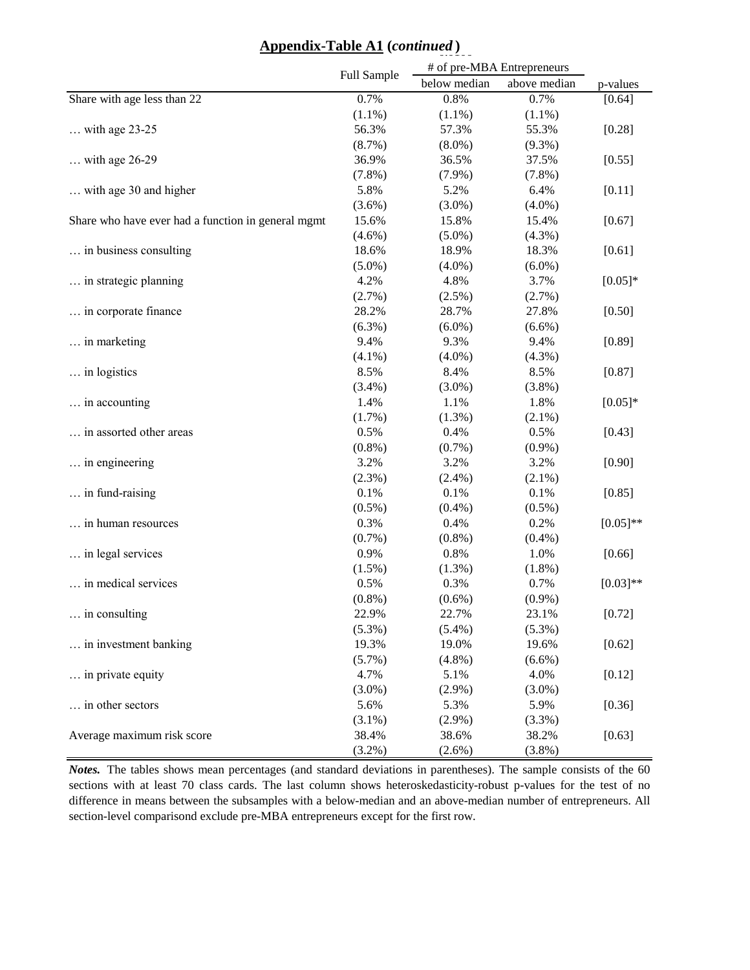# **Appendix-Table A1** (*continued*)

|                                                    |             | # of pre-MBA Entrepreneurs |              |             |
|----------------------------------------------------|-------------|----------------------------|--------------|-------------|
|                                                    | Full Sample | below median               | above median | p-values    |
| Share with age less than 22                        | 0.7%        | 0.8%                       | 0.7%         | [0.64]      |
|                                                    | $(1.1\%)$   | $(1.1\%)$                  | $(1.1\%)$    |             |
| $\ldots$ with age 23-25                            | 56.3%       | 57.3%                      | 55.3%        | [0.28]      |
|                                                    | (8.7%)      | $(8.0\%)$                  | $(9.3\%)$    |             |
| $\ldots$ with age 26-29                            | 36.9%       | 36.5%                      | 37.5%        | [0.55]      |
|                                                    | $(7.8\%)$   | $(7.9\%)$                  | $(7.8\%)$    |             |
| with age 30 and higher                             | 5.8%        | 5.2%                       | 6.4%         | [0.11]      |
|                                                    | $(3.6\%)$   | $(3.0\%)$                  | $(4.0\%)$    |             |
| Share who have ever had a function in general mgmt | 15.6%       | 15.8%                      | 15.4%        | [0.67]      |
|                                                    | $(4.6\%)$   | $(5.0\%)$                  | $(4.3\%)$    |             |
| in business consulting                             | 18.6%       | 18.9%                      | 18.3%        | [0.61]      |
|                                                    | $(5.0\%)$   | $(4.0\%)$                  | $(6.0\%)$    |             |
| in strategic planning                              | 4.2%        | 4.8%                       | 3.7%         | $[0.05]*$   |
|                                                    | (2.7%)      | $(2.5\%)$                  | (2.7%)       |             |
| in corporate finance                               | 28.2%       | 28.7%                      | 27.8%        | [0.50]      |
|                                                    | $(6.3\%)$   | $(6.0\%)$                  | $(6.6\%)$    |             |
| in marketing                                       | 9.4%        | 9.3%                       | 9.4%         | [0.89]      |
|                                                    | $(4.1\%)$   | $(4.0\%)$                  | $(4.3\%)$    |             |
| in logistics                                       | 8.5%        | 8.4%                       | 8.5%         | [0.87]      |
|                                                    | $(3.4\%)$   | $(3.0\%)$                  | $(3.8\%)$    |             |
| in accounting                                      | 1.4%        | 1.1%                       | 1.8%         | $[0.05]*$   |
|                                                    | (1.7%)      | $(1.3\%)$                  | $(2.1\%)$    |             |
| in assorted other areas                            | 0.5%        | 0.4%                       | 0.5%         | [0.43]      |
|                                                    | $(0.8\%)$   | $(0.7\%)$                  | $(0.9\%)$    |             |
| in engineering                                     | 3.2%        | 3.2%                       | 3.2%         | [0.90]      |
|                                                    | $(2.3\%)$   | $(2.4\%)$                  | $(2.1\%)$    |             |
| in fund-raising                                    | 0.1%        | 0.1%                       | 0.1%         | [0.85]      |
|                                                    | $(0.5\%)$   | $(0.4\%)$                  | $(0.5\%)$    |             |
| in human resources                                 | 0.3%        | 0.4%                       | 0.2%         | $[0.05]$ ** |
|                                                    | $(0.7\%)$   | $(0.8\%)$                  | $(0.4\%)$    |             |
| in legal services                                  | 0.9%        | 0.8%                       | 1.0%         | [0.66]      |
|                                                    | $(1.5\%)$   | $(1.3\%)$                  | $(1.8\%)$    |             |
| in medical services                                | 0.5%        | 0.3%                       | 0.7%         | $[0.03]**$  |
|                                                    | $(0.8\%)$   | $(0.6\%)$                  | $(0.9\%)$    |             |
| in consulting                                      | 22.9%       | 22.7%                      | 23.1%        | [0.72]      |
|                                                    | $(5.3\%)$   | $(5.4\%)$                  | $(5.3\%)$    |             |
| in investment banking                              | 19.3%       | 19.0%                      | 19.6%        | [0.62]      |
|                                                    | $(5.7\%)$   | $(4.8\%)$                  | $(6.6\%)$    |             |
| in private equity                                  | 4.7%        | 5.1%                       | 4.0%         | [0.12]      |
|                                                    | $(3.0\%)$   | $(2.9\%)$                  | $(3.0\%)$    |             |
| in other sectors                                   | 5.6%        | 5.3%                       | 5.9%         | [0.36]      |
|                                                    | $(3.1\%)$   | $(2.9\%)$                  | $(3.3\%)$    |             |
| Average maximum risk score                         | 38.4%       | 38.6%                      | 38.2%        | [0.63]      |
|                                                    | $(3.2\%)$   | $(2.6\%)$                  | $(3.8\%)$    |             |

*Notes.* The tables shows mean percentages (and standard deviations in parentheses). The sample consists of the 60 sections with at least 70 class cards. The last column shows heteroskedasticity-robust p-values for the test of no difference in means between the subsamples with a below-median and an above-median number of entrepreneurs. All section-level comparisond exclude pre-MBA entrepreneurs except for the first row.